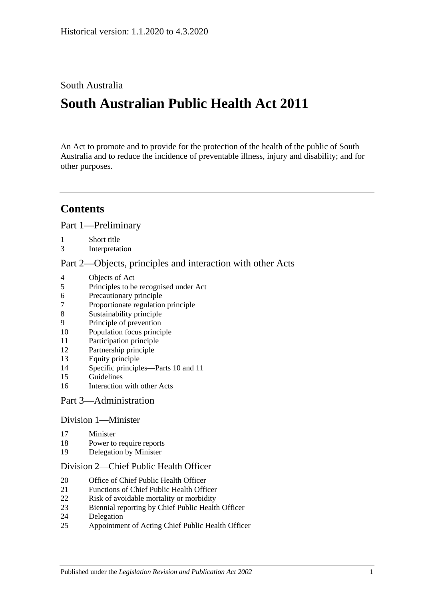## South Australia

# **South Australian Public Health Act 2011**

An Act to promote and to provide for the protection of the health of the public of South Australia and to reduce the incidence of preventable illness, injury and disability; and for other purposes.

# **Contents**

Part [1—Preliminary](#page-4-0)

- [Short title](#page-4-1)
- [Interpretation](#page-4-2)

#### Part [2—Objects, principles and interaction with other Acts](#page-7-0)

- [Objects of Act](#page-7-1)
- [Principles to be recognised under Act](#page-8-0)
- [Precautionary principle](#page-8-1)
- [Proportionate regulation principle](#page-8-2)
- [Sustainability principle](#page-8-3)
- [Principle of prevention](#page-8-4)
- [Population focus principle](#page-8-5)
- [Participation principle](#page-8-6)
- [Partnership principle](#page-9-0)
- [Equity principle](#page-9-1)
- [Specific principles—Parts](#page-9-2) 10 and [11](#page-9-2)
- [Guidelines](#page-10-0)
- [Interaction with other Acts](#page-11-0)

#### Part [3—Administration](#page-11-1)

#### Division [1—Minister](#page-11-2)

- [Minister](#page-11-3)
- [Power to require reports](#page-12-0)
- [Delegation by Minister](#page-12-1)

#### Division [2—Chief Public Health Officer](#page-13-0)

- [Office of Chief Public Health Officer](#page-13-1)
- [Functions of Chief Public Health Officer](#page-13-2)
- [Risk of avoidable mortality or morbidity](#page-14-0)
- [Biennial reporting by Chief Public Health Officer](#page-14-1)
- [Delegation](#page-15-0)
- [Appointment of Acting Chief Public Health Officer](#page-15-1)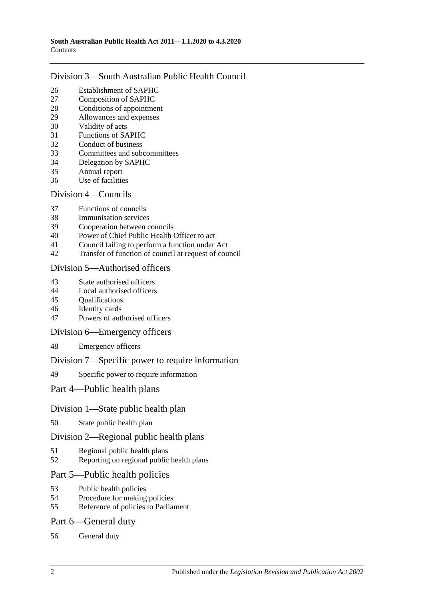### Division [3—South Australian Public Health Council](#page-15-2)

- [Establishment of SAPHC](#page-15-3)<br>27 Composition of SAPHC
- [Composition of SAPHC](#page-15-4)
- [Conditions of appointment](#page-16-0)
- [Allowances and expenses](#page-17-0)
- [Validity of acts](#page-17-1)
- [Functions of SAPHC](#page-17-2)
- [Conduct of business](#page-17-3)
- [Committees and subcommittees](#page-18-0)
- [Delegation by SAPHC](#page-18-1)
- [Annual report](#page-18-2)
- [Use of facilities](#page-19-0)

### Division [4—Councils](#page-19-1)

- [Functions of councils](#page-19-2)
- [Immunisation services](#page-19-3)
- [Cooperation between councils](#page-19-4)
- [Power of Chief Public Health Officer to act](#page-20-0)
- [Council failing to perform a function under Act](#page-20-1)
- [Transfer of function of council at request of council](#page-21-0)

### Division [5—Authorised officers](#page-22-0)

- [State authorised officers](#page-22-1)
- [Local authorised officers](#page-22-2)
- [Qualifications](#page-23-0)
- [Identity cards](#page-23-1)
- [Powers of authorised officers](#page-24-0)

### Division [6—Emergency officers](#page-25-0)

[Emergency officers](#page-25-1)

### Division [7—Specific power to require information](#page-26-0)

[Specific power to require information](#page-26-1)

## Part [4—Public health plans](#page-26-2)

## Division [1—State public health plan](#page-26-3)

[State public health plan](#page-26-4)

### Division [2—Regional public health plans](#page-28-0)

- [Regional public health plans](#page-28-1)
- [Reporting on regional public health plans](#page-30-0)

## Part [5—Public health policies](#page-31-0)

- [Public health policies](#page-31-1)
- [Procedure for making policies](#page-31-2)
- [Reference of policies to Parliament](#page-32-0)

### Part [6—General duty](#page-32-1)

[General duty](#page-32-2)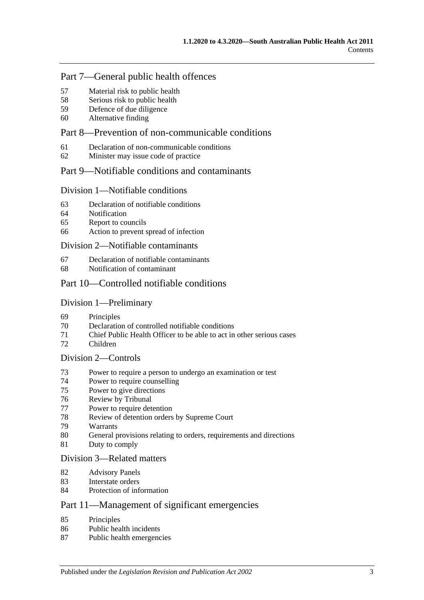## Part [7—General public health offences](#page-33-0)

- [Material risk to public health](#page-33-1)
- [Serious risk to public health](#page-33-2)
- [Defence of due diligence](#page-34-0)
- [Alternative finding](#page-34-1)

## Part [8—Prevention of non-communicable conditions](#page-35-0)

- [Declaration of non-communicable conditions](#page-35-1)
- [Minister may issue code of practice](#page-35-2)

### Part [9—Notifiable conditions and contaminants](#page-36-0)

#### Division [1—Notifiable conditions](#page-36-1)

- [Declaration of notifiable conditions](#page-36-2)
- [Notification](#page-36-3)
- [Report to councils](#page-37-0)
- [Action to prevent spread of infection](#page-38-0)

#### Division [2—Notifiable contaminants](#page-39-0)

- [Declaration of notifiable contaminants](#page-39-1)
- [Notification of contaminant](#page-39-2)

### Part [10—Controlled notifiable conditions](#page-41-0)

#### Division [1—Preliminary](#page-41-1)

- [Principles](#page-41-2)
- Declaration [of controlled notifiable conditions](#page-41-3)
- [Chief Public Health Officer to be able to act in other serious cases](#page-42-0)
- [Children](#page-43-0)

#### Division [2—Controls](#page-43-1)

- [Power to require a person to undergo an examination or test](#page-43-2)
- [Power to require counselling](#page-45-0)
- [Power to give directions](#page-45-1)
- [Review by Tribunal](#page-47-0)
- [Power to require detention](#page-47-1)
- [Review of detention orders by Supreme](#page-49-0) Court
- [Warrants](#page-50-0)
- [General provisions relating to orders, requirements and directions](#page-51-0)
- [Duty to comply](#page-51-1)

### Division [3—Related matters](#page-51-2)

- [Advisory Panels](#page-51-3)
- [Interstate orders](#page-52-0)
- [Protection of information](#page-53-0)

## Part [11—Management of significant emergencies](#page-53-1)

- [Principles](#page-53-2)
- [Public health incidents](#page-53-3)
- [Public health emergencies](#page-53-4)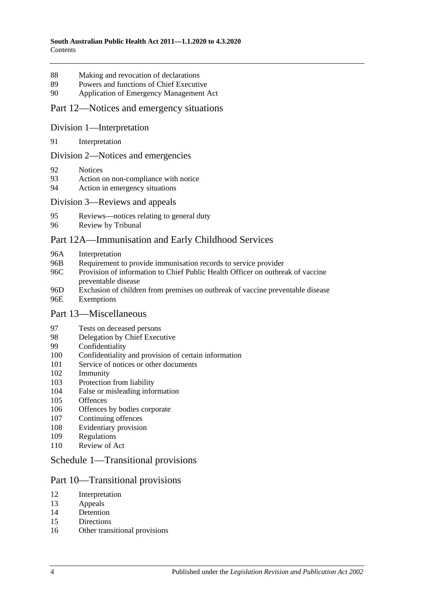- [Making and revocation of declarations](#page-53-5)
- [Powers and functions of Chief Executive](#page-54-0)
- [Application of Emergency Management Act](#page-54-1)

#### Part [12—Notices and emergency situations](#page-58-0)

#### Division [1—Interpretation](#page-58-1)

[Interpretation](#page-58-2)

#### Division [2—Notices and emergencies](#page-58-3)

- [Notices](#page-58-4)
- [Action on non-compliance with notice](#page-61-0)
- [Action in emergency situations](#page-61-1)

#### Division [3—Reviews and appeals](#page-62-0)

- [Reviews—notices relating to general duty](#page-62-1)
- [Review by Tribunal](#page-63-0)

#### [Part 12A—Immunisation and Early Childhood Services](#page-64-0)

- 96A [Interpretation](#page-64-1)
- 96B [Requirement to provide immunisation records to service provider](#page-65-0)
- 96C [Provision of information to Chief Public Health Officer on outbreak of vaccine](#page-66-0)  [preventable disease](#page-66-0)
- 96D [Exclusion of children from premises on outbreak of vaccine preventable disease](#page-66-1) 96E [Exemptions](#page-67-0)

#### Part [13—Miscellaneous](#page-68-0)

- [Tests on deceased persons](#page-68-1)
- [Delegation by Chief Executive](#page-68-2)
- [Confidentiality](#page-69-0)
- [Confidentiality and provision of certain information](#page-70-0)
- [Service of notices or other documents](#page-71-0)
- [Immunity](#page-71-1)
- [Protection from liability](#page-72-0)
- [False or misleading information](#page-72-1)
- [Offences](#page-72-2)
- [Offences by bodies corporate](#page-73-0)
- [Continuing offences](#page-73-1)
- [Evidentiary provision](#page-74-0)
- [Regulations](#page-74-1)
- [Review of Act](#page-77-0)

### Schedule [1—Transitional provisions](#page-77-1)

#### Part 10—Transitional provisions

- [Interpretation](#page-77-2)
- [Appeals](#page-77-3)
- [Detention](#page-78-0)
- [Directions](#page-78-1)
- [Other transitional provisions](#page-78-2)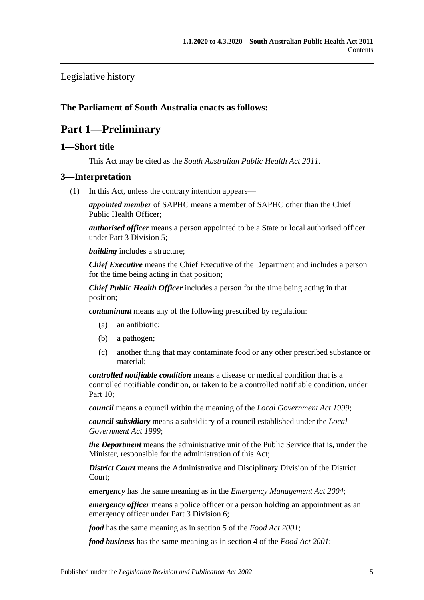## [Legislative history](#page-79-0)

### <span id="page-4-0"></span>**The Parliament of South Australia enacts as follows:**

# **Part 1—Preliminary**

### <span id="page-4-1"></span>**1—Short title**

This Act may be cited as the *South Australian Public Health Act 2011*.

#### <span id="page-4-3"></span><span id="page-4-2"></span>**3—Interpretation**

(1) In this Act, unless the contrary intention appears—

*appointed member* of SAPHC means a member of SAPHC other than the Chief Public Health Officer;

*authorised officer* means a person appointed to be a State or local authorised officer under Part [3 Division](#page-22-0) 5;

*building* includes a structure;

*Chief Executive* means the Chief Executive of the Department and includes a person for the time being acting in that position;

*Chief Public Health Officer* includes a person for the time being acting in that position;

*contaminant* means any of the following prescribed by regulation:

- (a) an antibiotic;
- (b) a pathogen;
- (c) another thing that may contaminate food or any other prescribed substance or material;

*controlled notifiable condition* means a disease or medical condition that is a controlled notifiable condition, or taken to be a controlled notifiable condition, under [Part](#page-41-0) 10;

*council* means a council within the meaning of the *[Local Government Act](http://www.legislation.sa.gov.au/index.aspx?action=legref&type=act&legtitle=Local%20Government%20Act%201999) 1999*;

*council subsidiary* means a subsidiary of a council established under the *[Local](http://www.legislation.sa.gov.au/index.aspx?action=legref&type=act&legtitle=Local%20Government%20Act%201999)  [Government Act](http://www.legislation.sa.gov.au/index.aspx?action=legref&type=act&legtitle=Local%20Government%20Act%201999) 1999*;

*the Department* means the administrative unit of the Public Service that is, under the Minister, responsible for the administration of this Act;

*District Court* means the Administrative and Disciplinary Division of the District Court;

*emergency* has the same meaning as in the *[Emergency Management Act](http://www.legislation.sa.gov.au/index.aspx?action=legref&type=act&legtitle=Emergency%20Management%20Act%202004) 2004*;

*emergency officer* means a police officer or a person holding an appointment as an emergency officer under Part [3 Division](#page-25-0) 6;

*food* has the same meaning as in section 5 of the *[Food Act](http://www.legislation.sa.gov.au/index.aspx?action=legref&type=act&legtitle=Food%20Act%202001) 2001*;

*food business* has the same meaning as in section 4 of the *[Food Act](http://www.legislation.sa.gov.au/index.aspx?action=legref&type=act&legtitle=Food%20Act%202001) 2001*;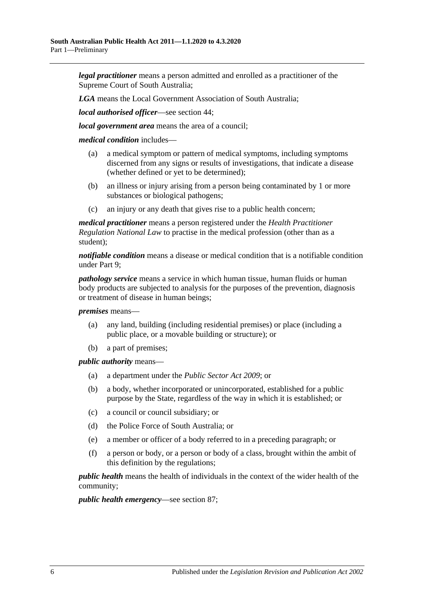*legal practitioner* means a person admitted and enrolled as a practitioner of the Supreme Court of South Australia;

*LGA* means the Local Government Association of South Australia;

*local authorised officer*—see [section](#page-22-2) 44;

*local government area* means the area of a council;

*medical condition* includes—

- (a) a medical symptom or pattern of medical symptoms, including symptoms discerned from any signs or results of investigations, that indicate a disease (whether defined or yet to be determined);
- (b) an illness or injury arising from a person being contaminated by 1 or more substances or biological pathogens;
- (c) an injury or any death that gives rise to a public health concern;

*medical practitioner* means a person registered under the *Health Practitioner Regulation National Law* to practise in the medical profession (other than as a student);

*notifiable condition* means a disease or medical condition that is a notifiable condition under [Part](#page-36-0) 9;

*pathology service* means a service in which human tissue, human fluids or human body products are subjected to analysis for the purposes of the prevention, diagnosis or treatment of disease in human beings;

*premises* means—

- (a) any land, building (including residential premises) or place (including a public place, or a movable building or structure); or
- (b) a part of premises;

*public authority* means—

- (a) a department under the *[Public Sector Act](http://www.legislation.sa.gov.au/index.aspx?action=legref&type=act&legtitle=Public%20Sector%20Act%202009) 2009*; or
- (b) a body, whether incorporated or unincorporated, established for a public purpose by the State, regardless of the way in which it is established; or
- (c) a council or council subsidiary; or
- (d) the Police Force of South Australia; or
- (e) a member or officer of a body referred to in a preceding paragraph; or
- (f) a person or body, or a person or body of a class, brought within the ambit of this definition by the regulations;

*public health* means the health of individuals in the context of the wider health of the community;

*public health emergency*—see [section](#page-53-4) 87;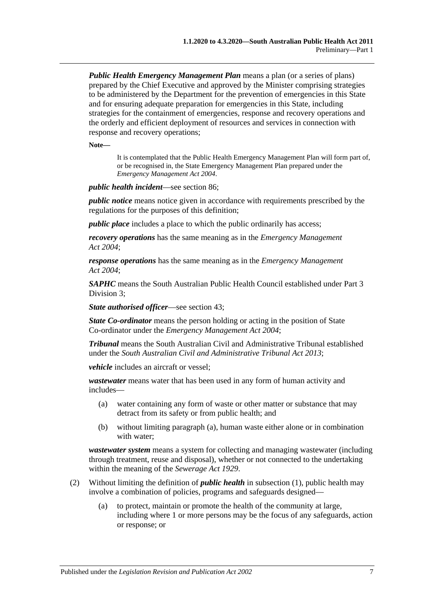*Public Health Emergency Management Plan* means a plan (or a series of plans) prepared by the Chief Executive and approved by the Minister comprising strategies to be administered by the Department for the prevention of emergencies in this State and for ensuring adequate preparation for emergencies in this State, including strategies for the containment of emergencies, response and recovery operations and the orderly and efficient deployment of resources and services in connection with response and recovery operations;

**Note—**

It is contemplated that the Public Health Emergency Management Plan will form part of, or be recognised in, the State Emergency Management Plan prepared under the *[Emergency Management Act](http://www.legislation.sa.gov.au/index.aspx?action=legref&type=act&legtitle=Emergency%20Management%20Act%202004) 2004*.

*public health incident*—see [section](#page-53-3) 86;

*public notice* means notice given in accordance with requirements prescribed by the regulations for the purposes of this definition;

*public place* includes a place to which the public ordinarily has access;

*recovery operations* has the same meaning as in the *[Emergency Management](http://www.legislation.sa.gov.au/index.aspx?action=legref&type=act&legtitle=Emergency%20Management%20Act%202004)  Act [2004](http://www.legislation.sa.gov.au/index.aspx?action=legref&type=act&legtitle=Emergency%20Management%20Act%202004)*;

*response operations* has the same meaning as in the *[Emergency Management](http://www.legislation.sa.gov.au/index.aspx?action=legref&type=act&legtitle=Emergency%20Management%20Act%202004)  Act [2004](http://www.legislation.sa.gov.au/index.aspx?action=legref&type=act&legtitle=Emergency%20Management%20Act%202004)*;

*SAPHC* means the South Australian Public Health Council established under [Part](#page-15-2) 3 [Division](#page-15-2) 3;

*State authorised officer*—see [section](#page-22-1) 43;

*State Co-ordinator* means the person holding or acting in the position of State Co-ordinator under the *[Emergency Management Act](http://www.legislation.sa.gov.au/index.aspx?action=legref&type=act&legtitle=Emergency%20Management%20Act%202004) 2004*;

*Tribunal* means the South Australian Civil and Administrative Tribunal established under the *[South Australian Civil and Administrative Tribunal Act](http://www.legislation.sa.gov.au/index.aspx?action=legref&type=act&legtitle=South%20Australian%20Civil%20and%20Administrative%20Tribunal%20Act%202013) 2013*;

*vehicle* includes an aircraft or vessel;

<span id="page-6-0"></span>*wastewater* means water that has been used in any form of human activity and includes—

- (a) water containing any form of waste or other matter or substance that may detract from its safety or from public health; and
- (b) without limiting [paragraph](#page-6-0) (a), human waste either alone or in combination with water;

*wastewater system* means a system for collecting and managing wastewater (including through treatment, reuse and disposal), whether or not connected to the undertaking within the meaning of the *[Sewerage Act](http://www.legislation.sa.gov.au/index.aspx?action=legref&type=act&legtitle=Sewerage%20Act%201929) 1929*.

- (2) Without limiting the definition of *public health* in [subsection](#page-4-3) (1), public health may involve a combination of policies, programs and safeguards designed—
	- (a) to protect, maintain or promote the health of the community at large, including where 1 or more persons may be the focus of any safeguards, action or response; or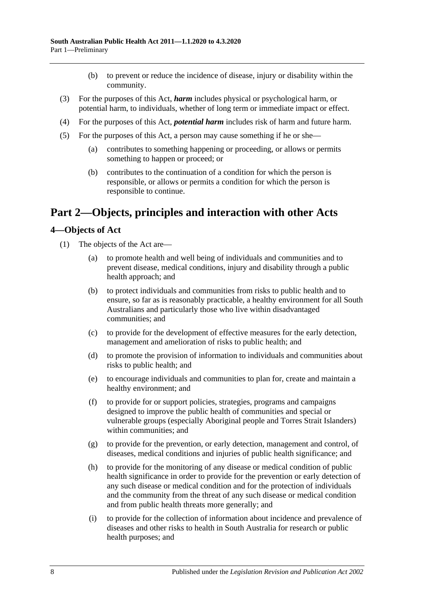- (b) to prevent or reduce the incidence of disease, injury or disability within the community.
- (3) For the purposes of this Act, *harm* includes physical or psychological harm, or potential harm, to individuals, whether of long term or immediate impact or effect.
- (4) For the purposes of this Act, *potential harm* includes risk of harm and future harm.
- (5) For the purposes of this Act, a person may cause something if he or she—
	- (a) contributes to something happening or proceeding, or allows or permits something to happen or proceed; or
	- (b) contributes to the continuation of a condition for which the person is responsible, or allows or permits a condition for which the person is responsible to continue.

# <span id="page-7-0"></span>**Part 2—Objects, principles and interaction with other Acts**

### <span id="page-7-1"></span>**4—Objects of Act**

- (1) The objects of the Act are—
	- (a) to promote health and well being of individuals and communities and to prevent disease, medical conditions, injury and disability through a public health approach; and
	- (b) to protect individuals and communities from risks to public health and to ensure, so far as is reasonably practicable, a healthy environment for all South Australians and particularly those who live within disadvantaged communities; and
	- (c) to provide for the development of effective measures for the early detection, management and amelioration of risks to public health; and
	- (d) to promote the provision of information to individuals and communities about risks to public health; and
	- (e) to encourage individuals and communities to plan for, create and maintain a healthy environment; and
	- (f) to provide for or support policies, strategies, programs and campaigns designed to improve the public health of communities and special or vulnerable groups (especially Aboriginal people and Torres Strait Islanders) within communities; and
	- (g) to provide for the prevention, or early detection, management and control, of diseases, medical conditions and injuries of public health significance; and
	- (h) to provide for the monitoring of any disease or medical condition of public health significance in order to provide for the prevention or early detection of any such disease or medical condition and for the protection of individuals and the community from the threat of any such disease or medical condition and from public health threats more generally; and
	- (i) to provide for the collection of information about incidence and prevalence of diseases and other risks to health in South Australia for research or public health purposes; and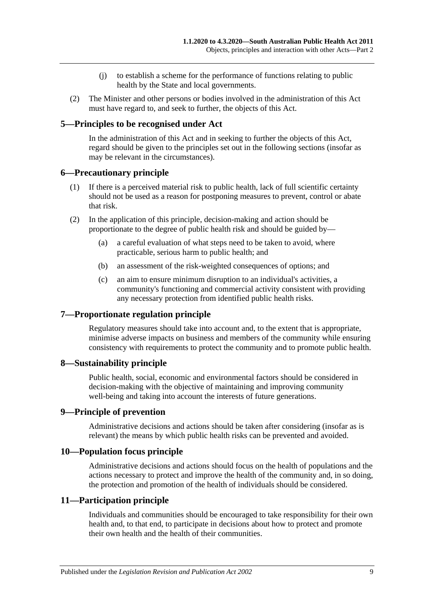- (j) to establish a scheme for the performance of functions relating to public health by the State and local governments.
- (2) The Minister and other persons or bodies involved in the administration of this Act must have regard to, and seek to further, the objects of this Act.

### <span id="page-8-0"></span>**5—Principles to be recognised under Act**

In the administration of this Act and in seeking to further the objects of this Act, regard should be given to the principles set out in the following sections (insofar as may be relevant in the circumstances).

#### <span id="page-8-1"></span>**6—Precautionary principle**

- (1) If there is a perceived material risk to public health, lack of full scientific certainty should not be used as a reason for postponing measures to prevent, control or abate that risk.
- (2) In the application of this principle, decision-making and action should be proportionate to the degree of public health risk and should be guided by—
	- (a) a careful evaluation of what steps need to be taken to avoid, where practicable, serious harm to public health; and
	- (b) an assessment of the risk-weighted consequences of options; and
	- (c) an aim to ensure minimum disruption to an individual's activities, a community's functioning and commercial activity consistent with providing any necessary protection from identified public health risks.

#### <span id="page-8-2"></span>**7—Proportionate regulation principle**

Regulatory measures should take into account and, to the extent that is appropriate, minimise adverse impacts on business and members of the community while ensuring consistency with requirements to protect the community and to promote public health.

#### <span id="page-8-3"></span>**8—Sustainability principle**

Public health, social, economic and environmental factors should be considered in decision-making with the objective of maintaining and improving community well-being and taking into account the interests of future generations.

#### <span id="page-8-4"></span>**9—Principle of prevention**

Administrative decisions and actions should be taken after considering (insofar as is relevant) the means by which public health risks can be prevented and avoided.

#### <span id="page-8-5"></span>**10—Population focus principle**

Administrative decisions and actions should focus on the health of populations and the actions necessary to protect and improve the health of the community and, in so doing, the protection and promotion of the health of individuals should be considered.

#### <span id="page-8-6"></span>**11—Participation principle**

Individuals and communities should be encouraged to take responsibility for their own health and, to that end, to participate in decisions about how to protect and promote their own health and the health of their communities.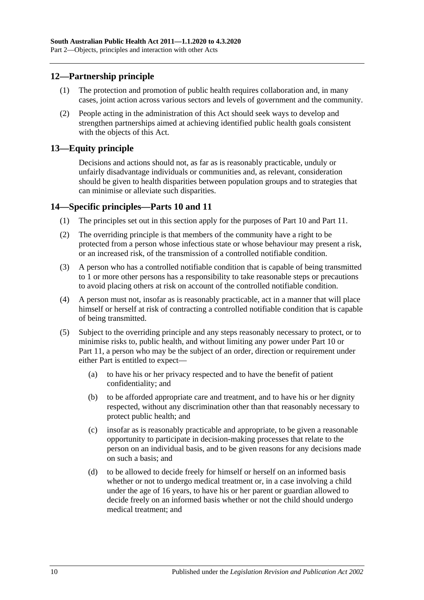### <span id="page-9-0"></span>**12—Partnership principle**

- (1) The protection and promotion of public health requires collaboration and, in many cases, joint action across various sectors and levels of government and the community.
- (2) People acting in the administration of this Act should seek ways to develop and strengthen partnerships aimed at achieving identified public health goals consistent with the objects of this Act.

### <span id="page-9-1"></span>**13—Equity principle**

Decisions and actions should not, as far as is reasonably practicable, unduly or unfairly disadvantage individuals or communities and, as relevant, consideration should be given to health disparities between population groups and to strategies that can minimise or alleviate such disparities.

### <span id="page-9-2"></span>**14—Specific principles[—Parts](#page-41-0) 10 and [11](#page-53-1)**

- (1) The principles set out in this section apply for the purposes of [Part](#page-41-0) 10 and [Part](#page-53-1) 11.
- (2) The overriding principle is that members of the community have a right to be protected from a person whose infectious state or whose behaviour may present a risk, or an increased risk, of the transmission of a controlled notifiable condition.
- (3) A person who has a controlled notifiable condition that is capable of being transmitted to 1 or more other persons has a responsibility to take reasonable steps or precautions to avoid placing others at risk on account of the controlled notifiable condition.
- (4) A person must not, insofar as is reasonably practicable, act in a manner that will place himself or herself at risk of contracting a controlled notifiable condition that is capable of being transmitted.
- (5) Subject to the overriding principle and any steps reasonably necessary to protect, or to minimise risks to, public health, and without limiting any power under [Part](#page-41-0) 10 or [Part](#page-53-1) 11, a person who may be the subject of an order, direction or requirement under either Part is entitled to expect—
	- (a) to have his or her privacy respected and to have the benefit of patient confidentiality; and
	- (b) to be afforded appropriate care and treatment, and to have his or her dignity respected, without any discrimination other than that reasonably necessary to protect public health; and
	- (c) insofar as is reasonably practicable and appropriate, to be given a reasonable opportunity to participate in decision-making processes that relate to the person on an individual basis, and to be given reasons for any decisions made on such a basis; and
	- (d) to be allowed to decide freely for himself or herself on an informed basis whether or not to undergo medical treatment or, in a case involving a child under the age of 16 years, to have his or her parent or guardian allowed to decide freely on an informed basis whether or not the child should undergo medical treatment; and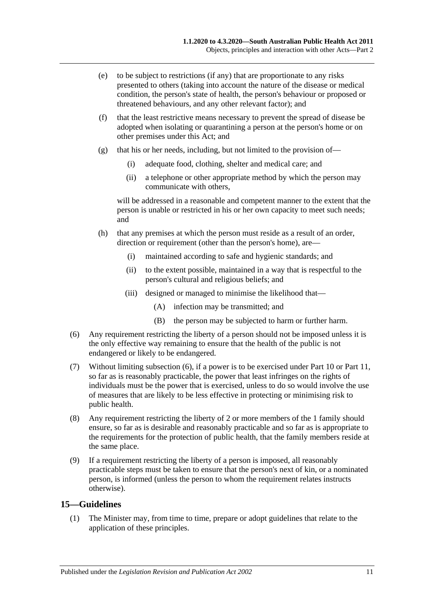- (e) to be subject to restrictions (if any) that are proportionate to any risks presented to others (taking into account the nature of the disease or medical condition, the person's state of health, the person's behaviour or proposed or threatened behaviours, and any other relevant factor); and
- (f) that the least restrictive means necessary to prevent the spread of disease be adopted when isolating or quarantining a person at the person's home or on other premises under this Act; and
- (g) that his or her needs, including, but not limited to the provision of—
	- (i) adequate food, clothing, shelter and medical care; and
	- (ii) a telephone or other appropriate method by which the person may communicate with others,

will be addressed in a reasonable and competent manner to the extent that the person is unable or restricted in his or her own capacity to meet such needs; and

- (h) that any premises at which the person must reside as a result of an order, direction or requirement (other than the person's home), are—
	- (i) maintained according to safe and hygienic standards; and
	- (ii) to the extent possible, maintained in a way that is respectful to the person's cultural and religious beliefs; and
	- (iii) designed or managed to minimise the likelihood that—
		- (A) infection may be transmitted; and
		- (B) the person may be subjected to harm or further harm.
- <span id="page-10-1"></span>(6) Any requirement restricting the liberty of a person should not be imposed unless it is the only effective way remaining to ensure that the health of the public is not endangered or likely to be endangered.
- (7) Without limiting [subsection](#page-10-1) (6), if a power is to be exercised under [Part](#page-41-0) 10 or [Part](#page-53-1) 11, so far as is reasonably practicable, the power that least infringes on the rights of individuals must be the power that is exercised, unless to do so would involve the use of measures that are likely to be less effective in protecting or minimising risk to public health.
- (8) Any requirement restricting the liberty of 2 or more members of the 1 family should ensure, so far as is desirable and reasonably practicable and so far as is appropriate to the requirements for the protection of public health, that the family members reside at the same place.
- (9) If a requirement restricting the liberty of a person is imposed, all reasonably practicable steps must be taken to ensure that the person's next of kin, or a nominated person, is informed (unless the person to whom the requirement relates instructs otherwise).

### <span id="page-10-2"></span><span id="page-10-0"></span>**15—Guidelines**

(1) The Minister may, from time to time, prepare or adopt guidelines that relate to the application of these principles.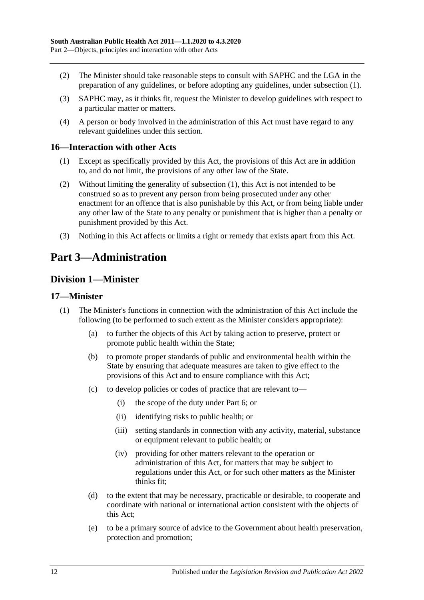- (2) The Minister should take reasonable steps to consult with SAPHC and the LGA in the preparation of any guidelines, or before adopting any guidelines, under [subsection](#page-10-2) (1).
- (3) SAPHC may, as it thinks fit, request the Minister to develop guidelines with respect to a particular matter or matters.
- (4) A person or body involved in the administration of this Act must have regard to any relevant guidelines under this section.

#### <span id="page-11-4"></span><span id="page-11-0"></span>**16—Interaction with other Acts**

- (1) Except as specifically provided by this Act, the provisions of this Act are in addition to, and do not limit, the provisions of any other law of the State.
- (2) Without limiting the generality of [subsection](#page-11-4) (1), this Act is not intended to be construed so as to prevent any person from being prosecuted under any other enactment for an offence that is also punishable by this Act, or from being liable under any other law of the State to any penalty or punishment that is higher than a penalty or punishment provided by this Act.
- (3) Nothing in this Act affects or limits a right or remedy that exists apart from this Act.

# <span id="page-11-1"></span>**Part 3—Administration**

## <span id="page-11-2"></span>**Division 1—Minister**

#### <span id="page-11-3"></span>**17—Minister**

- (1) The Minister's functions in connection with the administration of this Act include the following (to be performed to such extent as the Minister considers appropriate):
	- (a) to further the objects of this Act by taking action to preserve, protect or promote public health within the State;
	- (b) to promote proper standards of public and environmental health within the State by ensuring that adequate measures are taken to give effect to the provisions of this Act and to ensure compliance with this Act;
	- (c) to develop policies or codes of practice that are relevant to—
		- (i) the scope of the duty under [Part](#page-32-1) 6; or
		- (ii) identifying risks to public health; or
		- (iii) setting standards in connection with any activity, material, substance or equipment relevant to public health; or
		- (iv) providing for other matters relevant to the operation or administration of this Act, for matters that may be subject to regulations under this Act, or for such other matters as the Minister thinks fit;
	- (d) to the extent that may be necessary, practicable or desirable, to cooperate and coordinate with national or international action consistent with the objects of this Act;
	- (e) to be a primary source of advice to the Government about health preservation, protection and promotion;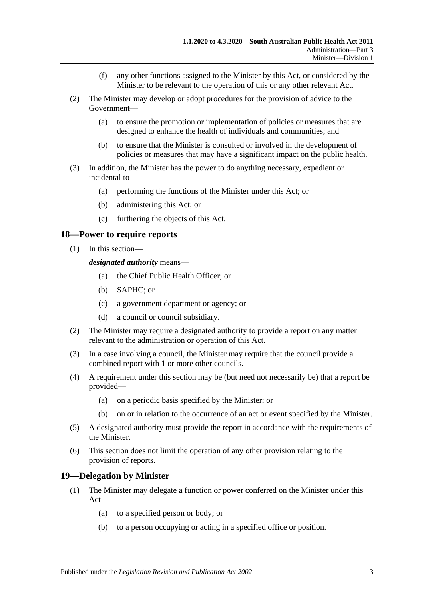- (f) any other functions assigned to the Minister by this Act, or considered by the Minister to be relevant to the operation of this or any other relevant Act.
- (2) The Minister may develop or adopt procedures for the provision of advice to the Government—
	- (a) to ensure the promotion or implementation of policies or measures that are designed to enhance the health of individuals and communities; and
	- (b) to ensure that the Minister is consulted or involved in the development of policies or measures that may have a significant impact on the public health.
- (3) In addition, the Minister has the power to do anything necessary, expedient or incidental to—
	- (a) performing the functions of the Minister under this Act; or
	- (b) administering this Act; or
	- (c) furthering the objects of this Act.

#### <span id="page-12-0"></span>**18—Power to require reports**

(1) In this section—

*designated authority* means—

- (a) the Chief Public Health Officer; or
- (b) SAPHC; or
- (c) a government department or agency; or
- (d) a council or council subsidiary.
- (2) The Minister may require a designated authority to provide a report on any matter relevant to the administration or operation of this Act.
- (3) In a case involving a council, the Minister may require that the council provide a combined report with 1 or more other councils.
- (4) A requirement under this section may be (but need not necessarily be) that a report be provided—
	- (a) on a periodic basis specified by the Minister; or
	- (b) on or in relation to the occurrence of an act or event specified by the Minister.
- (5) A designated authority must provide the report in accordance with the requirements of the Minister.
- (6) This section does not limit the operation of any other provision relating to the provision of reports.

### <span id="page-12-1"></span>**19—Delegation by Minister**

- (1) The Minister may delegate a function or power conferred on the Minister under this Act—
	- (a) to a specified person or body; or
	- (b) to a person occupying or acting in a specified office or position.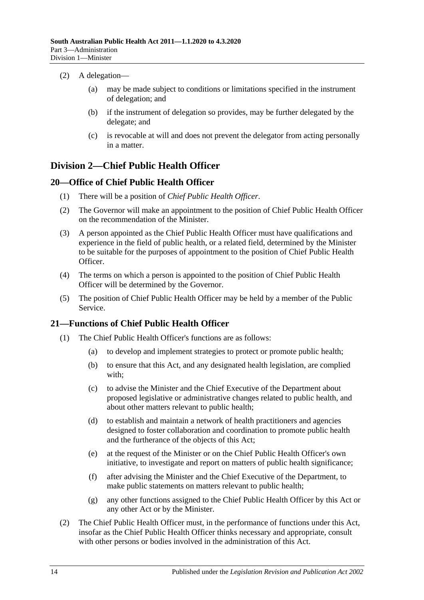- (2) A delegation—
	- (a) may be made subject to conditions or limitations specified in the instrument of delegation; and
	- (b) if the instrument of delegation so provides, may be further delegated by the delegate; and
	- (c) is revocable at will and does not prevent the delegator from acting personally in a matter.

## <span id="page-13-0"></span>**Division 2—Chief Public Health Officer**

### <span id="page-13-1"></span>**20—Office of Chief Public Health Officer**

- (1) There will be a position of *Chief Public Health Officer*.
- (2) The Governor will make an appointment to the position of Chief Public Health Officer on the recommendation of the Minister.
- (3) A person appointed as the Chief Public Health Officer must have qualifications and experience in the field of public health, or a related field, determined by the Minister to be suitable for the purposes of appointment to the position of Chief Public Health Officer.
- (4) The terms on which a person is appointed to the position of Chief Public Health Officer will be determined by the Governor.
- (5) The position of Chief Public Health Officer may be held by a member of the Public Service.

## <span id="page-13-3"></span><span id="page-13-2"></span>**21—Functions of Chief Public Health Officer**

- (1) The Chief Public Health Officer's functions are as follows:
	- (a) to develop and implement strategies to protect or promote public health;
	- (b) to ensure that this Act, and any designated health legislation, are complied with;
	- (c) to advise the Minister and the Chief Executive of the Department about proposed legislative or administrative changes related to public health, and about other matters relevant to public health;
	- (d) to establish and maintain a network of health practitioners and agencies designed to foster collaboration and coordination to promote public health and the furtherance of the objects of this Act;
	- (e) at the request of the Minister or on the Chief Public Health Officer's own initiative, to investigate and report on matters of public health significance;
	- (f) after advising the Minister and the Chief Executive of the Department, to make public statements on matters relevant to public health;
	- (g) any other functions assigned to the Chief Public Health Officer by this Act or any other Act or by the Minister.
- (2) The Chief Public Health Officer must, in the performance of functions under this Act, insofar as the Chief Public Health Officer thinks necessary and appropriate, consult with other persons or bodies involved in the administration of this Act.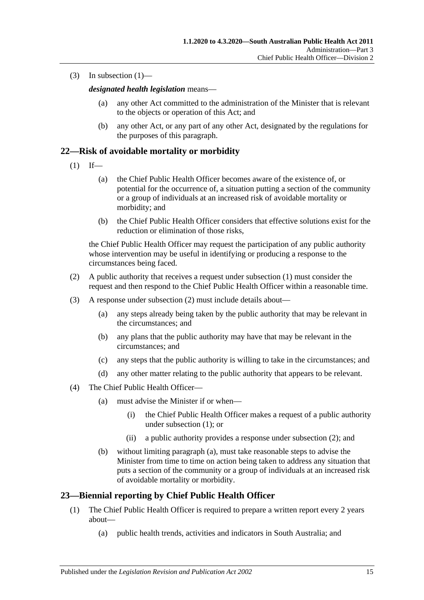(3) In [subsection](#page-13-3)  $(1)$ —

*designated health legislation* means—

- (a) any other Act committed to the administration of the Minister that is relevant to the objects or operation of this Act; and
- (b) any other Act, or any part of any other Act, designated by the regulations for the purposes of this paragraph.

### <span id="page-14-2"></span><span id="page-14-0"></span>**22—Risk of avoidable mortality or morbidity**

- $(1)$  If—
	- (a) the Chief Public Health Officer becomes aware of the existence of, or potential for the occurrence of, a situation putting a section of the community or a group of individuals at an increased risk of avoidable mortality or morbidity; and
	- (b) the Chief Public Health Officer considers that effective solutions exist for the reduction or elimination of those risks,

the Chief Public Health Officer may request the participation of any public authority whose intervention may be useful in identifying or producing a response to the circumstances being faced.

- <span id="page-14-3"></span>(2) A public authority that receives a request under [subsection](#page-14-2) (1) must consider the request and then respond to the Chief Public Health Officer within a reasonable time.
- (3) A response under [subsection](#page-14-3) (2) must include details about—
	- (a) any steps already being taken by the public authority that may be relevant in the circumstances; and
	- (b) any plans that the public authority may have that may be relevant in the circumstances; and
	- (c) any steps that the public authority is willing to take in the circumstances; and
	- (d) any other matter relating to the public authority that appears to be relevant.
- <span id="page-14-4"></span>(4) The Chief Public Health Officer—
	- (a) must advise the Minister if or when—
		- (i) the Chief Public Health Officer makes a request of a public authority under [subsection](#page-14-2) (1); or
		- (ii) a public authority provides a response under [subsection](#page-14-3) (2); and
	- (b) without limiting [paragraph](#page-14-4) (a), must take reasonable steps to advise the Minister from time to time on action being taken to address any situation that puts a section of the community or a group of individuals at an increased risk of avoidable mortality or morbidity.

### <span id="page-14-1"></span>**23—Biennial reporting by Chief Public Health Officer**

- (1) The Chief Public Health Officer is required to prepare a written report every 2 years about—
	- (a) public health trends, activities and indicators in South Australia; and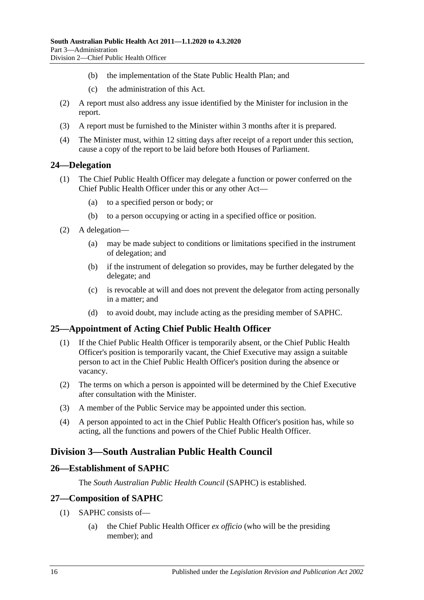- (b) the implementation of the State Public Health Plan; and
- (c) the administration of this Act.
- (2) A report must also address any issue identified by the Minister for inclusion in the report.
- (3) A report must be furnished to the Minister within 3 months after it is prepared.
- (4) The Minister must, within 12 sitting days after receipt of a report under this section, cause a copy of the report to be laid before both Houses of Parliament.

#### <span id="page-15-0"></span>**24—Delegation**

- (1) The Chief Public Health Officer may delegate a function or power conferred on the Chief Public Health Officer under this or any other Act—
	- (a) to a specified person or body; or
	- (b) to a person occupying or acting in a specified office or position.
- (2) A delegation—
	- (a) may be made subject to conditions or limitations specified in the instrument of delegation; and
	- (b) if the instrument of delegation so provides, may be further delegated by the delegate; and
	- (c) is revocable at will and does not prevent the delegator from acting personally in a matter; and
	- (d) to avoid doubt, may include acting as the presiding member of SAPHC.

### <span id="page-15-1"></span>**25—Appointment of Acting Chief Public Health Officer**

- (1) If the Chief Public Health Officer is temporarily absent, or the Chief Public Health Officer's position is temporarily vacant, the Chief Executive may assign a suitable person to act in the Chief Public Health Officer's position during the absence or vacancy.
- (2) The terms on which a person is appointed will be determined by the Chief Executive after consultation with the Minister.
- (3) A member of the Public Service may be appointed under this section.
- (4) A person appointed to act in the Chief Public Health Officer's position has, while so acting, all the functions and powers of the Chief Public Health Officer.

## <span id="page-15-2"></span>**Division 3—South Australian Public Health Council**

#### <span id="page-15-3"></span>**26—Establishment of SAPHC**

The *South Australian Public Health Council* (SAPHC) is established.

### <span id="page-15-4"></span>**27—Composition of SAPHC**

- (1) SAPHC consists of—
	- (a) the Chief Public Health Officer *ex officio* (who will be the presiding member); and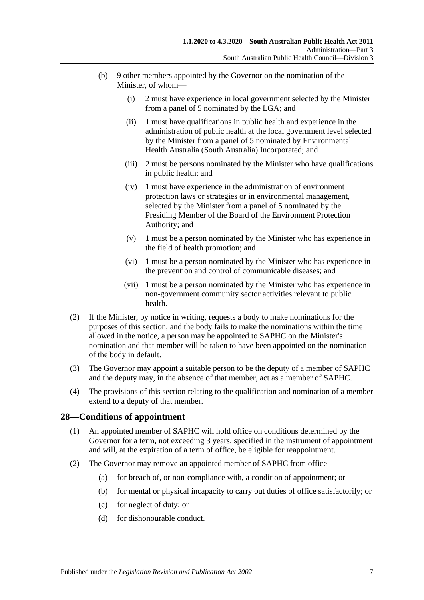- (b) 9 other members appointed by the Governor on the nomination of the Minister, of whom—
	- (i) 2 must have experience in local government selected by the Minister from a panel of 5 nominated by the LGA; and
	- (ii) 1 must have qualifications in public health and experience in the administration of public health at the local government level selected by the Minister from a panel of 5 nominated by Environmental Health Australia (South Australia) Incorporated; and
	- (iii) 2 must be persons nominated by the Minister who have qualifications in public health; and
	- (iv) 1 must have experience in the administration of environment protection laws or strategies or in environmental management, selected by the Minister from a panel of 5 nominated by the Presiding Member of the Board of the Environment Protection Authority; and
	- (v) 1 must be a person nominated by the Minister who has experience in the field of health promotion; and
	- (vi) 1 must be a person nominated by the Minister who has experience in the prevention and control of communicable diseases; and
	- (vii) 1 must be a person nominated by the Minister who has experience in non-government community sector activities relevant to public health.
- (2) If the Minister, by notice in writing, requests a body to make nominations for the purposes of this section, and the body fails to make the nominations within the time allowed in the notice, a person may be appointed to SAPHC on the Minister's nomination and that member will be taken to have been appointed on the nomination of the body in default.
- (3) The Governor may appoint a suitable person to be the deputy of a member of SAPHC and the deputy may, in the absence of that member, act as a member of SAPHC.
- (4) The provisions of this section relating to the qualification and nomination of a member extend to a deputy of that member.

### <span id="page-16-0"></span>**28—Conditions of appointment**

- (1) An appointed member of SAPHC will hold office on conditions determined by the Governor for a term, not exceeding 3 years, specified in the instrument of appointment and will, at the expiration of a term of office, be eligible for reappointment.
- <span id="page-16-1"></span>(2) The Governor may remove an appointed member of SAPHC from office—
	- (a) for breach of, or non-compliance with, a condition of appointment; or
	- (b) for mental or physical incapacity to carry out duties of office satisfactorily; or
	- (c) for neglect of duty; or
	- (d) for dishonourable conduct.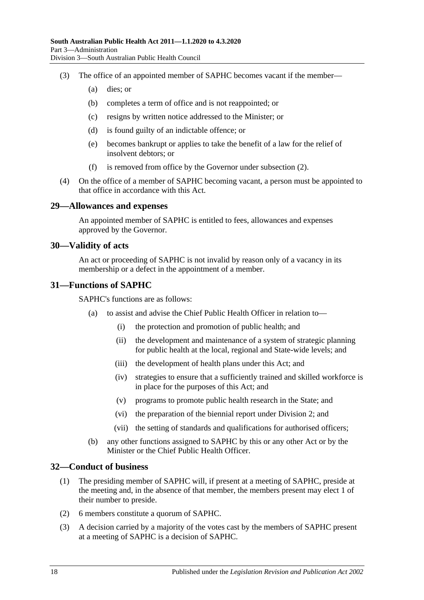- (3) The office of an appointed member of SAPHC becomes vacant if the member—
	- (a) dies; or
	- (b) completes a term of office and is not reappointed; or
	- (c) resigns by written notice addressed to the Minister; or
	- (d) is found guilty of an indictable offence; or
	- (e) becomes bankrupt or applies to take the benefit of a law for the relief of insolvent debtors; or
	- (f) is removed from office by the Governor under [subsection](#page-16-1) (2).
- (4) On the office of a member of SAPHC becoming vacant, a person must be appointed to that office in accordance with this Act.

#### <span id="page-17-0"></span>**29—Allowances and expenses**

An appointed member of SAPHC is entitled to fees, allowances and expenses approved by the Governor.

#### <span id="page-17-1"></span>**30—Validity of acts**

An act or proceeding of SAPHC is not invalid by reason only of a vacancy in its membership or a defect in the appointment of a member.

#### <span id="page-17-2"></span>**31—Functions of SAPHC**

SAPHC's functions are as follows:

- (a) to assist and advise the Chief Public Health Officer in relation to—
	- (i) the protection and promotion of public health; and
	- (ii) the development and maintenance of a system of strategic planning for public health at the local, regional and State-wide levels; and
	- (iii) the development of health plans under this Act; and
	- (iv) strategies to ensure that a sufficiently trained and skilled workforce is in place for the purposes of this Act; and
	- (v) programs to promote public health research in the State; and
	- (vi) the preparation of the biennial report under [Division](#page-13-0) 2; and
	- (vii) the setting of standards and qualifications for authorised officers;
- (b) any other functions assigned to SAPHC by this or any other Act or by the Minister or the Chief Public Health Officer.

#### <span id="page-17-3"></span>**32—Conduct of business**

- (1) The presiding member of SAPHC will, if present at a meeting of SAPHC, preside at the meeting and, in the absence of that member, the members present may elect 1 of their number to preside.
- (2) 6 members constitute a quorum of SAPHC.
- (3) A decision carried by a majority of the votes cast by the members of SAPHC present at a meeting of SAPHC is a decision of SAPHC.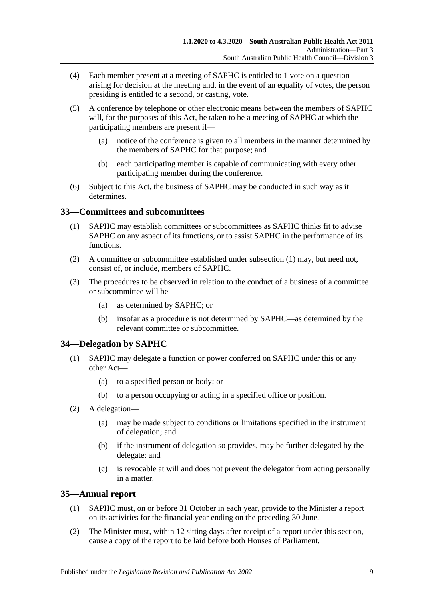- (4) Each member present at a meeting of SAPHC is entitled to 1 vote on a question arising for decision at the meeting and, in the event of an equality of votes, the person presiding is entitled to a second, or casting, vote.
- (5) A conference by telephone or other electronic means between the members of SAPHC will, for the purposes of this Act, be taken to be a meeting of SAPHC at which the participating members are present if—
	- (a) notice of the conference is given to all members in the manner determined by the members of SAPHC for that purpose; and
	- (b) each participating member is capable of communicating with every other participating member during the conference.
- (6) Subject to this Act, the business of SAPHC may be conducted in such way as it determines.

### <span id="page-18-3"></span><span id="page-18-0"></span>**33—Committees and subcommittees**

- (1) SAPHC may establish committees or subcommittees as SAPHC thinks fit to advise SAPHC on any aspect of its functions, or to assist SAPHC in the performance of its functions.
- (2) A committee or subcommittee established under [subsection](#page-18-3) (1) may, but need not, consist of, or include, members of SAPHC.
- (3) The procedures to be observed in relation to the conduct of a business of a committee or subcommittee will be—
	- (a) as determined by SAPHC; or
	- (b) insofar as a procedure is not determined by SAPHC—as determined by the relevant committee or subcommittee.

## <span id="page-18-1"></span>**34—Delegation by SAPHC**

- (1) SAPHC may delegate a function or power conferred on SAPHC under this or any other Act—
	- (a) to a specified person or body; or
	- (b) to a person occupying or acting in a specified office or position.
- (2) A delegation—
	- (a) may be made subject to conditions or limitations specified in the instrument of delegation; and
	- (b) if the instrument of delegation so provides, may be further delegated by the delegate; and
	- (c) is revocable at will and does not prevent the delegator from acting personally in a matter.

## <span id="page-18-2"></span>**35—Annual report**

- (1) SAPHC must, on or before 31 October in each year, provide to the Minister a report on its activities for the financial year ending on the preceding 30 June.
- (2) The Minister must, within 12 sitting days after receipt of a report under this section, cause a copy of the report to be laid before both Houses of Parliament.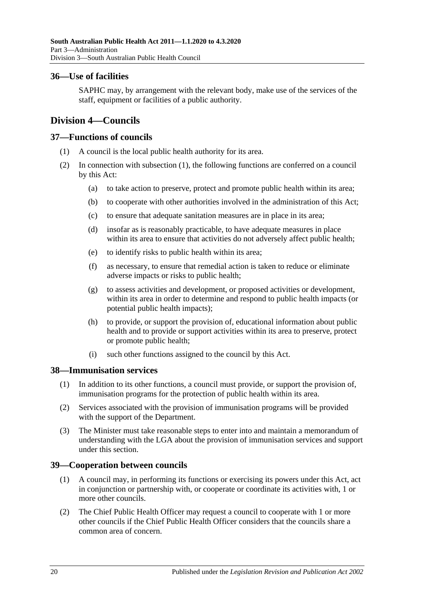### <span id="page-19-0"></span>**36—Use of facilities**

SAPHC may, by arrangement with the relevant body, make use of the services of the staff, equipment or facilities of a public authority.

## <span id="page-19-1"></span>**Division 4—Councils**

### <span id="page-19-5"></span><span id="page-19-2"></span>**37—Functions of councils**

- (1) A council is the local public health authority for its area.
- (2) In connection with [subsection](#page-19-5) (1), the following functions are conferred on a council by this Act:
	- (a) to take action to preserve, protect and promote public health within its area;
	- (b) to cooperate with other authorities involved in the administration of this Act;
	- (c) to ensure that adequate sanitation measures are in place in its area;
	- (d) insofar as is reasonably practicable, to have adequate measures in place within its area to ensure that activities do not adversely affect public health;
	- (e) to identify risks to public health within its area;
	- (f) as necessary, to ensure that remedial action is taken to reduce or eliminate adverse impacts or risks to public health;
	- (g) to assess activities and development, or proposed activities or development, within its area in order to determine and respond to public health impacts (or potential public health impacts);
	- (h) to provide, or support the provision of, educational information about public health and to provide or support activities within its area to preserve, protect or promote public health;
	- (i) such other functions assigned to the council by this Act.

### <span id="page-19-3"></span>**38—Immunisation services**

- (1) In addition to its other functions, a council must provide, or support the provision of, immunisation programs for the protection of public health within its area.
- (2) Services associated with the provision of immunisation programs will be provided with the support of the Department.
- (3) The Minister must take reasonable steps to enter into and maintain a memorandum of understanding with the LGA about the provision of immunisation services and support under this section.

## <span id="page-19-4"></span>**39—Cooperation between councils**

- (1) A council may, in performing its functions or exercising its powers under this Act, act in conjunction or partnership with, or cooperate or coordinate its activities with, 1 or more other councils.
- <span id="page-19-6"></span>(2) The Chief Public Health Officer may request a council to cooperate with 1 or more other councils if the Chief Public Health Officer considers that the councils share a common area of concern.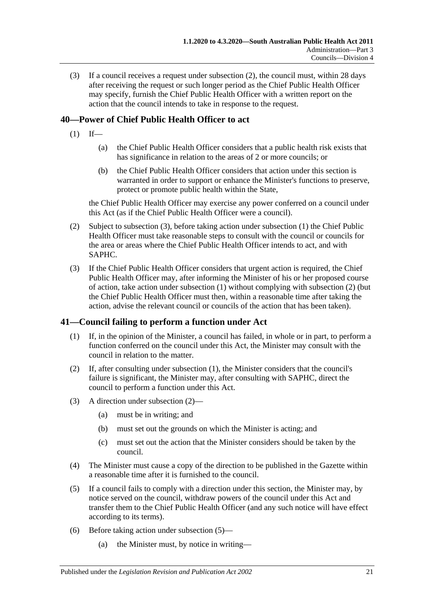(3) If a council receives a request under [subsection](#page-19-6) (2), the council must, within 28 days after receiving the request or such longer period as the Chief Public Health Officer may specify, furnish the Chief Public Health Officer with a written report on the action that the council intends to take in response to the request.

## <span id="page-20-3"></span><span id="page-20-0"></span>**40—Power of Chief Public Health Officer to act**

- $(1)$  If—
	- (a) the Chief Public Health Officer considers that a public health risk exists that has significance in relation to the areas of 2 or more councils; or
	- (b) the Chief Public Health Officer considers that action under this section is warranted in order to support or enhance the Minister's functions to preserve, protect or promote public health within the State,

the Chief Public Health Officer may exercise any power conferred on a council under this Act (as if the Chief Public Health Officer were a council).

- <span id="page-20-4"></span>(2) Subject to [subsection](#page-20-2) (3), before taking action under [subsection](#page-20-3) (1) the Chief Public Health Officer must take reasonable steps to consult with the council or councils for the area or areas where the Chief Public Health Officer intends to act, and with SAPHC.
- <span id="page-20-2"></span>(3) If the Chief Public Health Officer considers that urgent action is required, the Chief Public Health Officer may, after informing the Minister of his or her proposed course of action, take action under [subsection](#page-20-3) (1) without complying with [subsection](#page-20-4) (2) (but the Chief Public Health Officer must then, within a reasonable time after taking the action, advise the relevant council or councils of the action that has been taken).

## <span id="page-20-5"></span><span id="page-20-1"></span>**41—Council failing to perform a function under Act**

- (1) If, in the opinion of the Minister, a council has failed, in whole or in part, to perform a function conferred on the council under this Act, the Minister may consult with the council in relation to the matter.
- <span id="page-20-6"></span>(2) If, after consulting under [subsection](#page-20-5) (1), the Minister considers that the council's failure is significant, the Minister may, after consulting with SAPHC, direct the council to perform a function under this Act.
- (3) A direction under [subsection](#page-20-6) (2)—
	- (a) must be in writing; and
	- (b) must set out the grounds on which the Minister is acting; and
	- (c) must set out the action that the Minister considers should be taken by the council.
- (4) The Minister must cause a copy of the direction to be published in the Gazette within a reasonable time after it is furnished to the council.
- <span id="page-20-7"></span>(5) If a council fails to comply with a direction under this section, the Minister may, by notice served on the council, withdraw powers of the council under this Act and transfer them to the Chief Public Health Officer (and any such notice will have effect according to its terms).
- (6) Before taking action under [subsection](#page-20-7) (5)—
	- (a) the Minister must, by notice in writing—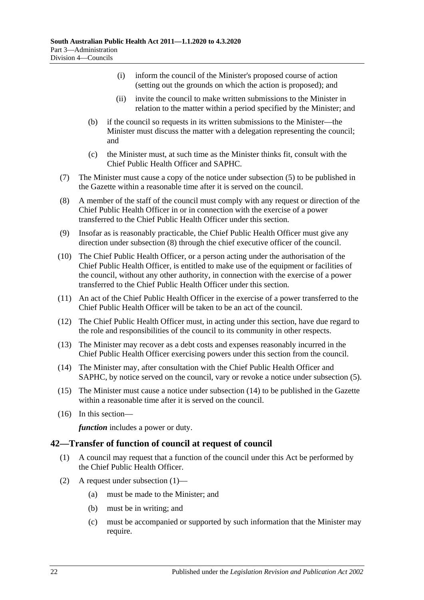- (i) inform the council of the Minister's proposed course of action (setting out the grounds on which the action is proposed); and
- (ii) invite the council to make written submissions to the Minister in relation to the matter within a period specified by the Minister; and
- (b) if the council so requests in its written submissions to the Minister—the Minister must discuss the matter with a delegation representing the council; and
- (c) the Minister must, at such time as the Minister thinks fit, consult with the Chief Public Health Officer and SAPHC.
- (7) The Minister must cause a copy of the notice under [subsection](#page-20-7) (5) to be published in the Gazette within a reasonable time after it is served on the council.
- <span id="page-21-1"></span>(8) A member of the staff of the council must comply with any request or direction of the Chief Public Health Officer in or in connection with the exercise of a power transferred to the Chief Public Health Officer under this section.
- (9) Insofar as is reasonably practicable, the Chief Public Health Officer must give any direction under [subsection](#page-21-1) (8) through the chief executive officer of the council.
- (10) The Chief Public Health Officer, or a person acting under the authorisation of the Chief Public Health Officer, is entitled to make use of the equipment or facilities of the council, without any other authority, in connection with the exercise of a power transferred to the Chief Public Health Officer under this section.
- (11) An act of the Chief Public Health Officer in the exercise of a power transferred to the Chief Public Health Officer will be taken to be an act of the council.
- (12) The Chief Public Health Officer must, in acting under this section, have due regard to the role and responsibilities of the council to its community in other respects.
- (13) The Minister may recover as a debt costs and expenses reasonably incurred in the Chief Public Health Officer exercising powers under this section from the council.
- <span id="page-21-2"></span>(14) The Minister may, after consultation with the Chief Public Health Officer and SAPHC, by notice served on the council, vary or revoke a notice under [subsection](#page-20-7) (5).
- (15) The Minister must cause a notice under [subsection](#page-21-2) (14) to be published in the Gazette within a reasonable time after it is served on the council.
- (16) In this section—

*function* includes a power or duty.

### <span id="page-21-3"></span><span id="page-21-0"></span>**42—Transfer of function of council at request of council**

- (1) A council may request that a function of the council under this Act be performed by the Chief Public Health Officer.
- (2) A request under [subsection](#page-21-3) (1)—
	- (a) must be made to the Minister; and
	- (b) must be in writing; and
	- (c) must be accompanied or supported by such information that the Minister may require.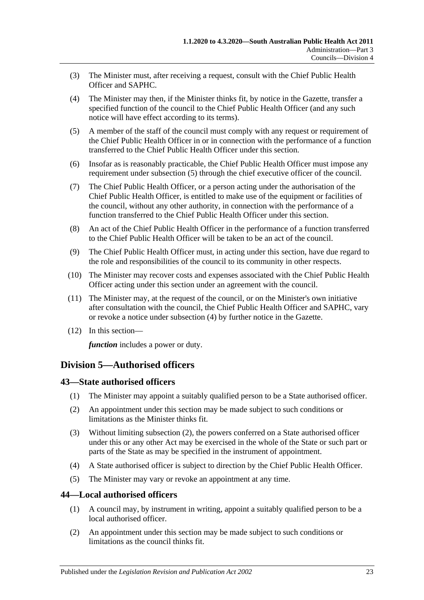- (3) The Minister must, after receiving a request, consult with the Chief Public Health Officer and SAPHC.
- <span id="page-22-4"></span>(4) The Minister may then, if the Minister thinks fit, by notice in the Gazette, transfer a specified function of the council to the Chief Public Health Officer (and any such notice will have effect according to its terms).
- <span id="page-22-3"></span>(5) A member of the staff of the council must comply with any request or requirement of the Chief Public Health Officer in or in connection with the performance of a function transferred to the Chief Public Health Officer under this section.
- (6) Insofar as is reasonably practicable, the Chief Public Health Officer must impose any requirement under [subsection](#page-22-3) (5) through the chief executive officer of the council.
- (7) The Chief Public Health Officer, or a person acting under the authorisation of the Chief Public Health Officer, is entitled to make use of the equipment or facilities of the council, without any other authority, in connection with the performance of a function transferred to the Chief Public Health Officer under this section.
- (8) An act of the Chief Public Health Officer in the performance of a function transferred to the Chief Public Health Officer will be taken to be an act of the council.
- (9) The Chief Public Health Officer must, in acting under this section, have due regard to the role and responsibilities of the council to its community in other respects.
- (10) The Minister may recover costs and expenses associated with the Chief Public Health Officer acting under this section under an agreement with the council.
- (11) The Minister may, at the request of the council, or on the Minister's own initiative after consultation with the council, the Chief Public Health Officer and SAPHC, vary or revoke a notice under [subsection](#page-22-4) (4) by further notice in the Gazette.
- (12) In this section—

*function* includes a power or duty.

## <span id="page-22-0"></span>**Division 5—Authorised officers**

### <span id="page-22-1"></span>**43—State authorised officers**

- (1) The Minister may appoint a suitably qualified person to be a State authorised officer.
- <span id="page-22-5"></span>(2) An appointment under this section may be made subject to such conditions or limitations as the Minister thinks fit.
- (3) Without limiting [subsection](#page-22-5) (2), the powers conferred on a State authorised officer under this or any other Act may be exercised in the whole of the State or such part or parts of the State as may be specified in the instrument of appointment.
- (4) A State authorised officer is subject to direction by the Chief Public Health Officer.
- (5) The Minister may vary or revoke an appointment at any time.

### <span id="page-22-2"></span>**44—Local authorised officers**

- (1) A council may, by instrument in writing, appoint a suitably qualified person to be a local authorised officer.
- <span id="page-22-6"></span>(2) An appointment under this section may be made subject to such conditions or limitations as the council thinks fit.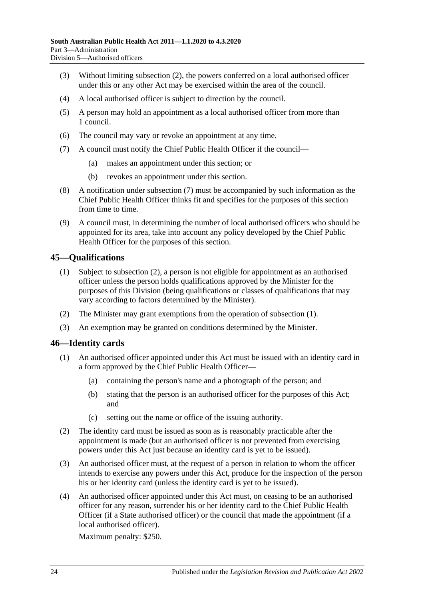- (3) Without limiting [subsection](#page-22-6) (2), the powers conferred on a local authorised officer under this or any other Act may be exercised within the area of the council.
- (4) A local authorised officer is subject to direction by the council.
- (5) A person may hold an appointment as a local authorised officer from more than 1 council.
- (6) The council may vary or revoke an appointment at any time.
- <span id="page-23-2"></span>(7) A council must notify the Chief Public Health Officer if the council—
	- (a) makes an appointment under this section; or
	- (b) revokes an appointment under this section.
- (8) A notification under [subsection](#page-23-2) (7) must be accompanied by such information as the Chief Public Health Officer thinks fit and specifies for the purposes of this section from time to time.
- (9) A council must, in determining the number of local authorised officers who should be appointed for its area, take into account any policy developed by the Chief Public Health Officer for the purposes of this section.

### <span id="page-23-4"></span><span id="page-23-0"></span>**45—Qualifications**

- (1) Subject to [subsection](#page-23-3) (2), a person is not eligible for appointment as an authorised officer unless the person holds qualifications approved by the Minister for the purposes of this Division (being qualifications or classes of qualifications that may vary according to factors determined by the Minister).
- <span id="page-23-3"></span>(2) The Minister may grant exemptions from the operation of [subsection](#page-23-4) (1).
- (3) An exemption may be granted on conditions determined by the Minister.

### <span id="page-23-1"></span>**46—Identity cards**

- (1) An authorised officer appointed under this Act must be issued with an identity card in a form approved by the Chief Public Health Officer—
	- (a) containing the person's name and a photograph of the person; and
	- (b) stating that the person is an authorised officer for the purposes of this Act; and
	- (c) setting out the name or office of the issuing authority.
- (2) The identity card must be issued as soon as is reasonably practicable after the appointment is made (but an authorised officer is not prevented from exercising powers under this Act just because an identity card is yet to be issued).
- (3) An authorised officer must, at the request of a person in relation to whom the officer intends to exercise any powers under this Act, produce for the inspection of the person his or her identity card (unless the identity card is yet to be issued).
- (4) An authorised officer appointed under this Act must, on ceasing to be an authorised officer for any reason, surrender his or her identity card to the Chief Public Health Officer (if a State authorised officer) or the council that made the appointment (if a local authorised officer).

Maximum penalty: \$250.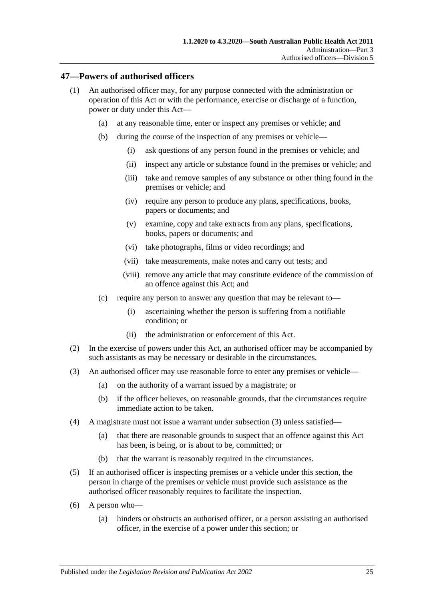#### <span id="page-24-0"></span>**47—Powers of authorised officers**

- (1) An authorised officer may, for any purpose connected with the administration or operation of this Act or with the performance, exercise or discharge of a function, power or duty under this Act—
	- (a) at any reasonable time, enter or inspect any premises or vehicle; and
	- (b) during the course of the inspection of any premises or vehicle—
		- (i) ask questions of any person found in the premises or vehicle; and
		- (ii) inspect any article or substance found in the premises or vehicle; and
		- (iii) take and remove samples of any substance or other thing found in the premises or vehicle; and
		- (iv) require any person to produce any plans, specifications, books, papers or documents; and
		- (v) examine, copy and take extracts from any plans, specifications, books, papers or documents; and
		- (vi) take photographs, films or video recordings; and
		- (vii) take measurements, make notes and carry out tests; and
		- (viii) remove any article that may constitute evidence of the commission of an offence against this Act; and
	- (c) require any person to answer any question that may be relevant to—
		- (i) ascertaining whether the person is suffering from a notifiable condition; or
		- (ii) the administration or enforcement of this Act.
- (2) In the exercise of powers under this Act, an authorised officer may be accompanied by such assistants as may be necessary or desirable in the circumstances.
- <span id="page-24-1"></span>(3) An authorised officer may use reasonable force to enter any premises or vehicle—
	- (a) on the authority of a warrant issued by a magistrate; or
	- (b) if the officer believes, on reasonable grounds, that the circumstances require immediate action to be taken.
- (4) A magistrate must not issue a warrant under [subsection](#page-24-1) (3) unless satisfied—
	- (a) that there are reasonable grounds to suspect that an offence against this Act has been, is being, or is about to be, committed; or
	- (b) that the warrant is reasonably required in the circumstances.
- (5) If an authorised officer is inspecting premises or a vehicle under this section, the person in charge of the premises or vehicle must provide such assistance as the authorised officer reasonably requires to facilitate the inspection.
- (6) A person who—
	- (a) hinders or obstructs an authorised officer, or a person assisting an authorised officer, in the exercise of a power under this section; or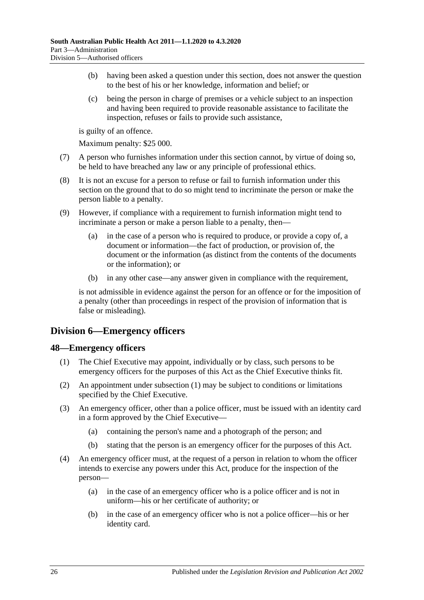- (b) having been asked a question under this section, does not answer the question to the best of his or her knowledge, information and belief; or
- (c) being the person in charge of premises or a vehicle subject to an inspection and having been required to provide reasonable assistance to facilitate the inspection, refuses or fails to provide such assistance,

is guilty of an offence.

Maximum penalty: \$25 000.

- (7) A person who furnishes information under this section cannot, by virtue of doing so, be held to have breached any law or any principle of professional ethics.
- (8) It is not an excuse for a person to refuse or fail to furnish information under this section on the ground that to do so might tend to incriminate the person or make the person liable to a penalty.
- (9) However, if compliance with a requirement to furnish information might tend to incriminate a person or make a person liable to a penalty, then—
	- (a) in the case of a person who is required to produce, or provide a copy of, a document or information—the fact of production, or provision of, the document or the information (as distinct from the contents of the documents or the information); or
	- (b) in any other case—any answer given in compliance with the requirement,

is not admissible in evidence against the person for an offence or for the imposition of a penalty (other than proceedings in respect of the provision of information that is false or misleading).

## <span id="page-25-0"></span>**Division 6—Emergency officers**

### <span id="page-25-2"></span><span id="page-25-1"></span>**48—Emergency officers**

- (1) The Chief Executive may appoint, individually or by class, such persons to be emergency officers for the purposes of this Act as the Chief Executive thinks fit.
- (2) An appointment under [subsection](#page-25-2) (1) may be subject to conditions or limitations specified by the Chief Executive.
- (3) An emergency officer, other than a police officer, must be issued with an identity card in a form approved by the Chief Executive—
	- (a) containing the person's name and a photograph of the person; and
	- (b) stating that the person is an emergency officer for the purposes of this Act.
- (4) An emergency officer must, at the request of a person in relation to whom the officer intends to exercise any powers under this Act, produce for the inspection of the person—
	- (a) in the case of an emergency officer who is a police officer and is not in uniform—his or her certificate of authority; or
	- (b) in the case of an emergency officer who is not a police officer—his or her identity card.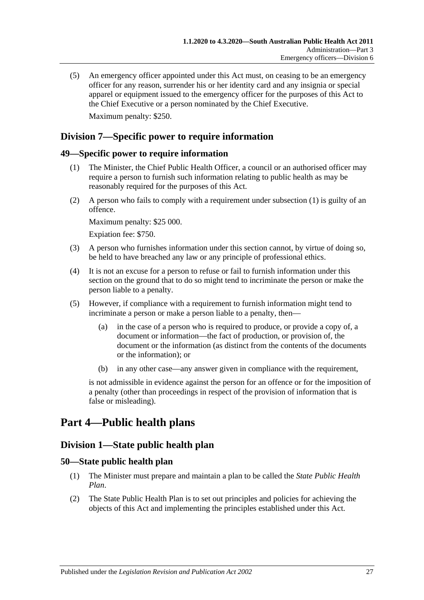(5) An emergency officer appointed under this Act must, on ceasing to be an emergency officer for any reason, surrender his or her identity card and any insignia or special apparel or equipment issued to the emergency officer for the purposes of this Act to the Chief Executive or a person nominated by the Chief Executive. Maximum penalty: \$250.

## <span id="page-26-0"></span>**Division 7—Specific power to require information**

#### <span id="page-26-5"></span><span id="page-26-1"></span>**49—Specific power to require information**

- (1) The Minister, the Chief Public Health Officer, a council or an authorised officer may require a person to furnish such information relating to public health as may be reasonably required for the purposes of this Act.
- (2) A person who fails to comply with a requirement under [subsection](#page-26-5) (1) is guilty of an offence.

Maximum penalty: \$25 000.

Expiation fee: \$750.

- (3) A person who furnishes information under this section cannot, by virtue of doing so, be held to have breached any law or any principle of professional ethics.
- (4) It is not an excuse for a person to refuse or fail to furnish information under this section on the ground that to do so might tend to incriminate the person or make the person liable to a penalty.
- (5) However, if compliance with a requirement to furnish information might tend to incriminate a person or make a person liable to a penalty, then—
	- (a) in the case of a person who is required to produce, or provide a copy of, a document or information—the fact of production, or provision of, the document or the information (as distinct from the contents of the documents or the information); or
	- (b) in any other case—any answer given in compliance with the requirement,

is not admissible in evidence against the person for an offence or for the imposition of a penalty (other than proceedings in respect of the provision of information that is false or misleading).

# <span id="page-26-3"></span><span id="page-26-2"></span>**Part 4—Public health plans**

## **Division 1—State public health plan**

#### <span id="page-26-4"></span>**50—State public health plan**

- (1) The Minister must prepare and maintain a plan to be called the *State Public Health Plan*.
- <span id="page-26-6"></span>(2) The State Public Health Plan is to set out principles and policies for achieving the objects of this Act and implementing the principles established under this Act.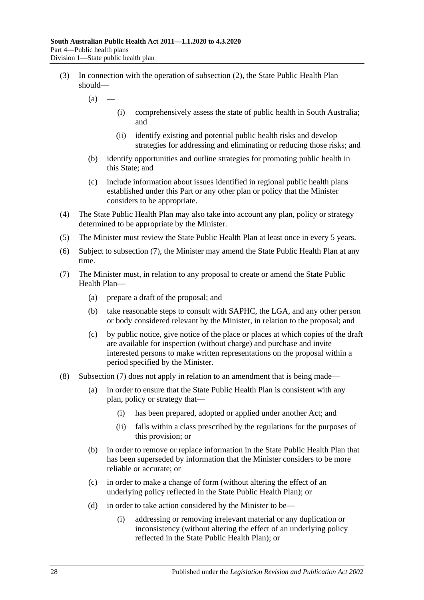- (3) In connection with the operation of [subsection](#page-26-6) (2), the State Public Health Plan should—
	- $(a)$ 
		- (i) comprehensively assess the state of public health in South Australia; and
		- (ii) identify existing and potential public health risks and develop strategies for addressing and eliminating or reducing those risks; and
	- (b) identify opportunities and outline strategies for promoting public health in this State; and
	- (c) include information about issues identified in regional public health plans established under this Part or any other plan or policy that the Minister considers to be appropriate.
- (4) The State Public Health Plan may also take into account any plan, policy or strategy determined to be appropriate by the Minister.
- (5) The Minister must review the State Public Health Plan at least once in every 5 years.
- (6) Subject to [subsection](#page-27-0) (7), the Minister may amend the State Public Health Plan at any time.
- <span id="page-27-0"></span>(7) The Minister must, in relation to any proposal to create or amend the State Public Health Plan—
	- (a) prepare a draft of the proposal; and
	- (b) take reasonable steps to consult with SAPHC, the LGA, and any other person or body considered relevant by the Minister, in relation to the proposal; and
	- (c) by public notice, give notice of the place or places at which copies of the draft are available for inspection (without charge) and purchase and invite interested persons to make written representations on the proposal within a period specified by the Minister.
- (8) [Subsection](#page-27-0) (7) does not apply in relation to an amendment that is being made—
	- (a) in order to ensure that the State Public Health Plan is consistent with any plan, policy or strategy that—
		- (i) has been prepared, adopted or applied under another Act; and
		- (ii) falls within a class prescribed by the regulations for the purposes of this provision; or
	- (b) in order to remove or replace information in the State Public Health Plan that has been superseded by information that the Minister considers to be more reliable or accurate; or
	- (c) in order to make a change of form (without altering the effect of an underlying policy reflected in the State Public Health Plan); or
	- (d) in order to take action considered by the Minister to be—
		- (i) addressing or removing irrelevant material or any duplication or inconsistency (without altering the effect of an underlying policy reflected in the State Public Health Plan); or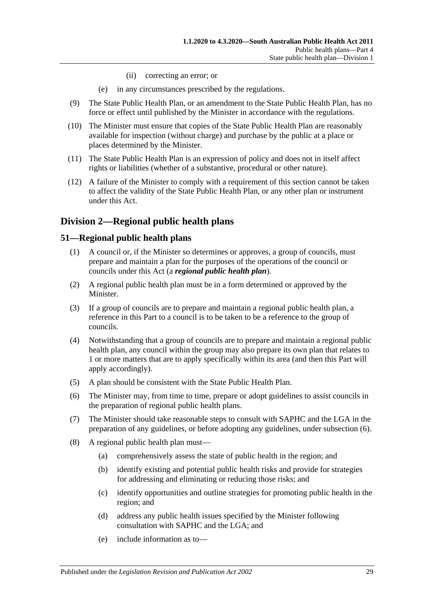- (ii) correcting an error; or
- (e) in any circumstances prescribed by the regulations.
- (9) The State Public Health Plan, or an amendment to the State Public Health Plan, has no force or effect until published by the Minister in accordance with the regulations.
- (10) The Minister must ensure that copies of the State Public Health Plan are reasonably available for inspection (without charge) and purchase by the public at a place or places determined by the Minister.
- (11) The State Public Health Plan is an expression of policy and does not in itself affect rights or liabilities (whether of a substantive, procedural or other nature).
- (12) A failure of the Minister to comply with a requirement of this section cannot be taken to affect the validity of the State Public Health Plan, or any other plan or instrument under this Act.

## <span id="page-28-0"></span>**Division 2—Regional public health plans**

#### <span id="page-28-1"></span>**51—Regional public health plans**

- (1) A council or, if the Minister so determines or approves, a group of councils, must prepare and maintain a plan for the purposes of the operations of the council or councils under this Act (a *regional public health plan*).
- (2) A regional public health plan must be in a form determined or approved by the Minister.
- (3) If a group of councils are to prepare and maintain a regional public health plan, a reference in this Part to a council is to be taken to be a reference to the group of councils.
- (4) Notwithstanding that a group of councils are to prepare and maintain a regional public health plan, any council within the group may also prepare its own plan that relates to 1 or more matters that are to apply specifically within its area (and then this Part will apply accordingly).
- (5) A plan should be consistent with the State Public Health Plan.
- <span id="page-28-2"></span>(6) The Minister may, from time to time, prepare or adopt guidelines to assist councils in the preparation of regional public health plans.
- (7) The Minister should take reasonable steps to consult with SAPHC and the LGA in the preparation of any guidelines, or before adopting any guidelines, under [subsection](#page-28-2) (6).
- (8) A regional public health plan must—
	- (a) comprehensively assess the state of public health in the region; and
	- (b) identify existing and potential public health risks and provide for strategies for addressing and eliminating or reducing those risks; and
	- (c) identify opportunities and outline strategies for promoting public health in the region; and
	- (d) address any public health issues specified by the Minister following consultation with SAPHC and the LGA; and
	- (e) include information as to—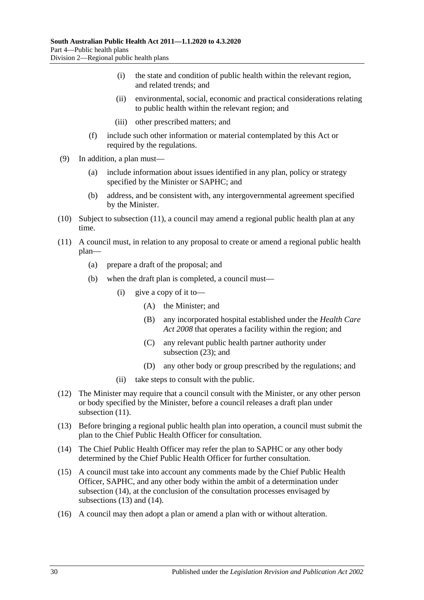- (i) the state and condition of public health within the relevant region, and related trends; and
- (ii) environmental, social, economic and practical considerations relating to public health within the relevant region; and
- (iii) other prescribed matters; and
- (f) include such other information or material contemplated by this Act or required by the regulations.
- (9) In addition, a plan must—
	- (a) include information about issues identified in any plan, policy or strategy specified by the Minister or SAPHC; and
	- (b) address, and be consistent with, any intergovernmental agreement specified by the Minister.
- (10) Subject to [subsection](#page-29-0) (11), a council may amend a regional public health plan at any time.
- <span id="page-29-0"></span>(11) A council must, in relation to any proposal to create or amend a regional public health plan—
	- (a) prepare a draft of the proposal; and
	- (b) when the draft plan is completed, a council must—
		- (i) give a copy of it to—
			- (A) the Minister; and
			- (B) any incorporated hospital established under the *[Health Care](http://www.legislation.sa.gov.au/index.aspx?action=legref&type=act&legtitle=Health%20Care%20Act%202008)  Act [2008](http://www.legislation.sa.gov.au/index.aspx?action=legref&type=act&legtitle=Health%20Care%20Act%202008)* that operates a facility within the region; and
			- (C) any relevant public health partner authority under [subsection](#page-30-1) (23); and
			- (D) any other body or group prescribed by the regulations; and
		- (ii) take steps to consult with the public.
- (12) The Minister may require that a council consult with the Minister, or any other person or body specified by the Minister, before a council releases a draft plan under [subsection](#page-29-0)  $(11)$ .
- <span id="page-29-2"></span>(13) Before bringing a regional public health plan into operation, a council must submit the plan to the Chief Public Health Officer for consultation.
- <span id="page-29-1"></span>(14) The Chief Public Health Officer may refer the plan to SAPHC or any other body determined by the Chief Public Health Officer for further consultation.
- (15) A council must take into account any comments made by the Chief Public Health Officer, SAPHC, and any other body within the ambit of a determination under [subsection](#page-29-1) (14), at the conclusion of the consultation processes envisaged by [subsections](#page-29-2) (13) and [\(14\).](#page-29-1)
- (16) A council may then adopt a plan or amend a plan with or without alteration.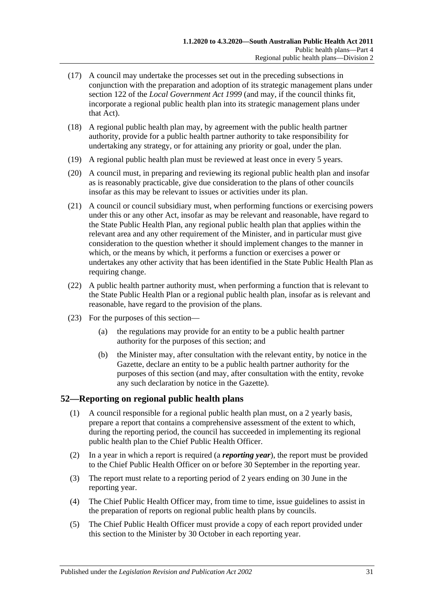- (17) A council may undertake the processes set out in the preceding subsections in conjunction with the preparation and adoption of its strategic management plans under section 122 of the *[Local Government Act](http://www.legislation.sa.gov.au/index.aspx?action=legref&type=act&legtitle=Local%20Government%20Act%201999) 1999* (and may, if the council thinks fit, incorporate a regional public health plan into its strategic management plans under that Act).
- (18) A regional public health plan may, by agreement with the public health partner authority, provide for a public health partner authority to take responsibility for undertaking any strategy, or for attaining any priority or goal, under the plan.
- (19) A regional public health plan must be reviewed at least once in every 5 years.
- (20) A council must, in preparing and reviewing its regional public health plan and insofar as is reasonably practicable, give due consideration to the plans of other councils insofar as this may be relevant to issues or activities under its plan.
- (21) A council or council subsidiary must, when performing functions or exercising powers under this or any other Act, insofar as may be relevant and reasonable, have regard to the State Public Health Plan, any regional public health plan that applies within the relevant area and any other requirement of the Minister, and in particular must give consideration to the question whether it should implement changes to the manner in which, or the means by which, it performs a function or exercises a power or undertakes any other activity that has been identified in the State Public Health Plan as requiring change.
- (22) A public health partner authority must, when performing a function that is relevant to the State Public Health Plan or a regional public health plan, insofar as is relevant and reasonable, have regard to the provision of the plans.
- <span id="page-30-1"></span>(23) For the purposes of this section—
	- (a) the regulations may provide for an entity to be a public health partner authority for the purposes of this section; and
	- (b) the Minister may, after consultation with the relevant entity, by notice in the Gazette, declare an entity to be a public health partner authority for the purposes of this section (and may, after consultation with the entity, revoke any such declaration by notice in the Gazette).

### <span id="page-30-0"></span>**52—Reporting on regional public health plans**

- (1) A council responsible for a regional public health plan must, on a 2 yearly basis, prepare a report that contains a comprehensive assessment of the extent to which, during the reporting period, the council has succeeded in implementing its regional public health plan to the Chief Public Health Officer.
- (2) In a year in which a report is required (a *reporting year*), the report must be provided to the Chief Public Health Officer on or before 30 September in the reporting year.
- (3) The report must relate to a reporting period of 2 years ending on 30 June in the reporting year.
- (4) The Chief Public Health Officer may, from time to time, issue guidelines to assist in the preparation of reports on regional public health plans by councils.
- (5) The Chief Public Health Officer must provide a copy of each report provided under this section to the Minister by 30 October in each reporting year.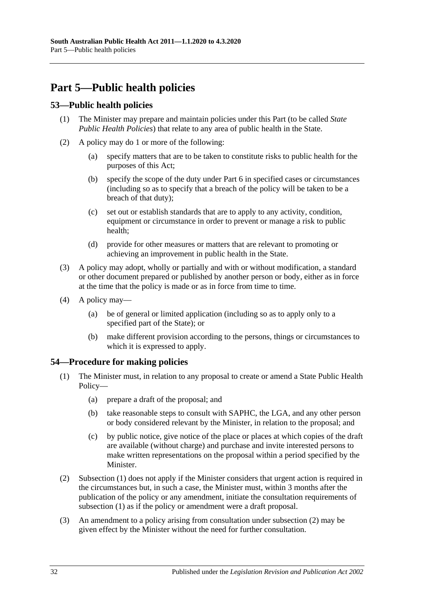# <span id="page-31-0"></span>**Part 5—Public health policies**

## <span id="page-31-1"></span>**53—Public health policies**

- (1) The Minister may prepare and maintain policies under this Part (to be called *State Public Health Policies*) that relate to any area of public health in the State.
- (2) A policy may do 1 or more of the following:
	- (a) specify matters that are to be taken to constitute risks to public health for the purposes of this Act;
	- (b) specify the scope of the duty under [Part](#page-32-1) 6 in specified cases or circumstances (including so as to specify that a breach of the policy will be taken to be a breach of that duty);
	- (c) set out or establish standards that are to apply to any activity, condition, equipment or circumstance in order to prevent or manage a risk to public health;
	- (d) provide for other measures or matters that are relevant to promoting or achieving an improvement in public health in the State.
- (3) A policy may adopt, wholly or partially and with or without modification, a standard or other document prepared or published by another person or body, either as in force at the time that the policy is made or as in force from time to time.
- (4) A policy may—
	- (a) be of general or limited application (including so as to apply only to a specified part of the State); or
	- (b) make different provision according to the persons, things or circumstances to which it is expressed to apply.

### <span id="page-31-3"></span><span id="page-31-2"></span>**54—Procedure for making policies**

- (1) The Minister must, in relation to any proposal to create or amend a State Public Health Policy—
	- (a) prepare a draft of the proposal; and
	- (b) take reasonable steps to consult with SAPHC, the LGA, and any other person or body considered relevant by the Minister, in relation to the proposal; and
	- (c) by public notice, give notice of the place or places at which copies of the draft are available (without charge) and purchase and invite interested persons to make written representations on the proposal within a period specified by the Minister.
- <span id="page-31-4"></span>(2) [Subsection](#page-31-3) (1) does not apply if the Minister considers that urgent action is required in the circumstances but, in such a case, the Minister must, within 3 months after the publication of the policy or any amendment, initiate the consultation requirements of [subsection](#page-31-3) (1) as if the policy or amendment were a draft proposal.
- (3) An amendment to a policy arising from consultation under [subsection](#page-31-4) (2) may be given effect by the Minister without the need for further consultation.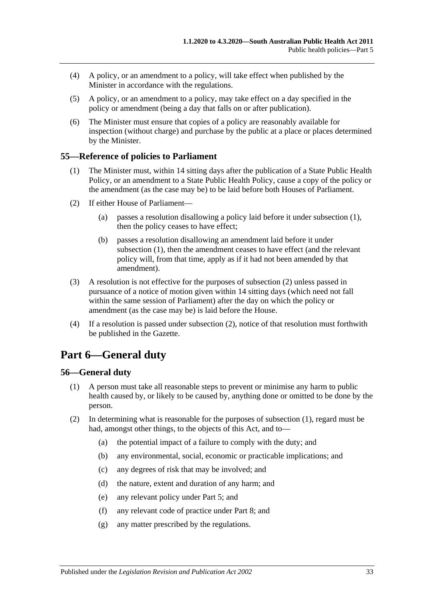- (4) A policy, or an amendment to a policy, will take effect when published by the Minister in accordance with the regulations.
- (5) A policy, or an amendment to a policy, may take effect on a day specified in the policy or amendment (being a day that falls on or after publication).
- (6) The Minister must ensure that copies of a policy are reasonably available for inspection (without charge) and purchase by the public at a place or places determined by the Minister.

### <span id="page-32-3"></span><span id="page-32-0"></span>**55—Reference of policies to Parliament**

- (1) The Minister must, within 14 sitting days after the publication of a State Public Health Policy, or an amendment to a State Public Health Policy, cause a copy of the policy or the amendment (as the case may be) to be laid before both Houses of Parliament.
- <span id="page-32-4"></span>(2) If either House of Parliament—
	- (a) passes a resolution disallowing a policy laid before it under [subsection](#page-32-3) (1), then the policy ceases to have effect;
	- (b) passes a resolution disallowing an amendment laid before it under [subsection](#page-32-3) (1), then the amendment ceases to have effect (and the relevant policy will, from that time, apply as if it had not been amended by that amendment).
- (3) A resolution is not effective for the purposes of [subsection](#page-32-4) (2) unless passed in pursuance of a notice of motion given within 14 sitting days (which need not fall within the same session of Parliament) after the day on which the policy or amendment (as the case may be) is laid before the House.
- (4) If a resolution is passed under [subsection](#page-32-4) (2), notice of that resolution must forthwith be published in the Gazette.

# <span id="page-32-1"></span>**Part 6—General duty**

### <span id="page-32-5"></span><span id="page-32-2"></span>**56—General duty**

- (1) A person must take all reasonable steps to prevent or minimise any harm to public health caused by, or likely to be caused by, anything done or omitted to be done by the person.
- (2) In determining what is reasonable for the purposes of [subsection](#page-32-5) (1), regard must be had, amongst other things, to the objects of this Act, and to—
	- (a) the potential impact of a failure to comply with the duty; and
	- (b) any environmental, social, economic or practicable implications; and
	- (c) any degrees of risk that may be involved; and
	- (d) the nature, extent and duration of any harm; and
	- (e) any relevant policy under [Part](#page-31-0) 5; and
	- (f) any relevant code of practice under [Part](#page-35-0) 8; and
	- (g) any matter prescribed by the regulations.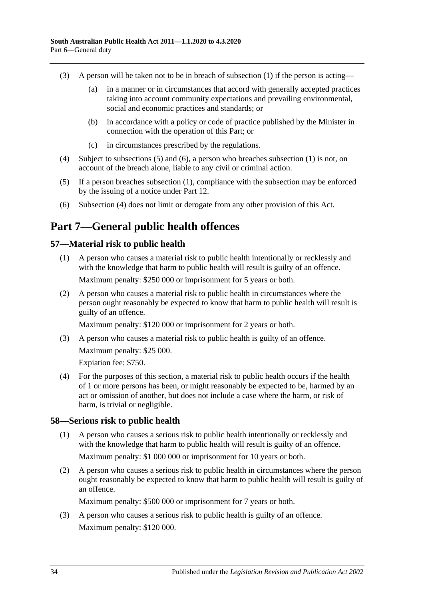- (3) A person will be taken not to be in breach of [subsection](#page-32-5) (1) if the person is acting—
	- (a) in a manner or in circumstances that accord with generally accepted practices taking into account community expectations and prevailing environmental, social and economic practices and standards; or
	- (b) in accordance with a policy or code of practice published by the Minister in connection with the operation of this Part; or
	- (c) in circumstances prescribed by the regulations.
- <span id="page-33-5"></span>(4) Subject to [subsections](#page-33-3) (5) and [\(6\),](#page-33-4) a person who breaches [subsection](#page-32-5) (1) is not, on account of the breach alone, liable to any civil or criminal action.
- <span id="page-33-3"></span>(5) If a person breaches [subsection](#page-32-5) (1), compliance with the subsection may be enforced by the issuing of a notice under [Part](#page-58-0) 12.
- <span id="page-33-4"></span>(6) [Subsection](#page-33-5) (4) does not limit or derogate from any other provision of this Act.

# <span id="page-33-0"></span>**Part 7—General public health offences**

### <span id="page-33-1"></span>**57—Material risk to public health**

- (1) A person who causes a material risk to public health intentionally or recklessly and with the knowledge that harm to public health will result is guilty of an offence. Maximum penalty: \$250 000 or imprisonment for 5 years or both.
- (2) A person who causes a material risk to public health in circumstances where the person ought reasonably be expected to know that harm to public health will result is guilty of an offence.

Maximum penalty: \$120 000 or imprisonment for 2 years or both.

(3) A person who causes a material risk to public health is guilty of an offence. Maximum penalty: \$25 000.

Expiation fee: \$750.

(4) For the purposes of this section, a material risk to public health occurs if the health of 1 or more persons has been, or might reasonably be expected to be, harmed by an act or omission of another, but does not include a case where the harm, or risk of harm, is trivial or negligible.

### <span id="page-33-2"></span>**58—Serious risk to public health**

- (1) A person who causes a serious risk to public health intentionally or recklessly and with the knowledge that harm to public health will result is guilty of an offence. Maximum penalty: \$1 000 000 or imprisonment for 10 years or both.
- (2) A person who causes a serious risk to public health in circumstances where the person ought reasonably be expected to know that harm to public health will result is guilty of an offence.

Maximum penalty: \$500 000 or imprisonment for 7 years or both.

(3) A person who causes a serious risk to public health is guilty of an offence. Maximum penalty: \$120 000.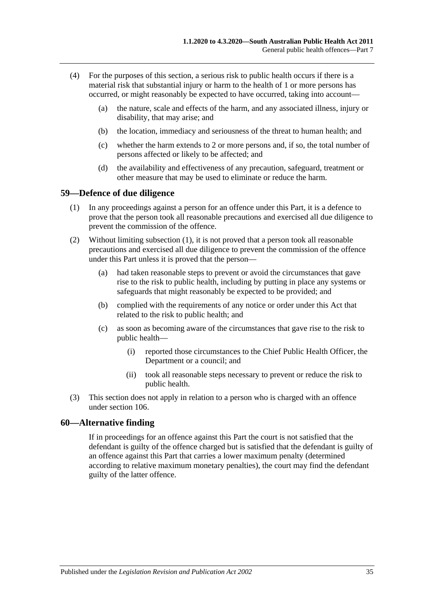- (4) For the purposes of this section, a serious risk to public health occurs if there is a material risk that substantial injury or harm to the health of 1 or more persons has occurred, or might reasonably be expected to have occurred, taking into account—
	- (a) the nature, scale and effects of the harm, and any associated illness, injury or disability, that may arise; and
	- (b) the location, immediacy and seriousness of the threat to human health; and
	- (c) whether the harm extends to 2 or more persons and, if so, the total number of persons affected or likely to be affected; and
	- (d) the availability and effectiveness of any precaution, safeguard, treatment or other measure that may be used to eliminate or reduce the harm.

#### <span id="page-34-2"></span><span id="page-34-0"></span>**59—Defence of due diligence**

- (1) In any proceedings against a person for an offence under this Part, it is a defence to prove that the person took all reasonable precautions and exercised all due diligence to prevent the commission of the offence.
- (2) Without limiting [subsection](#page-34-2) (1), it is not proved that a person took all reasonable precautions and exercised all due diligence to prevent the commission of the offence under this Part unless it is proved that the person—
	- (a) had taken reasonable steps to prevent or avoid the circumstances that gave rise to the risk to public health, including by putting in place any systems or safeguards that might reasonably be expected to be provided; and
	- (b) complied with the requirements of any notice or order under this Act that related to the risk to public health; and
	- (c) as soon as becoming aware of the circumstances that gave rise to the risk to public health—
		- (i) reported those circumstances to the Chief Public Health Officer, the Department or a council; and
		- (ii) took all reasonable steps necessary to prevent or reduce the risk to public health.
- (3) This section does not apply in relation to a person who is charged with an offence under [section](#page-73-0) 106.

#### <span id="page-34-1"></span>**60—Alternative finding**

If in proceedings for an offence against this Part the court is not satisfied that the defendant is guilty of the offence charged but is satisfied that the defendant is guilty of an offence against this Part that carries a lower maximum penalty (determined according to relative maximum monetary penalties), the court may find the defendant guilty of the latter offence.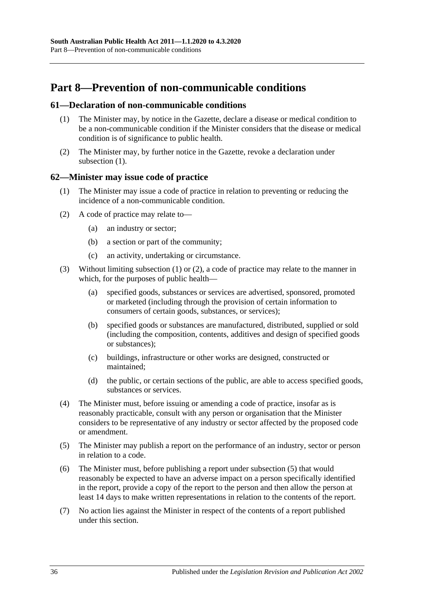# <span id="page-35-0"></span>**Part 8—Prevention of non-communicable conditions**

#### <span id="page-35-3"></span><span id="page-35-1"></span>**61—Declaration of non-communicable conditions**

- (1) The Minister may, by notice in the Gazette, declare a disease or medical condition to be a non-communicable condition if the Minister considers that the disease or medical condition is of significance to public health.
- (2) The Minister may, by further notice in the Gazette, revoke a declaration under [subsection](#page-35-3) (1).

#### <span id="page-35-4"></span><span id="page-35-2"></span>**62—Minister may issue code of practice**

- (1) The Minister may issue a code of practice in relation to preventing or reducing the incidence of a non-communicable condition.
- <span id="page-35-5"></span>(2) A code of practice may relate to—
	- (a) an industry or sector;
	- (b) a section or part of the community;
	- (c) an activity, undertaking or circumstance.
- (3) Without limiting [subsection](#page-35-4) (1) or [\(2\),](#page-35-5) a code of practice may relate to the manner in which, for the purposes of public health—
	- (a) specified goods, substances or services are advertised, sponsored, promoted or marketed (including through the provision of certain information to consumers of certain goods, substances, or services);
	- (b) specified goods or substances are manufactured, distributed, supplied or sold (including the composition, contents, additives and design of specified goods or substances);
	- (c) buildings, infrastructure or other works are designed, constructed or maintained;
	- (d) the public, or certain sections of the public, are able to access specified goods, substances or services.
- (4) The Minister must, before issuing or amending a code of practice, insofar as is reasonably practicable, consult with any person or organisation that the Minister considers to be representative of any industry or sector affected by the proposed code or amendment.
- <span id="page-35-6"></span>(5) The Minister may publish a report on the performance of an industry, sector or person in relation to a code.
- (6) The Minister must, before publishing a report under [subsection](#page-35-6) (5) that would reasonably be expected to have an adverse impact on a person specifically identified in the report, provide a copy of the report to the person and then allow the person at least 14 days to make written representations in relation to the contents of the report.
- (7) No action lies against the Minister in respect of the contents of a report published under this section.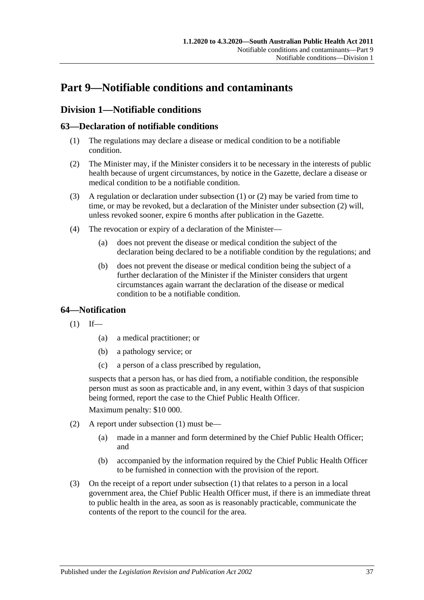# **Part 9—Notifiable conditions and contaminants**

# **Division 1—Notifiable conditions**

# <span id="page-36-0"></span>**63—Declaration of notifiable conditions**

- (1) The regulations may declare a disease or medical condition to be a notifiable condition.
- <span id="page-36-1"></span>(2) The Minister may, if the Minister considers it to be necessary in the interests of public health because of urgent circumstances, by notice in the Gazette, declare a disease or medical condition to be a notifiable condition.
- (3) A regulation or declaration under [subsection](#page-36-0) (1) or [\(2\)](#page-36-1) may be varied from time to time, or may be revoked, but a declaration of the Minister under [subsection](#page-36-1) (2) will, unless revoked sooner, expire 6 months after publication in the Gazette.
- (4) The revocation or expiry of a declaration of the Minister—
	- (a) does not prevent the disease or medical condition the subject of the declaration being declared to be a notifiable condition by the regulations; and
	- (b) does not prevent the disease or medical condition being the subject of a further declaration of the Minister if the Minister considers that urgent circumstances again warrant the declaration of the disease or medical condition to be a notifiable condition.

# <span id="page-36-2"></span>**64—Notification**

- $(1)$  If—
	- (a) a medical practitioner; or
	- (b) a pathology service; or
	- (c) a person of a class prescribed by regulation,

suspects that a person has, or has died from, a notifiable condition, the responsible person must as soon as practicable and, in any event, within 3 days of that suspicion being formed, report the case to the Chief Public Health Officer.

Maximum penalty: \$10 000.

- (2) A report under [subsection](#page-36-2) (1) must be—
	- (a) made in a manner and form determined by the Chief Public Health Officer; and
	- (b) accompanied by the information required by the Chief Public Health Officer to be furnished in connection with the provision of the report.
- (3) On the receipt of a report under [subsection](#page-36-2) (1) that relates to a person in a local government area, the Chief Public Health Officer must, if there is an immediate threat to public health in the area, as soon as is reasonably practicable, communicate the contents of the report to the council for the area.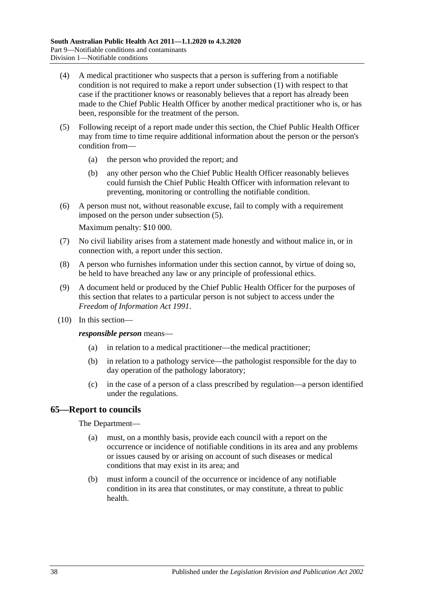- (4) A medical practitioner who suspects that a person is suffering from a notifiable condition is not required to make a report under [subsection](#page-36-2) (1) with respect to that case if the practitioner knows or reasonably believes that a report has already been made to the Chief Public Health Officer by another medical practitioner who is, or has been, responsible for the treatment of the person.
- <span id="page-37-0"></span>(5) Following receipt of a report made under this section, the Chief Public Health Officer may from time to time require additional information about the person or the person's condition from—
	- (a) the person who provided the report; and
	- (b) any other person who the Chief Public Health Officer reasonably believes could furnish the Chief Public Health Officer with information relevant to preventing, monitoring or controlling the notifiable condition.
- (6) A person must not, without reasonable excuse, fail to comply with a requirement imposed on the person under [subsection](#page-37-0) (5).

Maximum penalty: \$10 000.

- (7) No civil liability arises from a statement made honestly and without malice in, or in connection with, a report under this section.
- (8) A person who furnishes information under this section cannot, by virtue of doing so, be held to have breached any law or any principle of professional ethics.
- (9) A document held or produced by the Chief Public Health Officer for the purposes of this section that relates to a particular person is not subject to access under the *[Freedom of Information Act](http://www.legislation.sa.gov.au/index.aspx?action=legref&type=act&legtitle=Freedom%20of%20Information%20Act%201991) 1991*.
- (10) In this section—

*responsible person* means—

- (a) in relation to a medical practitioner—the medical practitioner;
- (b) in relation to a pathology service—the pathologist responsible for the day to day operation of the pathology laboratory;
- (c) in the case of a person of a class prescribed by regulation—a person identified under the regulations.

#### **65—Report to councils**

#### The Department—

- (a) must, on a monthly basis, provide each council with a report on the occurrence or incidence of notifiable conditions in its area and any problems or issues caused by or arising on account of such diseases or medical conditions that may exist in its area; and
- (b) must inform a council of the occurrence or incidence of any notifiable condition in its area that constitutes, or may constitute, a threat to public health.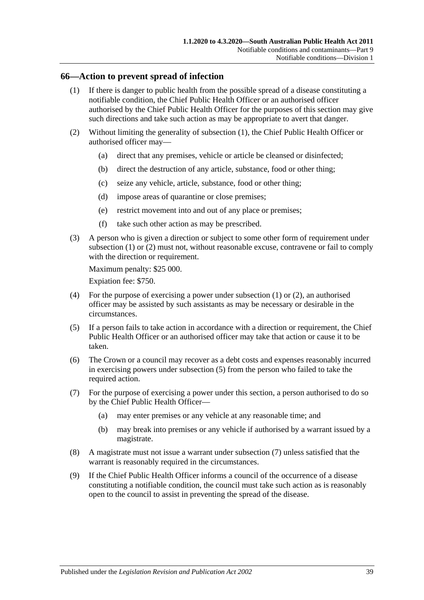#### <span id="page-38-0"></span>**66—Action to prevent spread of infection**

- (1) If there is danger to public health from the possible spread of a disease constituting a notifiable condition, the Chief Public Health Officer or an authorised officer authorised by the Chief Public Health Officer for the purposes of this section may give such directions and take such action as may be appropriate to avert that danger.
- <span id="page-38-1"></span>(2) Without limiting the generality of [subsection](#page-38-0) (1), the Chief Public Health Officer or authorised officer may—
	- (a) direct that any premises, vehicle or article be cleansed or disinfected;
	- (b) direct the destruction of any article, substance, food or other thing;
	- (c) seize any vehicle, article, substance, food or other thing;
	- (d) impose areas of quarantine or close premises;
	- (e) restrict movement into and out of any place or premises;
	- (f) take such other action as may be prescribed.
- (3) A person who is given a direction or subject to some other form of requirement under [subsection](#page-38-0) (1) or [\(2\)](#page-38-1) must not, without reasonable excuse, contravene or fail to comply with the direction or requirement.

Maximum penalty: \$25 000.

Expiation fee: \$750.

- (4) For the purpose of exercising a power under [subsection](#page-38-0) (1) or [\(2\),](#page-38-1) an authorised officer may be assisted by such assistants as may be necessary or desirable in the circumstances.
- <span id="page-38-2"></span>(5) If a person fails to take action in accordance with a direction or requirement, the Chief Public Health Officer or an authorised officer may take that action or cause it to be taken.
- (6) The Crown or a council may recover as a debt costs and expenses reasonably incurred in exercising powers under [subsection](#page-38-2) (5) from the person who failed to take the required action.
- <span id="page-38-3"></span>(7) For the purpose of exercising a power under this section, a person authorised to do so by the Chief Public Health Officer—
	- (a) may enter premises or any vehicle at any reasonable time; and
	- (b) may break into premises or any vehicle if authorised by a warrant issued by a magistrate.
- (8) A magistrate must not issue a warrant under [subsection](#page-38-3) (7) unless satisfied that the warrant is reasonably required in the circumstances.
- (9) If the Chief Public Health Officer informs a council of the occurrence of a disease constituting a notifiable condition, the council must take such action as is reasonably open to the council to assist in preventing the spread of the disease.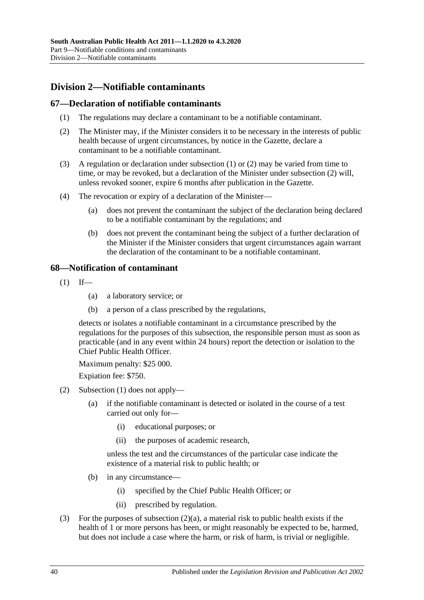# **Division 2—Notifiable contaminants**

## <span id="page-39-0"></span>**67—Declaration of notifiable contaminants**

- (1) The regulations may declare a contaminant to be a notifiable contaminant.
- <span id="page-39-1"></span>(2) The Minister may, if the Minister considers it to be necessary in the interests of public health because of urgent circumstances, by notice in the Gazette, declare a contaminant to be a notifiable contaminant.
- (3) A regulation or declaration under [subsection](#page-39-0) (1) or [\(2\)](#page-39-1) may be varied from time to time, or may be revoked, but a declaration of the Minister under [subsection](#page-39-1) (2) will, unless revoked sooner, expire 6 months after publication in the Gazette.
- (4) The revocation or expiry of a declaration of the Minister—
	- (a) does not prevent the contaminant the subject of the declaration being declared to be a notifiable contaminant by the regulations; and
	- (b) does not prevent the contaminant being the subject of a further declaration of the Minister if the Minister considers that urgent circumstances again warrant the declaration of the contaminant to be a notifiable contaminant.

## <span id="page-39-2"></span>**68—Notification of contaminant**

- $(1)$  If—
	- (a) a laboratory service; or
	- (b) a person of a class prescribed by the regulations,

detects or isolates a notifiable contaminant in a circumstance prescribed by the regulations for the purposes of this subsection, the responsible person must as soon as practicable (and in any event within 24 hours) report the detection or isolation to the Chief Public Health Officer.

Maximum penalty: \$25 000.

Expiation fee: \$750.

- <span id="page-39-3"></span>(2) [Subsection](#page-39-2) (1) does not apply—
	- (a) if the notifiable contaminant is detected or isolated in the course of a test carried out only for—
		- (i) educational purposes; or
		- (ii) the purposes of academic research,

unless the test and the circumstances of the particular case indicate the existence of a material risk to public health; or

- (b) in any circumstance—
	- (i) specified by the Chief Public Health Officer; or
	- (ii) prescribed by regulation.
- (3) For the purposes of [subsection](#page-39-3) (2)(a), a material risk to public health exists if the health of 1 or more persons has been, or might reasonably be expected to be, harmed, but does not include a case where the harm, or risk of harm, is trivial or negligible.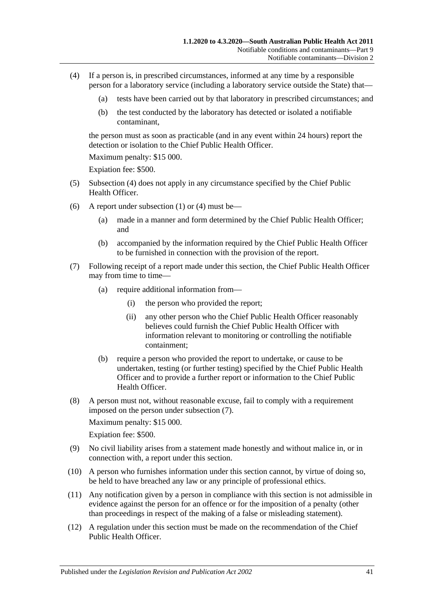- <span id="page-40-0"></span>(4) If a person is, in prescribed circumstances, informed at any time by a responsible person for a laboratory service (including a laboratory service outside the State) that—
	- (a) tests have been carried out by that laboratory in prescribed circumstances; and
	- (b) the test conducted by the laboratory has detected or isolated a notifiable contaminant,

the person must as soon as practicable (and in any event within 24 hours) report the detection or isolation to the Chief Public Health Officer

Maximum penalty: \$15 000.

Expiation fee: \$500.

- (5) [Subsection](#page-40-0) (4) does not apply in any circumstance specified by the Chief Public Health Officer.
- (6) A report under [subsection](#page-39-2) (1) or [\(4\)](#page-40-0) must be—
	- (a) made in a manner and form determined by the Chief Public Health Officer; and
	- (b) accompanied by the information required by the Chief Public Health Officer to be furnished in connection with the provision of the report.
- <span id="page-40-1"></span>(7) Following receipt of a report made under this section, the Chief Public Health Officer may from time to time—
	- (a) require additional information from—
		- (i) the person who provided the report;
		- (ii) any other person who the Chief Public Health Officer reasonably believes could furnish the Chief Public Health Officer with information relevant to monitoring or controlling the notifiable containment;
	- (b) require a person who provided the report to undertake, or cause to be undertaken, testing (or further testing) specified by the Chief Public Health Officer and to provide a further report or information to the Chief Public Health Officer.
- (8) A person must not, without reasonable excuse, fail to comply with a requirement imposed on the person under [subsection](#page-40-1) (7).

Maximum penalty: \$15 000.

Expiation fee: \$500.

- (9) No civil liability arises from a statement made honestly and without malice in, or in connection with, a report under this section.
- (10) A person who furnishes information under this section cannot, by virtue of doing so, be held to have breached any law or any principle of professional ethics.
- (11) Any notification given by a person in compliance with this section is not admissible in evidence against the person for an offence or for the imposition of a penalty (other than proceedings in respect of the making of a false or misleading statement).
- <span id="page-40-2"></span>(12) A regulation under this section must be made on the recommendation of the Chief Public Health Officer.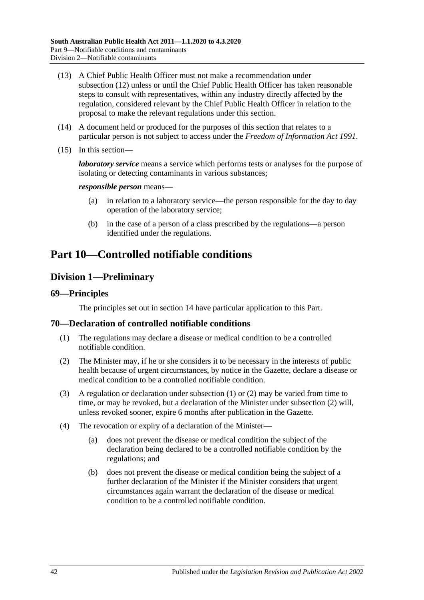- (13) A Chief Public Health Officer must not make a recommendation under [subsection](#page-40-2) (12) unless or until the Chief Public Health Officer has taken reasonable steps to consult with representatives, within any industry directly affected by the regulation, considered relevant by the Chief Public Health Officer in relation to the proposal to make the relevant regulations under this section.
- (14) A document held or produced for the purposes of this section that relates to a particular person is not subject to access under the *[Freedom of Information Act](http://www.legislation.sa.gov.au/index.aspx?action=legref&type=act&legtitle=Freedom%20of%20Information%20Act%201991) 1991*.
- (15) In this section—

*laboratory service* means a service which performs tests or analyses for the purpose of isolating or detecting contaminants in various substances;

#### *responsible person* means—

- (a) in relation to a laboratory service—the person responsible for the day to day operation of the laboratory service;
- (b) in the case of a person of a class prescribed by the regulations—a person identified under the regulations.

# <span id="page-41-2"></span>**Part 10—Controlled notifiable conditions**

# **Division 1—Preliminary**

#### **69—Principles**

The principles set out in [section](#page-9-0) 14 have particular application to this Part.

#### <span id="page-41-0"></span>**70—Declaration of controlled notifiable conditions**

- (1) The regulations may declare a disease or medical condition to be a controlled notifiable condition.
- <span id="page-41-1"></span>(2) The Minister may, if he or she considers it to be necessary in the interests of public health because of urgent circumstances, by notice in the Gazette, declare a disease or medical condition to be a controlled notifiable condition.
- (3) A regulation or declaration under [subsection](#page-41-0) (1) or [\(2\)](#page-41-1) may be varied from time to time, or may be revoked, but a declaration of the Minister under [subsection](#page-41-1) (2) will, unless revoked sooner, expire 6 months after publication in the Gazette.
- (4) The revocation or expiry of a declaration of the Minister—
	- (a) does not prevent the disease or medical condition the subject of the declaration being declared to be a controlled notifiable condition by the regulations; and
	- (b) does not prevent the disease or medical condition being the subject of a further declaration of the Minister if the Minister considers that urgent circumstances again warrant the declaration of the disease or medical condition to be a controlled notifiable condition.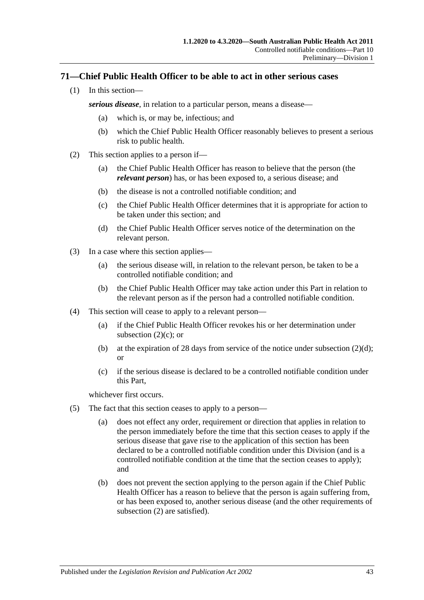## **71—Chief Public Health Officer to be able to act in other serious cases**

(1) In this section—

*serious disease*, in relation to a particular person, means a disease—

- (a) which is, or may be, infectious; and
- (b) which the Chief Public Health Officer reasonably believes to present a serious risk to public health.
- <span id="page-42-2"></span><span id="page-42-0"></span>(2) This section applies to a person if—
	- (a) the Chief Public Health Officer has reason to believe that the person (the *relevant person*) has, or has been exposed to, a serious disease; and
	- (b) the disease is not a controlled notifiable condition; and
	- (c) the Chief Public Health Officer determines that it is appropriate for action to be taken under this section; and
	- (d) the Chief Public Health Officer serves notice of the determination on the relevant person.
- <span id="page-42-1"></span>(3) In a case where this section applies—
	- (a) the serious disease will, in relation to the relevant person, be taken to be a controlled notifiable condition; and
	- (b) the Chief Public Health Officer may take action under this Part in relation to the relevant person as if the person had a controlled notifiable condition.
- (4) This section will cease to apply to a relevant person—
	- (a) if the Chief Public Health Officer revokes his or her determination under [subsection](#page-42-0)  $(2)(c)$ ; or
	- (b) at the expiration of 28 days from service of the notice under [subsection](#page-42-1)  $(2)(d)$ ; or
	- (c) if the serious disease is declared to be a controlled notifiable condition under this Part,

whichever first occurs.

- (5) The fact that this section ceases to apply to a person—
	- (a) does not effect any order, requirement or direction that applies in relation to the person immediately before the time that this section ceases to apply if the serious disease that gave rise to the application of this section has been declared to be a controlled notifiable condition under this Division (and is a controlled notifiable condition at the time that the section ceases to apply); and
	- (b) does not prevent the section applying to the person again if the Chief Public Health Officer has a reason to believe that the person is again suffering from, or has been exposed to, another serious disease (and the other requirements of [subsection](#page-42-2) (2) are satisfied).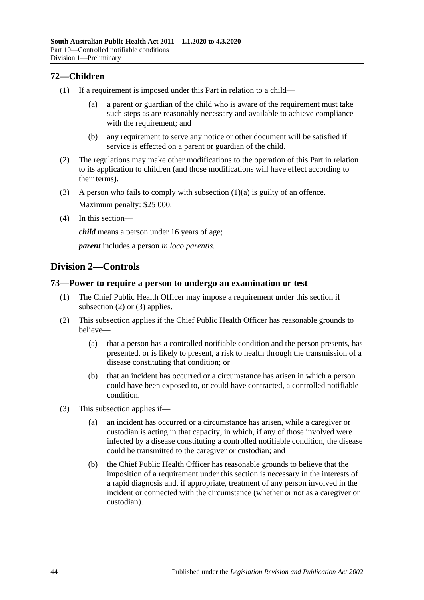# **72—Children**

- <span id="page-43-0"></span>(1) If a requirement is imposed under this Part in relation to a child—
	- (a) a parent or guardian of the child who is aware of the requirement must take such steps as are reasonably necessary and available to achieve compliance with the requirement; and
	- (b) any requirement to serve any notice or other document will be satisfied if service is effected on a parent or guardian of the child.
- (2) The regulations may make other modifications to the operation of this Part in relation to its application to children (and those modifications will have effect according to their terms).
- (3) A person who fails to comply with [subsection](#page-43-0)  $(1)(a)$  is guilty of an offence. Maximum penalty: \$25 000.
- (4) In this section—

*child* means a person under 16 years of age;

*parent* includes a person *in loco parentis*.

# **Division 2—Controls**

# **73—Power to require a person to undergo an examination or test**

- (1) The Chief Public Health Officer may impose a requirement under this section if [subsection](#page-43-1) (2) or [\(3\)](#page-43-2) applies.
- <span id="page-43-1"></span>(2) This subsection applies if the Chief Public Health Officer has reasonable grounds to believe—
	- (a) that a person has a controlled notifiable condition and the person presents, has presented, or is likely to present, a risk to health through the transmission of a disease constituting that condition; or
	- (b) that an incident has occurred or a circumstance has arisen in which a person could have been exposed to, or could have contracted, a controlled notifiable condition.
- <span id="page-43-2"></span>(3) This subsection applies if—
	- (a) an incident has occurred or a circumstance has arisen, while a caregiver or custodian is acting in that capacity, in which, if any of those involved were infected by a disease constituting a controlled notifiable condition, the disease could be transmitted to the caregiver or custodian; and
	- (b) the Chief Public Health Officer has reasonable grounds to believe that the imposition of a requirement under this section is necessary in the interests of a rapid diagnosis and, if appropriate, treatment of any person involved in the incident or connected with the circumstance (whether or not as a caregiver or custodian).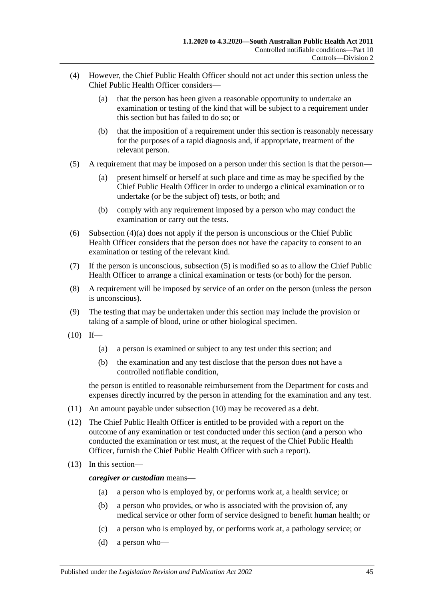- <span id="page-44-0"></span>(4) However, the Chief Public Health Officer should not act under this section unless the Chief Public Health Officer considers—
	- (a) that the person has been given a reasonable opportunity to undertake an examination or testing of the kind that will be subject to a requirement under this section but has failed to do so; or
	- (b) that the imposition of a requirement under this section is reasonably necessary for the purposes of a rapid diagnosis and, if appropriate, treatment of the relevant person.
- <span id="page-44-1"></span>(5) A requirement that may be imposed on a person under this section is that the person—
	- (a) present himself or herself at such place and time as may be specified by the Chief Public Health Officer in order to undergo a clinical examination or to undertake (or be the subject of) tests, or both; and
	- (b) comply with any requirement imposed by a person who may conduct the examination or carry out the tests.
- (6) [Subsection](#page-44-0) (4)(a) does not apply if the person is unconscious or the Chief Public Health Officer considers that the person does not have the capacity to consent to an examination or testing of the relevant kind.
- (7) If the person is unconscious, [subsection](#page-44-1) (5) is modified so as to allow the Chief Public Health Officer to arrange a clinical examination or tests (or both) for the person.
- (8) A requirement will be imposed by service of an order on the person (unless the person is unconscious).
- (9) The testing that may be undertaken under this section may include the provision or taking of a sample of blood, urine or other biological specimen.
- <span id="page-44-2"></span> $(10)$  If—
	- (a) a person is examined or subject to any test under this section; and
	- (b) the examination and any test disclose that the person does not have a controlled notifiable condition,

the person is entitled to reasonable reimbursement from the Department for costs and expenses directly incurred by the person in attending for the examination and any test.

- (11) An amount payable under [subsection](#page-44-2) (10) may be recovered as a debt.
- (12) The Chief Public Health Officer is entitled to be provided with a report on the outcome of any examination or test conducted under this section (and a person who conducted the examination or test must, at the request of the Chief Public Health Officer, furnish the Chief Public Health Officer with such a report).
- (13) In this section—

*caregiver or custodian* means—

- (a) a person who is employed by, or performs work at, a health service; or
- (b) a person who provides, or who is associated with the provision of, any medical service or other form of service designed to benefit human health; or
- (c) a person who is employed by, or performs work at, a pathology service; or
- (d) a person who—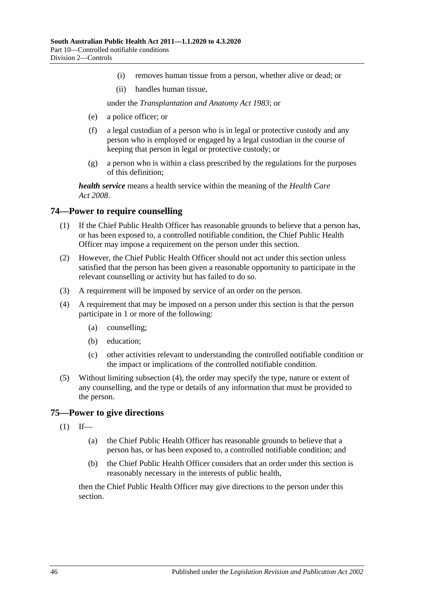- (i) removes human tissue from a person, whether alive or dead; or
- (ii) handles human tissue,

under the *[Transplantation and Anatomy Act](http://www.legislation.sa.gov.au/index.aspx?action=legref&type=act&legtitle=Transplantation%20and%20Anatomy%20Act%201983) 1983*; or

- (e) a police officer; or
- (f) a legal custodian of a person who is in legal or protective custody and any person who is employed or engaged by a legal custodian in the course of keeping that person in legal or protective custody; or
- (g) a person who is within a class prescribed by the regulations for the purposes of this definition;

*health service* means a health service within the meaning of the *[Health Care](http://www.legislation.sa.gov.au/index.aspx?action=legref&type=act&legtitle=Health%20Care%20Act%202008)  Act [2008](http://www.legislation.sa.gov.au/index.aspx?action=legref&type=act&legtitle=Health%20Care%20Act%202008)*.

## **74—Power to require counselling**

- (1) If the Chief Public Health Officer has reasonable grounds to believe that a person has, or has been exposed to, a controlled notifiable condition, the Chief Public Health Officer may impose a requirement on the person under this section.
- (2) However, the Chief Public Health Officer should not act under this section unless satisfied that the person has been given a reasonable opportunity to participate in the relevant counselling or activity but has failed to do so.
- (3) A requirement will be imposed by service of an order on the person.
- <span id="page-45-0"></span>(4) A requirement that may be imposed on a person under this section is that the person participate in 1 or more of the following:
	- (a) counselling;
	- (b) education;
	- (c) other activities relevant to understanding the controlled notifiable condition or the impact or implications of the controlled notifiable condition.
- (5) Without limiting [subsection](#page-45-0) (4), the order may specify the type, nature or extent of any counselling, and the type or details of any information that must be provided to the person.

#### <span id="page-45-1"></span>**75—Power to give directions**

- $(1)$  If—
	- (a) the Chief Public Health Officer has reasonable grounds to believe that a person has, or has been exposed to, a controlled notifiable condition; and
	- (b) the Chief Public Health Officer considers that an order under this section is reasonably necessary in the interests of public health,

then the Chief Public Health Officer may give directions to the person under this section.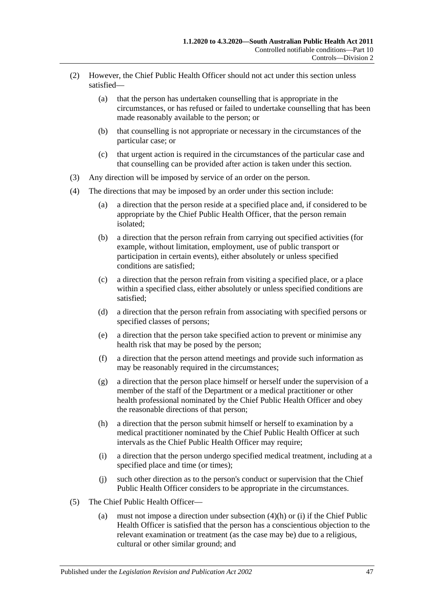- (2) However, the Chief Public Health Officer should not act under this section unless satisfied—
	- (a) that the person has undertaken counselling that is appropriate in the circumstances, or has refused or failed to undertake counselling that has been made reasonably available to the person; or
	- (b) that counselling is not appropriate or necessary in the circumstances of the particular case; or
	- (c) that urgent action is required in the circumstances of the particular case and that counselling can be provided after action is taken under this section.
- (3) Any direction will be imposed by service of an order on the person.
- (4) The directions that may be imposed by an order under this section include:
	- (a) a direction that the person reside at a specified place and, if considered to be appropriate by the Chief Public Health Officer, that the person remain isolated;
	- (b) a direction that the person refrain from carrying out specified activities (for example, without limitation, employment, use of public transport or participation in certain events), either absolutely or unless specified conditions are satisfied;
	- (c) a direction that the person refrain from visiting a specified place, or a place within a specified class, either absolutely or unless specified conditions are satisfied;
	- (d) a direction that the person refrain from associating with specified persons or specified classes of persons;
	- (e) a direction that the person take specified action to prevent or minimise any health risk that may be posed by the person;
	- (f) a direction that the person attend meetings and provide such information as may be reasonably required in the circumstances;
	- (g) a direction that the person place himself or herself under the supervision of a member of the staff of the Department or a medical practitioner or other health professional nominated by the Chief Public Health Officer and obey the reasonable directions of that person;
	- (h) a direction that the person submit himself or herself to examination by a medical practitioner nominated by the Chief Public Health Officer at such intervals as the Chief Public Health Officer may require;
	- (i) a direction that the person undergo specified medical treatment, including at a specified place and time (or times);
	- (j) such other direction as to the person's conduct or supervision that the Chief Public Health Officer considers to be appropriate in the circumstances.
- <span id="page-46-1"></span><span id="page-46-0"></span>(5) The Chief Public Health Officer—
	- (a) must not impose a direction under [subsection](#page-46-0) (4)(h) or [\(i\)](#page-46-1) if the Chief Public Health Officer is satisfied that the person has a conscientious objection to the relevant examination or treatment (as the case may be) due to a religious, cultural or other similar ground; and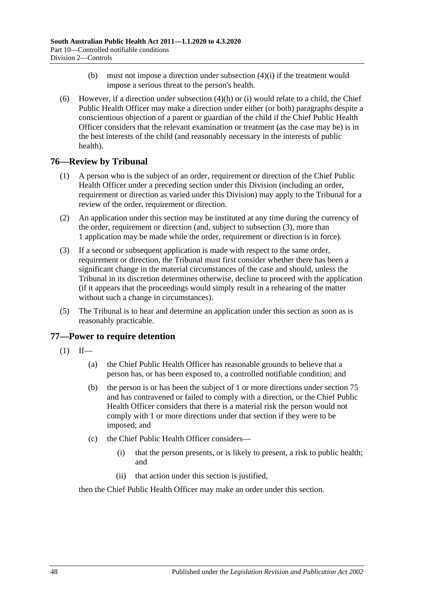- (b) must not impose a direction under [subsection](#page-46-1)  $(4)(i)$  if the treatment would impose a serious threat to the person's health.
- (6) However, if a direction under [subsection](#page-46-0)  $(4)(h)$  or [\(i\)](#page-46-1) would relate to a child, the Chief Public Health Officer may make a direction under either (or both) paragraphs despite a conscientious objection of a parent or guardian of the child if the Chief Public Health Officer considers that the relevant examination or treatment (as the case may be) is in the best interests of the child (and reasonably necessary in the interests of public health).

# **76—Review by Tribunal**

- (1) A person who is the subject of an order, requirement or direction of the Chief Public Health Officer under a preceding section under this Division (including an order, requirement or direction as varied under this Division) may apply to the Tribunal for a review of the order, requirement or direction.
- (2) An application under this section may be instituted at any time during the currency of the order, requirement or direction (and, subject to [subsection](#page-47-0) (3), more than 1 application may be made while the order, requirement or direction is in force).
- <span id="page-47-0"></span>(3) If a second or subsequent application is made with respect to the same order, requirement or direction, the Tribunal must first consider whether there has been a significant change in the material circumstances of the case and should, unless the Tribunal in its discretion determines otherwise, decline to proceed with the application (if it appears that the proceedings would simply result in a rehearing of the matter without such a change in circumstances).
- (5) The Tribunal is to hear and determine an application under this section as soon as is reasonably practicable.

# <span id="page-47-1"></span>**77—Power to require detention**

- $(1)$  If—
	- (a) the Chief Public Health Officer has reasonable grounds to believe that a person has, or has been exposed to, a controlled notifiable condition; and
	- (b) the person is or has been the subject of 1 or more directions under [section](#page-45-1) 75 and has contravened or failed to comply with a direction, or the Chief Public Health Officer considers that there is a material risk the person would not comply with 1 or more directions under that section if they were to be imposed; and
	- (c) the Chief Public Health Officer considers—
		- (i) that the person presents, or is likely to present, a risk to public health; and
		- (ii) that action under this section is justified,

then the Chief Public Health Officer may make an order under this section.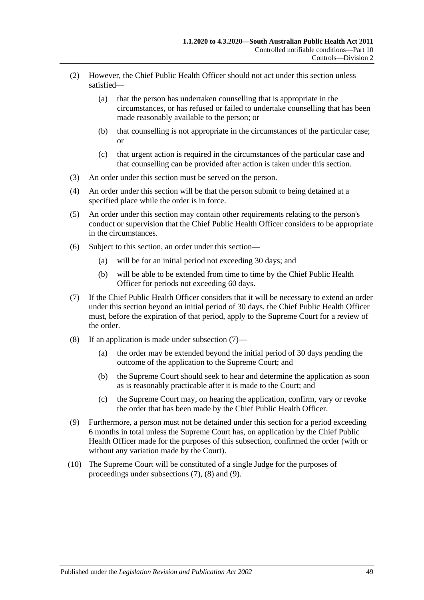- (2) However, the Chief Public Health Officer should not act under this section unless satisfied—
	- (a) that the person has undertaken counselling that is appropriate in the circumstances, or has refused or failed to undertake counselling that has been made reasonably available to the person; or
	- (b) that counselling is not appropriate in the circumstances of the particular case; or
	- (c) that urgent action is required in the circumstances of the particular case and that counselling can be provided after action is taken under this section.
- (3) An order under this section must be served on the person.
- (4) An order under this section will be that the person submit to being detained at a specified place while the order is in force.
- (5) An order under this section may contain other requirements relating to the person's conduct or supervision that the Chief Public Health Officer considers to be appropriate in the circumstances.
- (6) Subject to this section, an order under this section—
	- (a) will be for an initial period not exceeding 30 days; and
	- (b) will be able to be extended from time to time by the Chief Public Health Officer for periods not exceeding 60 days.
- <span id="page-48-0"></span>(7) If the Chief Public Health Officer considers that it will be necessary to extend an order under this section beyond an initial period of 30 days, the Chief Public Health Officer must, before the expiration of that period, apply to the Supreme Court for a review of the order.
- <span id="page-48-1"></span>(8) If an application is made under [subsection](#page-48-0) (7)—
	- (a) the order may be extended beyond the initial period of 30 days pending the outcome of the application to the Supreme Court; and
	- (b) the Supreme Court should seek to hear and determine the application as soon as is reasonably practicable after it is made to the Court; and
	- (c) the Supreme Court may, on hearing the application, confirm, vary or revoke the order that has been made by the Chief Public Health Officer.
- <span id="page-48-2"></span>(9) Furthermore, a person must not be detained under this section for a period exceeding 6 months in total unless the Supreme Court has, on application by the Chief Public Health Officer made for the purposes of this subsection, confirmed the order (with or without any variation made by the Court).
- (10) The Supreme Court will be constituted of a single Judge for the purposes of proceedings under [subsections](#page-48-0) (7), [\(8\)](#page-48-1) and [\(9\).](#page-48-2)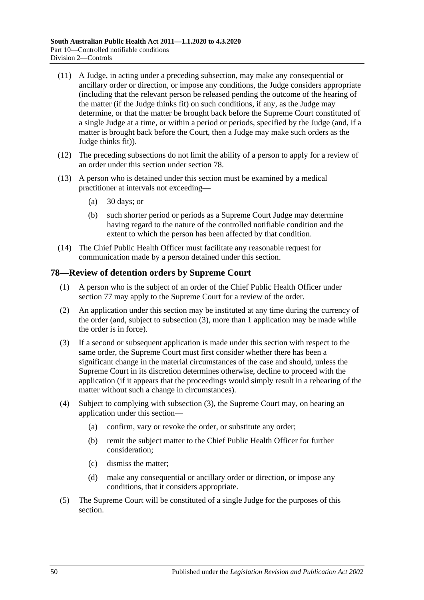- (11) A Judge, in acting under a preceding subsection, may make any consequential or ancillary order or direction, or impose any conditions, the Judge considers appropriate (including that the relevant person be released pending the outcome of the hearing of the matter (if the Judge thinks fit) on such conditions, if any, as the Judge may determine, or that the matter be brought back before the Supreme Court constituted of a single Judge at a time, or within a period or periods, specified by the Judge (and, if a matter is brought back before the Court, then a Judge may make such orders as the Judge thinks fit)).
- (12) The preceding subsections do not limit the ability of a person to apply for a review of an order under this section under [section](#page-49-0) 78.
- (13) A person who is detained under this section must be examined by a medical practitioner at intervals not exceeding—
	- (a) 30 days; or
	- (b) such shorter period or periods as a Supreme Court Judge may determine having regard to the nature of the controlled notifiable condition and the extent to which the person has been affected by that condition.
- (14) The Chief Public Health Officer must facilitate any reasonable request for communication made by a person detained under this section.

# <span id="page-49-0"></span>**78—Review of detention orders by Supreme Court**

- (1) A person who is the subject of an order of the Chief Public Health Officer under [section](#page-47-1) 77 may apply to the Supreme Court for a review of the order.
- (2) An application under this section may be instituted at any time during the currency of the order (and, subject to [subsection](#page-49-1) (3), more than 1 application may be made while the order is in force).
- <span id="page-49-1"></span>(3) If a second or subsequent application is made under this section with respect to the same order, the Supreme Court must first consider whether there has been a significant change in the material circumstances of the case and should, unless the Supreme Court in its discretion determines otherwise, decline to proceed with the application (if it appears that the proceedings would simply result in a rehearing of the matter without such a change in circumstances).
- (4) Subject to complying with [subsection](#page-49-1) (3), the Supreme Court may, on hearing an application under this section—
	- (a) confirm, vary or revoke the order, or substitute any order;
	- (b) remit the subject matter to the Chief Public Health Officer for further consideration;
	- (c) dismiss the matter;
	- (d) make any consequential or ancillary order or direction, or impose any conditions, that it considers appropriate.
- (5) The Supreme Court will be constituted of a single Judge for the purposes of this section.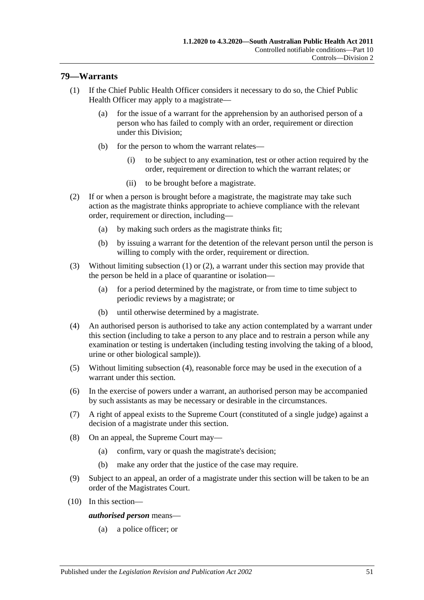## <span id="page-50-0"></span>**79—Warrants**

- (1) If the Chief Public Health Officer considers it necessary to do so, the Chief Public Health Officer may apply to a magistrate—
	- (a) for the issue of a warrant for the apprehension by an authorised person of a person who has failed to comply with an order, requirement or direction under this Division;
	- (b) for the person to whom the warrant relates—
		- (i) to be subject to any examination, test or other action required by the order, requirement or direction to which the warrant relates; or
		- (ii) to be brought before a magistrate.
- <span id="page-50-1"></span>(2) If or when a person is brought before a magistrate, the magistrate may take such action as the magistrate thinks appropriate to achieve compliance with the relevant order, requirement or direction, including—
	- (a) by making such orders as the magistrate thinks fit;
	- (b) by issuing a warrant for the detention of the relevant person until the person is willing to comply with the order, requirement or direction.
- (3) Without limiting [subsection](#page-50-0) (1) or [\(2\),](#page-50-1) a warrant under this section may provide that the person be held in a place of quarantine or isolation—
	- (a) for a period determined by the magistrate, or from time to time subject to periodic reviews by a magistrate; or
	- (b) until otherwise determined by a magistrate.
- <span id="page-50-2"></span>(4) An authorised person is authorised to take any action contemplated by a warrant under this section (including to take a person to any place and to restrain a person while any examination or testing is undertaken (including testing involving the taking of a blood, urine or other biological sample)).
- (5) Without limiting [subsection](#page-50-2) (4), reasonable force may be used in the execution of a warrant under this section.
- (6) In the exercise of powers under a warrant, an authorised person may be accompanied by such assistants as may be necessary or desirable in the circumstances.
- (7) A right of appeal exists to the Supreme Court (constituted of a single judge) against a decision of a magistrate under this section.
- (8) On an appeal, the Supreme Court may—
	- (a) confirm, vary or quash the magistrate's decision;
	- (b) make any order that the justice of the case may require.
- (9) Subject to an appeal, an order of a magistrate under this section will be taken to be an order of the Magistrates Court.
- (10) In this section—

*authorised person* means—

(a) a police officer; or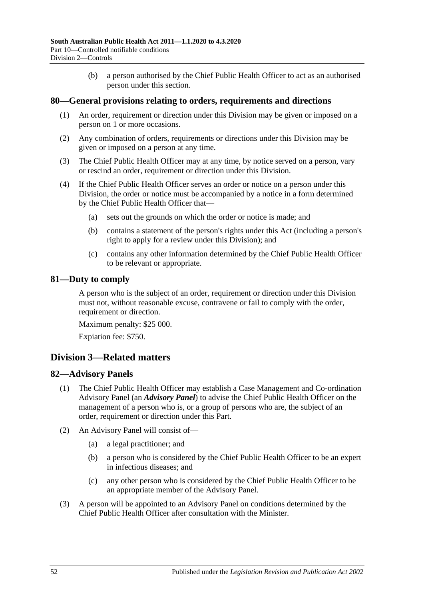(b) a person authorised by the Chief Public Health Officer to act as an authorised person under this section.

## **80—General provisions relating to orders, requirements and directions**

- (1) An order, requirement or direction under this Division may be given or imposed on a person on 1 or more occasions.
- (2) Any combination of orders, requirements or directions under this Division may be given or imposed on a person at any time.
- (3) The Chief Public Health Officer may at any time, by notice served on a person, vary or rescind an order, requirement or direction under this Division.
- (4) If the Chief Public Health Officer serves an order or notice on a person under this Division, the order or notice must be accompanied by a notice in a form determined by the Chief Public Health Officer that—
	- (a) sets out the grounds on which the order or notice is made; and
	- (b) contains a statement of the person's rights under this Act (including a person's right to apply for a review under this Division); and
	- (c) contains any other information determined by the Chief Public Health Officer to be relevant or appropriate.

## **81—Duty to comply**

A person who is the subject of an order, requirement or direction under this Division must not, without reasonable excuse, contravene or fail to comply with the order, requirement or direction.

Maximum penalty: \$25 000.

Expiation fee: \$750.

# **Division 3—Related matters**

#### **82—Advisory Panels**

- (1) The Chief Public Health Officer may establish a Case Management and Co-ordination Advisory Panel (an *Advisory Panel*) to advise the Chief Public Health Officer on the management of a person who is, or a group of persons who are, the subject of an order, requirement or direction under this Part.
- (2) An Advisory Panel will consist of—
	- (a) a legal practitioner; and
	- (b) a person who is considered by the Chief Public Health Officer to be an expert in infectious diseases; and
	- (c) any other person who is considered by the Chief Public Health Officer to be an appropriate member of the Advisory Panel.
- (3) A person will be appointed to an Advisory Panel on conditions determined by the Chief Public Health Officer after consultation with the Minister.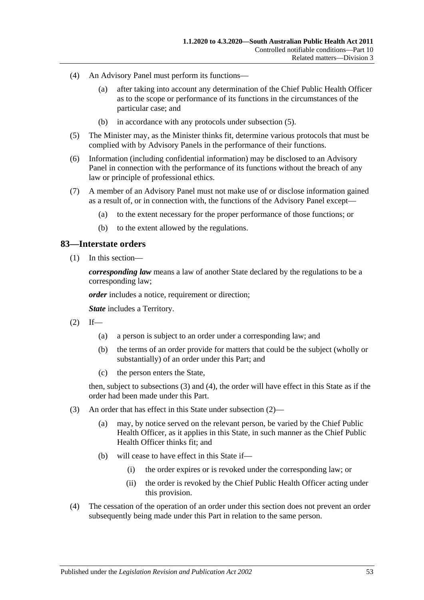- (4) An Advisory Panel must perform its functions—
	- (a) after taking into account any determination of the Chief Public Health Officer as to the scope or performance of its functions in the circumstances of the particular case; and
	- (b) in accordance with any protocols under [subsection](#page-52-0) (5).
- <span id="page-52-0"></span>(5) The Minister may, as the Minister thinks fit, determine various protocols that must be complied with by Advisory Panels in the performance of their functions.
- (6) Information (including confidential information) may be disclosed to an Advisory Panel in connection with the performance of its functions without the breach of any law or principle of professional ethics.
- (7) A member of an Advisory Panel must not make use of or disclose information gained as a result of, or in connection with, the functions of the Advisory Panel except—
	- (a) to the extent necessary for the proper performance of those functions; or
	- (b) to the extent allowed by the regulations.

## **83—Interstate orders**

(1) In this section—

*corresponding law* means a law of another State declared by the regulations to be a corresponding law;

*order* includes a notice, requirement or direction;

*State* includes a Territory.

- <span id="page-52-3"></span> $(2)$  If—
	- (a) a person is subject to an order under a corresponding law; and
	- (b) the terms of an order provide for matters that could be the subject (wholly or substantially) of an order under this Part; and
	- (c) the person enters the State,

then, subject to [subsections](#page-52-1) (3) and [\(4\),](#page-52-2) the order will have effect in this State as if the order had been made under this Part.

- <span id="page-52-1"></span>(3) An order that has effect in this State under [subsection](#page-52-3) (2)—
	- (a) may, by notice served on the relevant person, be varied by the Chief Public Health Officer, as it applies in this State, in such manner as the Chief Public Health Officer thinks fit; and
	- (b) will cease to have effect in this State if—
		- (i) the order expires or is revoked under the corresponding law; or
		- (ii) the order is revoked by the Chief Public Health Officer acting under this provision.
- <span id="page-52-2"></span>(4) The cessation of the operation of an order under this section does not prevent an order subsequently being made under this Part in relation to the same person.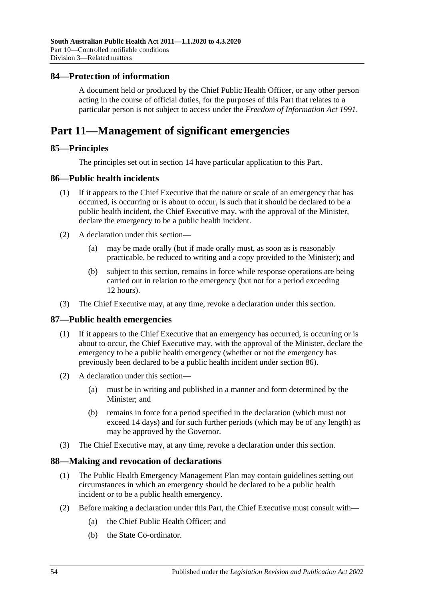## **84—Protection of information**

A document held or produced by the Chief Public Health Officer, or any other person acting in the course of official duties, for the purposes of this Part that relates to a particular person is not subject to access under the *[Freedom of Information Act](http://www.legislation.sa.gov.au/index.aspx?action=legref&type=act&legtitle=Freedom%20of%20Information%20Act%201991) 1991*.

# **Part 11—Management of significant emergencies**

## **85—Principles**

The principles set out in [section](#page-9-0) 14 have particular application to this Part.

## <span id="page-53-0"></span>**86—Public health incidents**

- (1) If it appears to the Chief Executive that the nature or scale of an emergency that has occurred, is occurring or is about to occur, is such that it should be declared to be a public health incident, the Chief Executive may, with the approval of the Minister, declare the emergency to be a public health incident.
- (2) A declaration under this section—
	- (a) may be made orally (but if made orally must, as soon as is reasonably practicable, be reduced to writing and a copy provided to the Minister); and
	- (b) subject to this section, remains in force while response operations are being carried out in relation to the emergency (but not for a period exceeding 12 hours).
- (3) The Chief Executive may, at any time, revoke a declaration under this section.

#### **87—Public health emergencies**

- (1) If it appears to the Chief Executive that an emergency has occurred, is occurring or is about to occur, the Chief Executive may, with the approval of the Minister, declare the emergency to be a public health emergency (whether or not the emergency has previously been declared to be a public health incident under [section](#page-53-0) 86).
- (2) A declaration under this section—
	- (a) must be in writing and published in a manner and form determined by the Minister; and
	- (b) remains in force for a period specified in the declaration (which must not exceed 14 days) and for such further periods (which may be of any length) as may be approved by the Governor.
- (3) The Chief Executive may, at any time, revoke a declaration under this section.

#### **88—Making and revocation of declarations**

- (1) The Public Health Emergency Management Plan may contain guidelines setting out circumstances in which an emergency should be declared to be a public health incident or to be a public health emergency.
- (2) Before making a declaration under this Part, the Chief Executive must consult with—
	- (a) the Chief Public Health Officer; and
	- (b) the State Co-ordinator.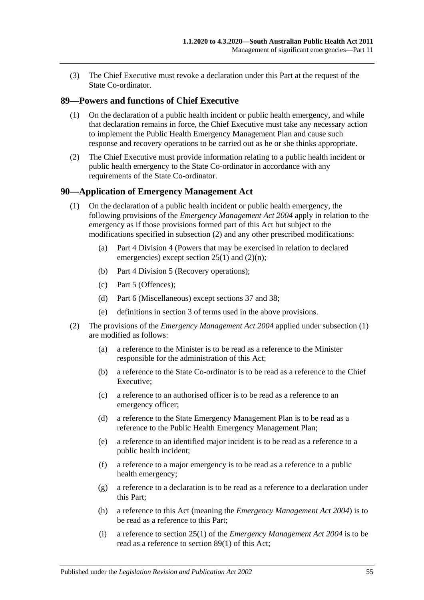(3) The Chief Executive must revoke a declaration under this Part at the request of the State Co-ordinator.

# <span id="page-54-2"></span>**89—Powers and functions of Chief Executive**

- (1) On the declaration of a public health incident or public health emergency, and while that declaration remains in force, the Chief Executive must take any necessary action to implement the Public Health Emergency Management Plan and cause such response and recovery operations to be carried out as he or she thinks appropriate.
- (2) The Chief Executive must provide information relating to a public health incident or public health emergency to the State Co-ordinator in accordance with any requirements of the State Co-ordinator.

## <span id="page-54-1"></span>**90—Application of Emergency Management Act**

- (1) On the declaration of a public health incident or public health emergency, the following provisions of the *[Emergency Management Act](http://www.legislation.sa.gov.au/index.aspx?action=legref&type=act&legtitle=Emergency%20Management%20Act%202004) 2004* apply in relation to the emergency as if those provisions formed part of this Act but subject to the modifications specified in [subsection](#page-54-0) (2) and any other prescribed modifications:
	- (a) Part 4 Division 4 (Powers that may be exercised in relation to declared emergencies) except section 25(1) and (2)(n);
	- (b) Part 4 Division 5 (Recovery operations);
	- (c) Part 5 (Offences);
	- (d) Part 6 (Miscellaneous) except sections 37 and 38;
	- (e) definitions in section 3 of terms used in the above provisions.
- <span id="page-54-0"></span>(2) The provisions of the *[Emergency Management Act](http://www.legislation.sa.gov.au/index.aspx?action=legref&type=act&legtitle=Emergency%20Management%20Act%202004) 2004* applied under [subsection](#page-54-1) (1) are modified as follows:
	- (a) a reference to the Minister is to be read as a reference to the Minister responsible for the administration of this Act;
	- (b) a reference to the State Co-ordinator is to be read as a reference to the Chief Executive;
	- (c) a reference to an authorised officer is to be read as a reference to an emergency officer;
	- (d) a reference to the State Emergency Management Plan is to be read as a reference to the Public Health Emergency Management Plan;
	- (e) a reference to an identified major incident is to be read as a reference to a public health incident;
	- (f) a reference to a major emergency is to be read as a reference to a public health emergency;
	- (g) a reference to a declaration is to be read as a reference to a declaration under this Part;
	- (h) a reference to this Act (meaning the *[Emergency Management Act](http://www.legislation.sa.gov.au/index.aspx?action=legref&type=act&legtitle=Emergency%20Management%20Act%202004) 2004*) is to be read as a reference to this Part;
	- (i) a reference to section 25(1) of the *[Emergency Management Act](http://www.legislation.sa.gov.au/index.aspx?action=legref&type=act&legtitle=Emergency%20Management%20Act%202004) 2004* is to be read as a reference to [section](#page-54-2) 89(1) of this Act;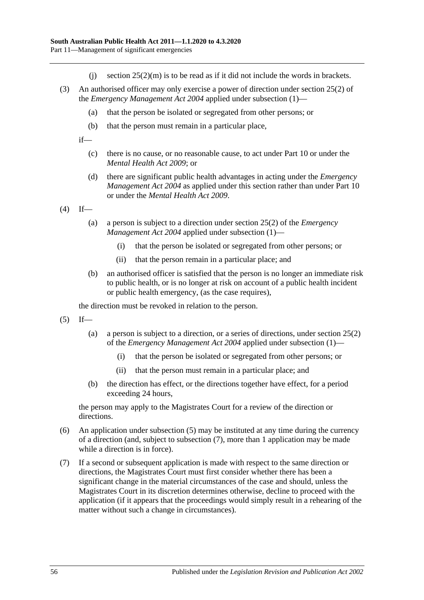- (i) section  $25(2)(m)$  is to be read as if it did not include the words in brackets.
- (3) An authorised officer may only exercise a power of direction under section 25(2) of the *[Emergency Management Act](http://www.legislation.sa.gov.au/index.aspx?action=legref&type=act&legtitle=Emergency%20Management%20Act%202004) 2004* applied under [subsection](#page-54-1) (1)—
	- (a) that the person be isolated or segregated from other persons; or
	- (b) that the person must remain in a particular place,

if—

- (c) there is no cause, or no reasonable cause, to act under [Part](#page-41-2) 10 or under the *[Mental Health Act](http://www.legislation.sa.gov.au/index.aspx?action=legref&type=act&legtitle=Mental%20Health%20Act%202009) 2009*; or
- (d) there are significant public health advantages in acting under the *[Emergency](http://www.legislation.sa.gov.au/index.aspx?action=legref&type=act&legtitle=Emergency%20Management%20Act%202004)  [Management Act](http://www.legislation.sa.gov.au/index.aspx?action=legref&type=act&legtitle=Emergency%20Management%20Act%202004) 2004* as applied under this section rather than under [Part](#page-41-2) 10 or under the *[Mental Health Act](http://www.legislation.sa.gov.au/index.aspx?action=legref&type=act&legtitle=Mental%20Health%20Act%202009) 2009*.

 $(4)$  If—

- (a) a person is subject to a direction under section 25(2) of the *[Emergency](http://www.legislation.sa.gov.au/index.aspx?action=legref&type=act&legtitle=Emergency%20Management%20Act%202004)  [Management Act](http://www.legislation.sa.gov.au/index.aspx?action=legref&type=act&legtitle=Emergency%20Management%20Act%202004) 2004* applied under [subsection](#page-54-1) (1)—
	- (i) that the person be isolated or segregated from other persons; or
	- (ii) that the person remain in a particular place; and
- (b) an authorised officer is satisfied that the person is no longer an immediate risk to public health, or is no longer at risk on account of a public health incident or public health emergency, (as the case requires),

the direction must be revoked in relation to the person.

- <span id="page-55-0"></span> $(5)$  If—
	- (a) a person is subject to a direction, or a series of directions, under section 25(2) of the *[Emergency Management Act](http://www.legislation.sa.gov.au/index.aspx?action=legref&type=act&legtitle=Emergency%20Management%20Act%202004) 2004* applied under [subsection](#page-54-1) (1)—
		- (i) that the person be isolated or segregated from other persons; or
		- (ii) that the person must remain in a particular place; and
	- (b) the direction has effect, or the directions together have effect, for a period exceeding 24 hours,

the person may apply to the Magistrates Court for a review of the direction or directions.

- (6) An application under [subsection](#page-55-0) (5) may be instituted at any time during the currency of a direction (and, subject to [subsection](#page-55-1) (7), more than 1 application may be made while a direction is in force).
- <span id="page-55-1"></span>(7) If a second or subsequent application is made with respect to the same direction or directions, the Magistrates Court must first consider whether there has been a significant change in the material circumstances of the case and should, unless the Magistrates Court in its discretion determines otherwise, decline to proceed with the application (if it appears that the proceedings would simply result in a rehearing of the matter without such a change in circumstances).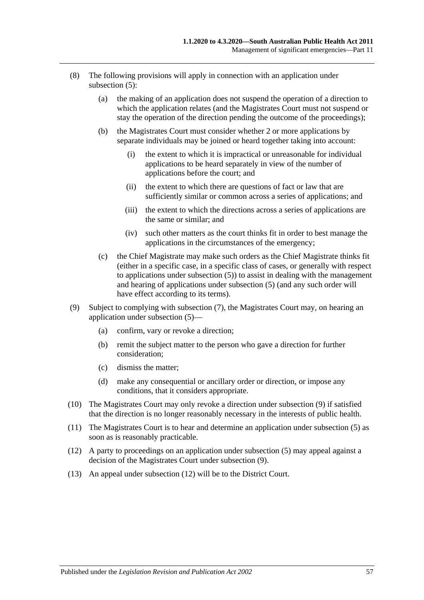- (8) The following provisions will apply in connection with an application under [subsection](#page-55-0) (5):
	- (a) the making of an application does not suspend the operation of a direction to which the application relates (and the Magistrates Court must not suspend or stay the operation of the direction pending the outcome of the proceedings);
	- (b) the Magistrates Court must consider whether 2 or more applications by separate individuals may be joined or heard together taking into account:
		- (i) the extent to which it is impractical or unreasonable for individual applications to be heard separately in view of the number of applications before the court; and
		- (ii) the extent to which there are questions of fact or law that are sufficiently similar or common across a series of applications; and
		- (iii) the extent to which the directions across a series of applications are the same or similar; and
		- (iv) such other matters as the court thinks fit in order to best manage the applications in the circumstances of the emergency;
	- (c) the Chief Magistrate may make such orders as the Chief Magistrate thinks fit (either in a specific case, in a specific class of cases, or generally with respect to applications under [subsection](#page-55-0) (5)) to assist in dealing with the management and hearing of applications under [subsection](#page-55-0) (5) (and any such order will have effect according to its terms).
- <span id="page-56-0"></span>(9) Subject to complying with [subsection](#page-55-1) (7), the Magistrates Court may, on hearing an application under [subsection](#page-55-0) (5)—
	- (a) confirm, vary or revoke a direction;
	- (b) remit the subject matter to the person who gave a direction for further consideration;
	- (c) dismiss the matter;
	- (d) make any consequential or ancillary order or direction, or impose any conditions, that it considers appropriate.
- (10) The Magistrates Court may only revoke a direction under [subsection](#page-56-0) (9) if satisfied that the direction is no longer reasonably necessary in the interests of public health.
- (11) The Magistrates Court is to hear and determine an application under [subsection](#page-55-0) (5) as soon as is reasonably practicable.
- <span id="page-56-1"></span>(12) A party to proceedings on an application under [subsection](#page-55-0) (5) may appeal against a decision of the Magistrates Court under [subsection](#page-56-0) (9).
- (13) An appeal under [subsection](#page-56-1) (12) will be to the District Court.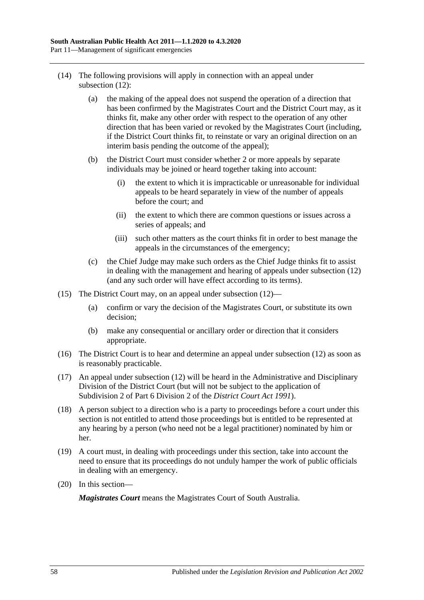- (14) The following provisions will apply in connection with an appeal under [subsection](#page-56-1) (12):
	- (a) the making of the appeal does not suspend the operation of a direction that has been confirmed by the Magistrates Court and the District Court may, as it thinks fit, make any other order with respect to the operation of any other direction that has been varied or revoked by the Magistrates Court (including, if the District Court thinks fit, to reinstate or vary an original direction on an interim basis pending the outcome of the appeal);
	- (b) the District Court must consider whether 2 or more appeals by separate individuals may be joined or heard together taking into account:
		- (i) the extent to which it is impracticable or unreasonable for individual appeals to be heard separately in view of the number of appeals before the court; and
		- (ii) the extent to which there are common questions or issues across a series of appeals; and
		- (iii) such other matters as the court thinks fit in order to best manage the appeals in the circumstances of the emergency;
	- (c) the Chief Judge may make such orders as the Chief Judge thinks fit to assist in dealing with the management and hearing of appeals under [subsection](#page-56-1) (12) (and any such order will have effect according to its terms).
- (15) The District Court may, on an appeal under [subsection](#page-56-1) (12)—
	- (a) confirm or vary the decision of the Magistrates Court, or substitute its own decision;
	- (b) make any consequential or ancillary order or direction that it considers appropriate.
- (16) The District Court is to hear and determine an appeal under [subsection](#page-56-1) (12) as soon as is reasonably practicable.
- (17) An appeal under [subsection](#page-56-1) (12) will be heard in the Administrative and Disciplinary Division of the District Court (but will not be subject to the application of Subdivision 2 of Part 6 Division 2 of the *[District Court Act](http://www.legislation.sa.gov.au/index.aspx?action=legref&type=act&legtitle=District%20Court%20Act%201991) 1991*).
- (18) A person subject to a direction who is a party to proceedings before a court under this section is not entitled to attend those proceedings but is entitled to be represented at any hearing by a person (who need not be a legal practitioner) nominated by him or her.
- (19) A court must, in dealing with proceedings under this section, take into account the need to ensure that its proceedings do not unduly hamper the work of public officials in dealing with an emergency.
- (20) In this section—

*Magistrates Court* means the Magistrates Court of South Australia.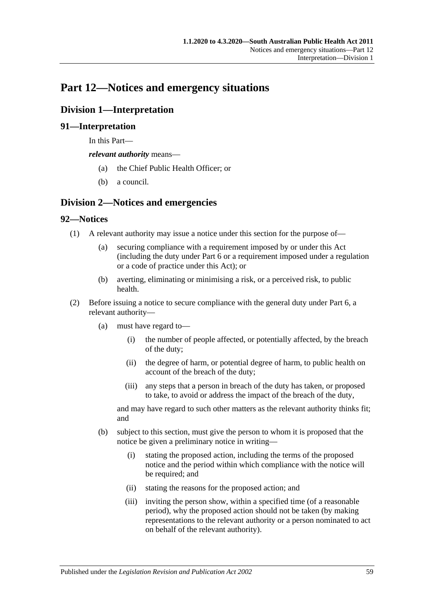# **Part 12—Notices and emergency situations**

# **Division 1—Interpretation**

# **91—Interpretation**

In this Part—

*relevant authority* means—

- (a) the Chief Public Health Officer; or
- (b) a council.

# **Division 2—Notices and emergencies**

# **92—Notices**

- (1) A relevant authority may issue a notice under this section for the purpose of—
	- (a) securing compliance with a requirement imposed by or under this Act (including the duty under [Part](#page-32-0) 6 or a requirement imposed under a regulation or a code of practice under this Act); or
	- (b) averting, eliminating or minimising a risk, or a perceived risk, to public health.
- (2) Before issuing a notice to secure compliance with the general duty under [Part](#page-32-0) 6, a relevant authority—
	- (a) must have regard to—
		- (i) the number of people affected, or potentially affected, by the breach of the duty;
		- (ii) the degree of harm, or potential degree of harm, to public health on account of the breach of the duty;
		- (iii) any steps that a person in breach of the duty has taken, or proposed to take, to avoid or address the impact of the breach of the duty,

and may have regard to such other matters as the relevant authority thinks fit; and

- <span id="page-58-0"></span>(b) subject to this section, must give the person to whom it is proposed that the notice be given a preliminary notice in writing—
	- (i) stating the proposed action, including the terms of the proposed notice and the period within which compliance with the notice will be required; and
	- (ii) stating the reasons for the proposed action; and
	- (iii) inviting the person show, within a specified time (of a reasonable period), why the proposed action should not be taken (by making representations to the relevant authority or a person nominated to act on behalf of the relevant authority).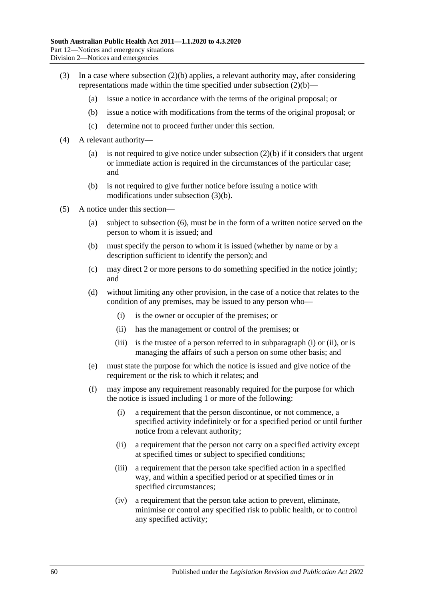- <span id="page-59-0"></span>(3) In a case where [subsection](#page-58-0) (2)(b) applies, a relevant authority may, after considering representations made within the time specified under [subsection](#page-58-0) (2)(b)—
	- (a) issue a notice in accordance with the terms of the original proposal; or
	- (b) issue a notice with modifications from the terms of the original proposal; or
	- (c) determine not to proceed further under this section.
- (4) A relevant authority
	- (a) is not required to give notice under [subsection](#page-58-0)  $(2)(b)$  if it considers that urgent or immediate action is required in the circumstances of the particular case; and
	- (b) is not required to give further notice before issuing a notice with modifications under [subsection](#page-59-0) (3)(b).
- <span id="page-59-3"></span><span id="page-59-2"></span><span id="page-59-1"></span>(5) A notice under this section—
	- (a) subject to [subsection](#page-60-0) (6), must be in the form of a written notice served on the person to whom it is issued; and
	- (b) must specify the person to whom it is issued (whether by name or by a description sufficient to identify the person); and
	- (c) may direct 2 or more persons to do something specified in the notice jointly; and
	- (d) without limiting any other provision, in the case of a notice that relates to the condition of any premises, may be issued to any person who—
		- (i) is the owner or occupier of the premises; or
		- (ii) has the management or control of the premises; or
		- (iii) is the trustee of a person referred to in [subparagraph](#page-59-1) (i) or [\(ii\),](#page-59-2) or is managing the affairs of such a person on some other basis; and
	- (e) must state the purpose for which the notice is issued and give notice of the requirement or the risk to which it relates; and
	- (f) may impose any requirement reasonably required for the purpose for which the notice is issued including 1 or more of the following:
		- (i) a requirement that the person discontinue, or not commence, a specified activity indefinitely or for a specified period or until further notice from a relevant authority;
		- (ii) a requirement that the person not carry on a specified activity except at specified times or subject to specified conditions;
		- (iii) a requirement that the person take specified action in a specified way, and within a specified period or at specified times or in specified circumstances;
		- (iv) a requirement that the person take action to prevent, eliminate, minimise or control any specified risk to public health, or to control any specified activity;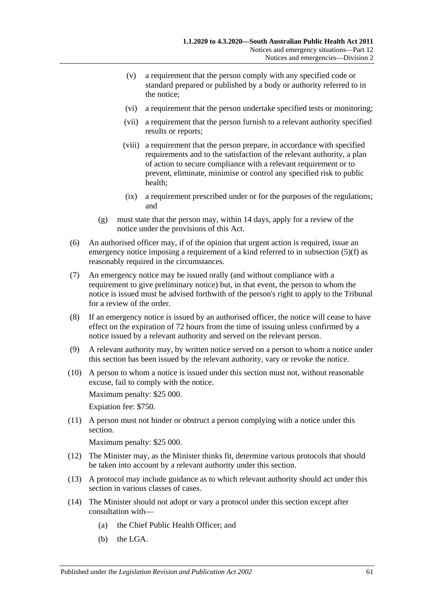- (v) a requirement that the person comply with any specified code or standard prepared or published by a body or authority referred to in the notice;
- (vi) a requirement that the person undertake specified tests or monitoring;
- (vii) a requirement that the person furnish to a relevant authority specified results or reports;
- (viii) a requirement that the person prepare, in accordance with specified requirements and to the satisfaction of the relevant authority, a plan of action to secure compliance with a relevant requirement or to prevent, eliminate, minimise or control any specified risk to public health;
- (ix) a requirement prescribed under or for the purposes of the regulations; and
- (g) must state that the person may, within 14 days, apply for a review of the notice under the provisions of this Act.
- <span id="page-60-0"></span>(6) An authorised officer may, if of the opinion that urgent action is required, issue an emergency notice imposing a requirement of a kind referred to in [subsection](#page-59-3) (5)(f) as reasonably required in the circumstances.
- (7) An emergency notice may be issued orally (and without compliance with a requirement to give preliminary notice) but, in that event, the person to whom the notice is issued must be advised forthwith of the person's right to apply to the Tribunal for a review of the order.
- (8) If an emergency notice is issued by an authorised officer, the notice will cease to have effect on the expiration of 72 hours from the time of issuing unless confirmed by a notice issued by a relevant authority and served on the relevant person.
- (9) A relevant authority may, by written notice served on a person to whom a notice under this section has been issued by the relevant authority, vary or revoke the notice.
- (10) A person to whom a notice is issued under this section must not, without reasonable excuse, fail to comply with the notice.

Maximum penalty: \$25 000.

Expiation fee: \$750.

(11) A person must not hinder or obstruct a person complying with a notice under this section.

Maximum penalty: \$25 000.

- (12) The Minister may, as the Minister thinks fit, determine various protocols that should be taken into account by a relevant authority under this section.
- (13) A protocol may include guidance as to which relevant authority should act under this section in various classes of cases.
- (14) The Minister should not adopt or vary a protocol under this section except after consultation with—
	- (a) the Chief Public Health Officer; and
	- (b) the LGA.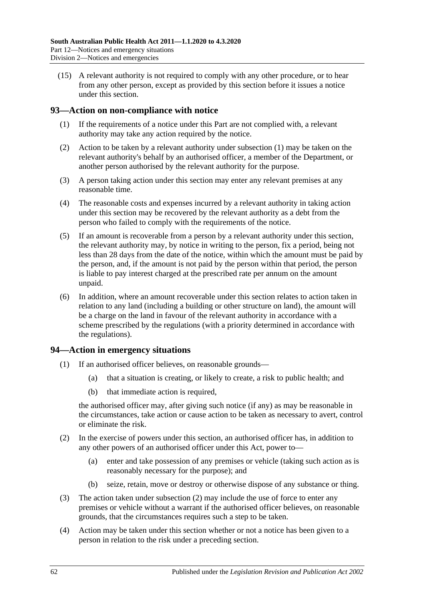(15) A relevant authority is not required to comply with any other procedure, or to hear from any other person, except as provided by this section before it issues a notice under this section.

# <span id="page-61-0"></span>**93—Action on non-compliance with notice**

- (1) If the requirements of a notice under this Part are not complied with, a relevant authority may take any action required by the notice.
- (2) Action to be taken by a relevant authority under [subsection](#page-61-0) (1) may be taken on the relevant authority's behalf by an authorised officer, a member of the Department, or another person authorised by the relevant authority for the purpose.
- (3) A person taking action under this section may enter any relevant premises at any reasonable time.
- (4) The reasonable costs and expenses incurred by a relevant authority in taking action under this section may be recovered by the relevant authority as a debt from the person who failed to comply with the requirements of the notice.
- (5) If an amount is recoverable from a person by a relevant authority under this section, the relevant authority may, by notice in writing to the person, fix a period, being not less than 28 days from the date of the notice, within which the amount must be paid by the person, and, if the amount is not paid by the person within that period, the person is liable to pay interest charged at the prescribed rate per annum on the amount unpaid.
- (6) In addition, where an amount recoverable under this section relates to action taken in relation to any land (including a building or other structure on land), the amount will be a charge on the land in favour of the relevant authority in accordance with a scheme prescribed by the regulations (with a priority determined in accordance with the regulations).

# **94—Action in emergency situations**

- (1) If an authorised officer believes, on reasonable grounds—
	- (a) that a situation is creating, or likely to create, a risk to public health; and
	- (b) that immediate action is required,

the authorised officer may, after giving such notice (if any) as may be reasonable in the circumstances, take action or cause action to be taken as necessary to avert, control or eliminate the risk.

- <span id="page-61-1"></span>(2) In the exercise of powers under this section, an authorised officer has, in addition to any other powers of an authorised officer under this Act, power to—
	- (a) enter and take possession of any premises or vehicle (taking such action as is reasonably necessary for the purpose); and
	- (b) seize, retain, move or destroy or otherwise dispose of any substance or thing.
- (3) The action taken under [subsection](#page-61-1) (2) may include the use of force to enter any premises or vehicle without a warrant if the authorised officer believes, on reasonable grounds, that the circumstances requires such a step to be taken.
- (4) Action may be taken under this section whether or not a notice has been given to a person in relation to the risk under a preceding section.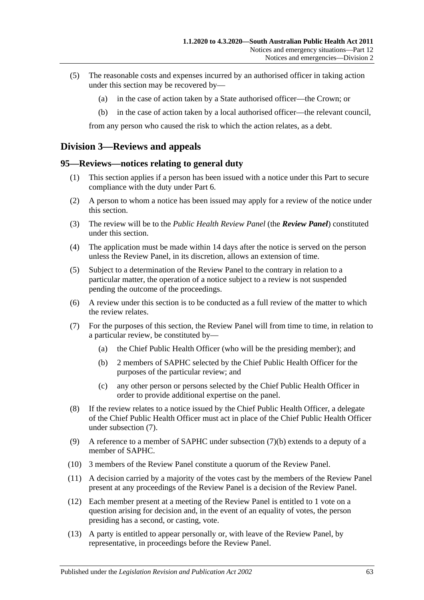- (5) The reasonable costs and expenses incurred by an authorised officer in taking action under this section may be recovered by—
	- (a) in the case of action taken by a State authorised officer—the Crown; or
	- (b) in the case of action taken by a local authorised officer—the relevant council,

from any person who caused the risk to which the action relates, as a debt.

# **Division 3—Reviews and appeals**

## <span id="page-62-2"></span>**95—Reviews—notices relating to general duty**

- (1) This section applies if a person has been issued with a notice under this Part to secure compliance with the duty under [Part](#page-32-0) 6.
- (2) A person to whom a notice has been issued may apply for a review of the notice under this section.
- (3) The review will be to the *Public Health Review Panel* (the *Review Panel*) constituted under this section.
- (4) The application must be made within 14 days after the notice is served on the person unless the Review Panel, in its discretion, allows an extension of time.
- (5) Subject to a determination of the Review Panel to the contrary in relation to a particular matter, the operation of a notice subject to a review is not suspended pending the outcome of the proceedings.
- (6) A review under this section is to be conducted as a full review of the matter to which the review relates.
- <span id="page-62-1"></span><span id="page-62-0"></span>(7) For the purposes of this section, the Review Panel will from time to time, in relation to a particular review, be constituted by—
	- (a) the Chief Public Health Officer (who will be the presiding member); and
	- (b) 2 members of SAPHC selected by the Chief Public Health Officer for the purposes of the particular review; and
	- (c) any other person or persons selected by the Chief Public Health Officer in order to provide additional expertise on the panel.
- (8) If the review relates to a notice issued by the Chief Public Health Officer, a delegate of the Chief Public Health Officer must act in place of the Chief Public Health Officer under [subsection](#page-62-0) (7).
- (9) A reference to a member of SAPHC under [subsection](#page-62-1) (7)(b) extends to a deputy of a member of SAPHC.
- (10) 3 members of the Review Panel constitute a quorum of the Review Panel.
- (11) A decision carried by a majority of the votes cast by the members of the Review Panel present at any proceedings of the Review Panel is a decision of the Review Panel.
- (12) Each member present at a meeting of the Review Panel is entitled to 1 vote on a question arising for decision and, in the event of an equality of votes, the person presiding has a second, or casting, vote.
- (13) A party is entitled to appear personally or, with leave of the Review Panel, by representative, in proceedings before the Review Panel.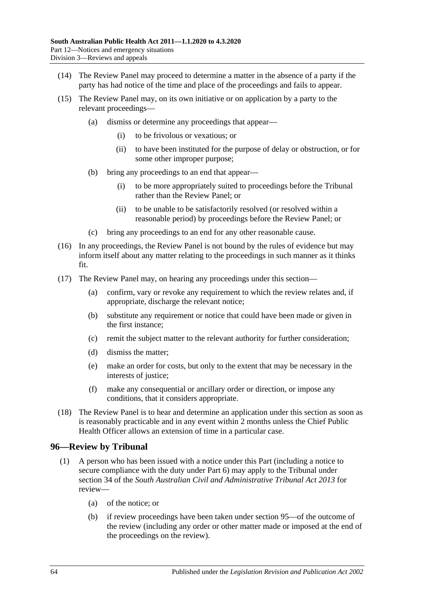- (14) The Review Panel may proceed to determine a matter in the absence of a party if the party has had notice of the time and place of the proceedings and fails to appear.
- (15) The Review Panel may, on its own initiative or on application by a party to the relevant proceedings—
	- (a) dismiss or determine any proceedings that appear—
		- (i) to be frivolous or vexatious; or
		- (ii) to have been instituted for the purpose of delay or obstruction, or for some other improper purpose;
	- (b) bring any proceedings to an end that appear—
		- (i) to be more appropriately suited to proceedings before the Tribunal rather than the Review Panel; or
		- (ii) to be unable to be satisfactorily resolved (or resolved within a reasonable period) by proceedings before the Review Panel; or
	- (c) bring any proceedings to an end for any other reasonable cause.
- (16) In any proceedings, the Review Panel is not bound by the rules of evidence but may inform itself about any matter relating to the proceedings in such manner as it thinks fit.
- (17) The Review Panel may, on hearing any proceedings under this section—
	- (a) confirm, vary or revoke any requirement to which the review relates and, if appropriate, discharge the relevant notice;
	- (b) substitute any requirement or notice that could have been made or given in the first instance;
	- (c) remit the subject matter to the relevant authority for further consideration;
	- (d) dismiss the matter;
	- (e) make an order for costs, but only to the extent that may be necessary in the interests of justice;
	- (f) make any consequential or ancillary order or direction, or impose any conditions, that it considers appropriate.
- (18) The Review Panel is to hear and determine an application under this section as soon as is reasonably practicable and in any event within 2 months unless the Chief Public Health Officer allows an extension of time in a particular case.

# **96—Review by Tribunal**

- <span id="page-63-1"></span><span id="page-63-0"></span>(1) A person who has been issued with a notice under this Part (including a notice to secure compliance with the duty under [Part](#page-32-0) 6) may apply to the Tribunal under section 34 of the *[South Australian Civil and Administrative Tribunal Act](http://www.legislation.sa.gov.au/index.aspx?action=legref&type=act&legtitle=South%20Australian%20Civil%20and%20Administrative%20Tribunal%20Act%202013) 2013* for review—
	- (a) of the notice; or
	- (b) if review proceedings have been taken under [section](#page-62-2) 95—of the outcome of the review (including any order or other matter made or imposed at the end of the proceedings on the review).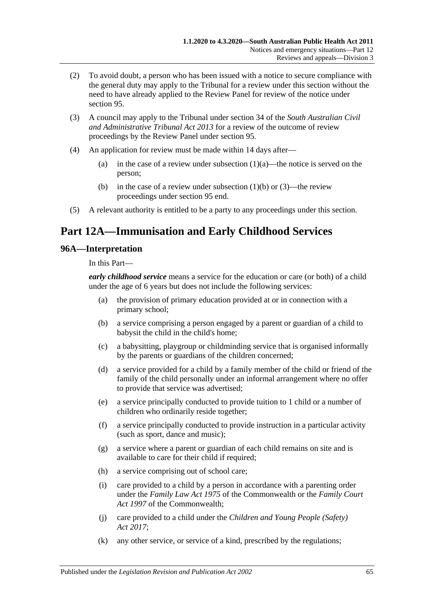- (2) To avoid doubt, a person who has been issued with a notice to secure compliance with the general duty may apply to the Tribunal for a review under this section without the need to have already applied to the Review Panel for review of the notice under [section](#page-62-2) 95.
- (3) A council may apply to the Tribunal under section 34 of the *[South Australian Civil](http://www.legislation.sa.gov.au/index.aspx?action=legref&type=act&legtitle=South%20Australian%20Civil%20and%20Administrative%20Tribunal%20Act%202013)  [and Administrative Tribunal Act](http://www.legislation.sa.gov.au/index.aspx?action=legref&type=act&legtitle=South%20Australian%20Civil%20and%20Administrative%20Tribunal%20Act%202013) 2013* for a review of the outcome of review proceedings by the Review Panel under [section](#page-62-2) 95.
- (4) An application for review must be made within 14 days after
	- (a) in the case of a review under [subsection](#page-63-0)  $(1)(a)$ —the notice is served on the person;
	- (b) in the case of a review under [subsection](#page-63-1)  $(1)(b)$  or  $(3)$ —the review proceedings under [section](#page-62-2) 95 end.
- (5) A relevant authority is entitled to be a party to any proceedings under this section.

# **Part 12A—Immunisation and Early Childhood Services**

## **96A—Interpretation**

In this Part—

*early childhood service* means a service for the education or care (or both) of a child under the age of 6 years but does not include the following services:

- (a) the provision of primary education provided at or in connection with a primary school;
- (b) a service comprising a person engaged by a parent or guardian of a child to babysit the child in the child's home;
- (c) a babysitting, playgroup or childminding service that is organised informally by the parents or guardians of the children concerned;
- (d) a service provided for a child by a family member of the child or friend of the family of the child personally under an informal arrangement where no offer to provide that service was advertised;
- (e) a service principally conducted to provide tuition to 1 child or a number of children who ordinarily reside together;
- (f) a service principally conducted to provide instruction in a particular activity (such as sport, dance and music);
- (g) a service where a parent or guardian of each child remains on site and is available to care for their child if required;
- (h) a service comprising out of school care;
- (i) care provided to a child by a person in accordance with a parenting order under the *Family Law Act 1975* of the Commonwealth or the *Family Court Act 1997* of the Commonwealth;
- (j) care provided to a child under the *[Children and Young People \(Safety\)](http://www.legislation.sa.gov.au/index.aspx?action=legref&type=act&legtitle=Children%20and%20Young%20People%20(Safety)%20Act%202017)  Act [2017](http://www.legislation.sa.gov.au/index.aspx?action=legref&type=act&legtitle=Children%20and%20Young%20People%20(Safety)%20Act%202017)*;
- (k) any other service, or service of a kind, prescribed by the regulations;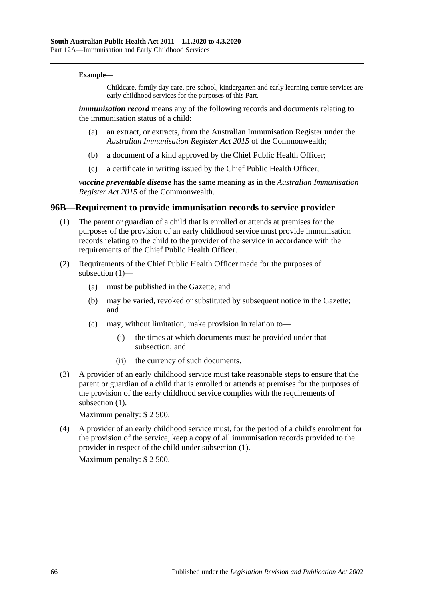#### **Example—**

Childcare, family day care, pre-school, kindergarten and early learning centre services are early childhood services for the purposes of this Part.

*immunisation record* means any of the following records and documents relating to the immunisation status of a child:

- (a) an extract, or extracts, from the Australian Immunisation Register under the *Australian Immunisation Register Act 2015* of the Commonwealth;
- (b) a document of a kind approved by the Chief Public Health Officer;
- (c) a certificate in writing issued by the Chief Public Health Officer;

*vaccine preventable disease* has the same meaning as in the *Australian Immunisation Register Act 2015* of the Commonwealth.

#### <span id="page-65-0"></span>**96B—Requirement to provide immunisation records to service provider**

- (1) The parent or guardian of a child that is enrolled or attends at premises for the purposes of the provision of an early childhood service must provide immunisation records relating to the child to the provider of the service in accordance with the requirements of the Chief Public Health Officer.
- (2) Requirements of the Chief Public Health Officer made for the purposes of [subsection](#page-65-0) (1)—
	- (a) must be published in the Gazette; and
	- (b) may be varied, revoked or substituted by subsequent notice in the Gazette; and
	- (c) may, without limitation, make provision in relation to—
		- (i) the times at which documents must be provided under that subsection; and
		- (ii) the currency of such documents.
- (3) A provider of an early childhood service must take reasonable steps to ensure that the parent or guardian of a child that is enrolled or attends at premises for the purposes of the provision of the early childhood service complies with the requirements of [subsection](#page-65-0)  $(1)$ .

Maximum penalty: \$ 2 500.

(4) A provider of an early childhood service must, for the period of a child's enrolment for the provision of the service, keep a copy of all immunisation records provided to the provider in respect of the child under [subsection](#page-65-0) (1).

Maximum penalty: \$ 2 500.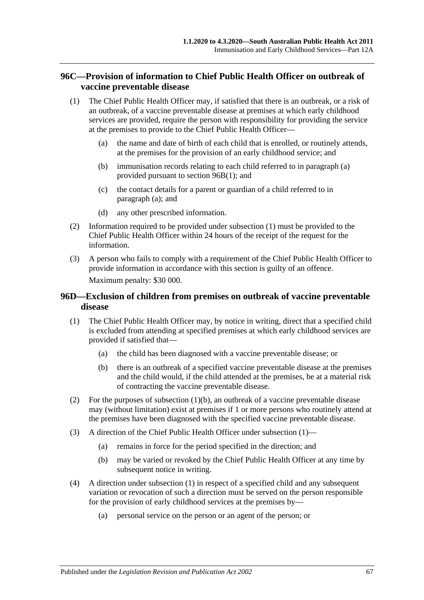# **96C—Provision of information to Chief Public Health Officer on outbreak of vaccine preventable disease**

- <span id="page-66-1"></span><span id="page-66-0"></span>(1) The Chief Public Health Officer may, if satisfied that there is an outbreak, or a risk of an outbreak, of a vaccine preventable disease at premises at which early childhood services are provided, require the person with responsibility for providing the service at the premises to provide to the Chief Public Health Officer—
	- (a) the name and date of birth of each child that is enrolled, or routinely attends, at the premises for the provision of an early childhood service; and
	- (b) immunisation records relating to each child referred to in [paragraph](#page-66-0) (a) provided pursuant to [section](#page-65-0) 96B(1); and
	- (c) the contact details for a parent or guardian of a child referred to in [paragraph](#page-66-0) (a); and
	- (d) any other prescribed information.
- (2) Information required to be provided under [subsection](#page-66-1) (1) must be provided to the Chief Public Health Officer within 24 hours of the receipt of the request for the information.
- (3) A person who fails to comply with a requirement of the Chief Public Health Officer to provide information in accordance with this section is guilty of an offence. Maximum penalty: \$30 000.

# **96D—Exclusion of children from premises on outbreak of vaccine preventable disease**

- <span id="page-66-3"></span>(1) The Chief Public Health Officer may, by notice in writing, direct that a specified child is excluded from attending at specified premises at which early childhood services are provided if satisfied that—
	- (a) the child has been diagnosed with a vaccine preventable disease; or
	- (b) there is an outbreak of a specified vaccine preventable disease at the premises and the child would, if the child attended at the premises, be at a material risk of contracting the vaccine preventable disease.
- <span id="page-66-2"></span>(2) For the purposes of [subsection](#page-66-2)  $(1)(b)$ , an outbreak of a vaccine preventable disease may (without limitation) exist at premises if 1 or more persons who routinely attend at the premises have been diagnosed with the specified vaccine preventable disease.
- (3) A direction of the Chief Public Health Officer under [subsection](#page-66-3) (1)—
	- (a) remains in force for the period specified in the direction; and
	- (b) may be varied or revoked by the Chief Public Health Officer at any time by subsequent notice in writing.
- <span id="page-66-4"></span>(4) A direction under [subsection](#page-66-3) (1) in respect of a specified child and any subsequent variation or revocation of such a direction must be served on the person responsible for the provision of early childhood services at the premises by—
	- (a) personal service on the person or an agent of the person; or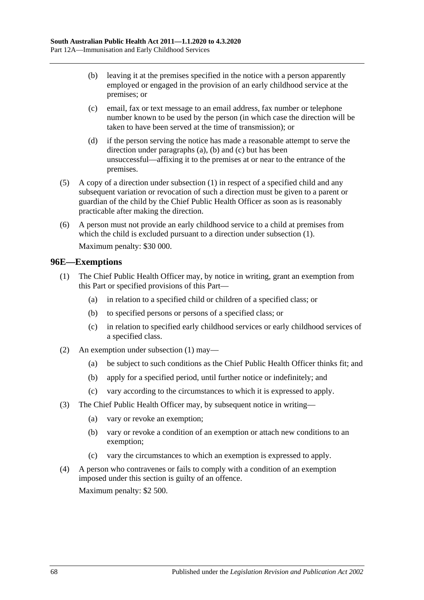- <span id="page-67-0"></span>(b) leaving it at the premises specified in the notice with a person apparently employed or engaged in the provision of an early childhood service at the premises; or
- <span id="page-67-1"></span>(c) email, fax or text message to an email address, fax number or telephone number known to be used by the person (in which case the direction will be taken to have been served at the time of transmission); or
- (d) if the person serving the notice has made a reasonable attempt to serve the direction under [paragraphs](#page-66-4) (a), [\(b\)](#page-67-0) and [\(c\)](#page-67-1) but has been unsuccessful—affixing it to the premises at or near to the entrance of the premises.
- (5) A copy of a direction under [subsection](#page-66-3) (1) in respect of a specified child and any subsequent variation or revocation of such a direction must be given to a parent or guardian of the child by the Chief Public Health Officer as soon as is reasonably practicable after making the direction.
- (6) A person must not provide an early childhood service to a child at premises from which the child is excluded pursuant to a direction under [subsection](#page-66-3)  $(1)$ . Maximum penalty: \$30 000.

# <span id="page-67-2"></span>**96E—Exemptions**

- (1) The Chief Public Health Officer may, by notice in writing, grant an exemption from this Part or specified provisions of this Part—
	- (a) in relation to a specified child or children of a specified class; or
	- (b) to specified persons or persons of a specified class; or
	- (c) in relation to specified early childhood services or early childhood services of a specified class.
- (2) An exemption under [subsection](#page-67-2) (1) may—
	- (a) be subject to such conditions as the Chief Public Health Officer thinks fit; and
	- (b) apply for a specified period, until further notice or indefinitely; and
	- (c) vary according to the circumstances to which it is expressed to apply.
- (3) The Chief Public Health Officer may, by subsequent notice in writing—
	- (a) vary or revoke an exemption;
	- (b) vary or revoke a condition of an exemption or attach new conditions to an exemption;
	- (c) vary the circumstances to which an exemption is expressed to apply.
- (4) A person who contravenes or fails to comply with a condition of an exemption imposed under this section is guilty of an offence. Maximum penalty: \$2 500.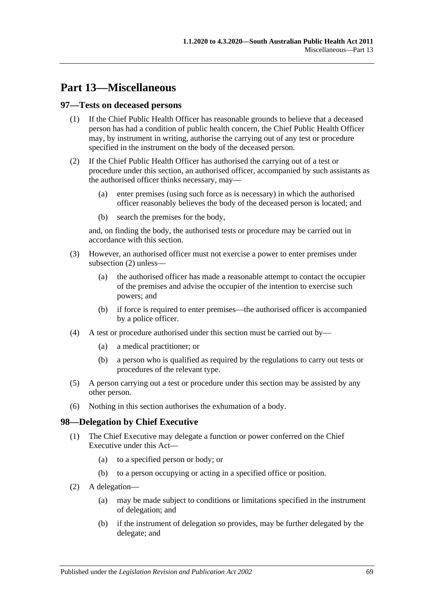# **Part 13—Miscellaneous**

## **97—Tests on deceased persons**

- (1) If the Chief Public Health Officer has reasonable grounds to believe that a deceased person has had a condition of public health concern, the Chief Public Health Officer may, by instrument in writing, authorise the carrying out of any test or procedure specified in the instrument on the body of the deceased person.
- <span id="page-68-0"></span>(2) If the Chief Public Health Officer has authorised the carrying out of a test or procedure under this section, an authorised officer, accompanied by such assistants as the authorised officer thinks necessary, may—
	- (a) enter premises (using such force as is necessary) in which the authorised officer reasonably believes the body of the deceased person is located; and
	- (b) search the premises for the body,

and, on finding the body, the authorised tests or procedure may be carried out in accordance with this section.

- (3) However, an authorised officer must not exercise a power to enter premises under [subsection](#page-68-0) (2) unless—
	- (a) the authorised officer has made a reasonable attempt to contact the occupier of the premises and advise the occupier of the intention to exercise such powers; and
	- (b) if force is required to enter premises—the authorised officer is accompanied by a police officer.
- (4) A test or procedure authorised under this section must be carried out by—
	- (a) a medical practitioner; or
	- (b) a person who is qualified as required by the regulations to carry out tests or procedures of the relevant type.
- (5) A person carrying out a test or procedure under this section may be assisted by any other person.
- (6) Nothing in this section authorises the exhumation of a body.

# **98—Delegation by Chief Executive**

- (1) The Chief Executive may delegate a function or power conferred on the Chief Executive under this Act—
	- (a) to a specified person or body; or
	- (b) to a person occupying or acting in a specified office or position.
- (2) A delegation—
	- (a) may be made subject to conditions or limitations specified in the instrument of delegation; and
	- (b) if the instrument of delegation so provides, may be further delegated by the delegate; and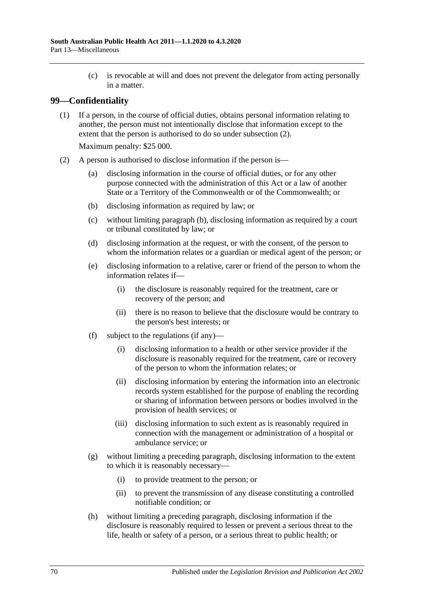(c) is revocable at will and does not prevent the delegator from acting personally in a matter.

# **99—Confidentiality**

(1) If a person, in the course of official duties, obtains personal information relating to another, the person must not intentionally disclose that information except to the extent that the person is authorised to do so under [subsection](#page-69-0) (2).

Maximum penalty: \$25 000.

- <span id="page-69-2"></span><span id="page-69-1"></span><span id="page-69-0"></span>(2) A person is authorised to disclose information if the person is—
	- (a) disclosing information in the course of official duties, or for any other purpose connected with the administration of this Act or a law of another State or a Territory of the Commonwealth or of the Commonwealth; or
	- (b) disclosing information as required by law; or
	- (c) without limiting [paragraph](#page-69-1) (b), disclosing information as required by a court or tribunal constituted by law; or
	- (d) disclosing information at the request, or with the consent, of the person to whom the information relates or a guardian or medical agent of the person; or
	- (e) disclosing information to a relative, carer or friend of the person to whom the information relates if—
		- (i) the disclosure is reasonably required for the treatment, care or recovery of the person; and
		- (ii) there is no reason to believe that the disclosure would be contrary to the person's best interests; or
	- (f) subject to the regulations (if any)—
		- (i) disclosing information to a health or other service provider if the disclosure is reasonably required for the treatment, care or recovery of the person to whom the information relates; or
		- (ii) disclosing information by entering the information into an electronic records system established for the purpose of enabling the recording or sharing of information between persons or bodies involved in the provision of health services; or
		- (iii) disclosing information to such extent as is reasonably required in connection with the management or administration of a hospital or ambulance service; or
	- (g) without limiting a preceding paragraph, disclosing information to the extent to which it is reasonably necessary—
		- (i) to provide treatment to the person; or
		- (ii) to prevent the transmission of any disease constituting a controlled notifiable condition; or
	- (h) without limiting a preceding paragraph, disclosing information if the disclosure is reasonably required to lessen or prevent a serious threat to the life, health or safety of a person, or a serious threat to public health; or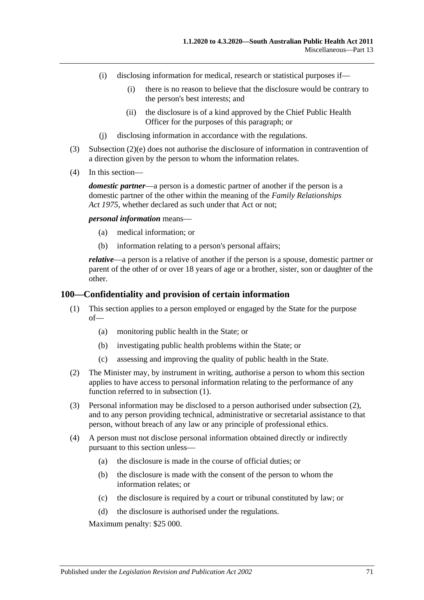- (i) disclosing information for medical, research or statistical purposes if—
	- (i) there is no reason to believe that the disclosure would be contrary to the person's best interests; and
	- (ii) the disclosure is of a kind approved by the Chief Public Health Officer for the purposes of this paragraph; or
- (j) disclosing information in accordance with the regulations.
- (3) [Subsection](#page-69-2) (2)(e) does not authorise the disclosure of information in contravention of a direction given by the person to whom the information relates.
- (4) In this section—

*domestic partner*—a person is a domestic partner of another if the person is a domestic partner of the other within the meaning of the *[Family Relationships](http://www.legislation.sa.gov.au/index.aspx?action=legref&type=act&legtitle=Family%20Relationships%20Act%201975)  Act [1975](http://www.legislation.sa.gov.au/index.aspx?action=legref&type=act&legtitle=Family%20Relationships%20Act%201975)*, whether declared as such under that Act or not;

*personal information* means—

- (a) medical information; or
- (b) information relating to a person's personal affairs;

*relative*—a person is a relative of another if the person is a spouse, domestic partner or parent of the other of or over 18 years of age or a brother, sister, son or daughter of the other.

#### <span id="page-70-0"></span>**100—Confidentiality and provision of certain information**

- (1) This section applies to a person employed or engaged by the State for the purpose of—
	- (a) monitoring public health in the State; or
	- (b) investigating public health problems within the State; or
	- (c) assessing and improving the quality of public health in the State.
- <span id="page-70-1"></span>(2) The Minister may, by instrument in writing, authorise a person to whom this section applies to have access to personal information relating to the performance of any function referred to in [subsection](#page-70-0) (1).
- (3) Personal information may be disclosed to a person authorised under [subsection](#page-70-1) (2), and to any person providing technical, administrative or secretarial assistance to that person, without breach of any law or any principle of professional ethics.
- (4) A person must not disclose personal information obtained directly or indirectly pursuant to this section unless—
	- (a) the disclosure is made in the course of official duties; or
	- (b) the disclosure is made with the consent of the person to whom the information relates; or
	- (c) the disclosure is required by a court or tribunal constituted by law; or
	- (d) the disclosure is authorised under the regulations.

Maximum penalty: \$25 000.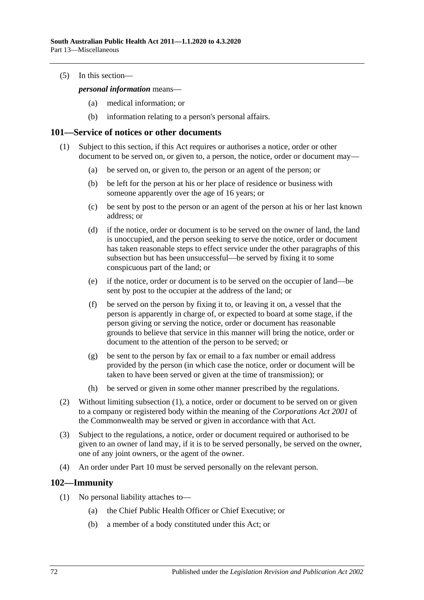(5) In this section—

*personal information* means—

- (a) medical information; or
- (b) information relating to a person's personal affairs.

#### <span id="page-71-0"></span>**101—Service of notices or other documents**

- (1) Subject to this section, if this Act requires or authorises a notice, order or other document to be served on, or given to, a person, the notice, order or document may—
	- (a) be served on, or given to, the person or an agent of the person; or
	- (b) be left for the person at his or her place of residence or business with someone apparently over the age of 16 years; or
	- (c) be sent by post to the person or an agent of the person at his or her last known address; or
	- (d) if the notice, order or document is to be served on the owner of land, the land is unoccupied, and the person seeking to serve the notice, order or document has taken reasonable steps to effect service under the other paragraphs of this subsection but has been unsuccessful—be served by fixing it to some conspicuous part of the land; or
	- (e) if the notice, order or document is to be served on the occupier of land—be sent by post to the occupier at the address of the land; or
	- (f) be served on the person by fixing it to, or leaving it on, a vessel that the person is apparently in charge of, or expected to board at some stage, if the person giving or serving the notice, order or document has reasonable grounds to believe that service in this manner will bring the notice, order or document to the attention of the person to be served; or
	- (g) be sent to the person by fax or email to a fax number or email address provided by the person (in which case the notice, order or document will be taken to have been served or given at the time of transmission); or
	- (h) be served or given in some other manner prescribed by the regulations.
- (2) Without limiting [subsection](#page-71-0) (1), a notice, order or document to be served on or given to a company or registered body within the meaning of the *Corporations Act 2001* of the Commonwealth may be served or given in accordance with that Act.
- (3) Subject to the regulations, a notice, order or document required or authorised to be given to an owner of land may, if it is to be served personally, be served on the owner, one of any joint owners, or the agent of the owner.
- (4) An order under [Part](#page-41-2) 10 must be served personally on the relevant person.

#### **102—Immunity**

- (1) No personal liability attaches to—
	- (a) the Chief Public Health Officer or Chief Executive; or
	- (b) a member of a body constituted under this Act; or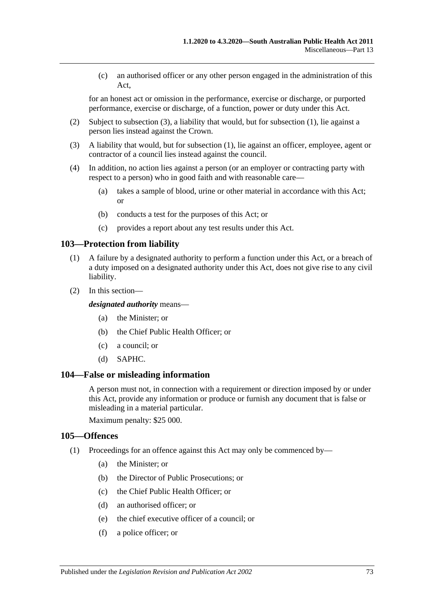(c) an authorised officer or any other person engaged in the administration of this Act,

for an honest act or omission in the performance, exercise or discharge, or purported performance, exercise or discharge, of a function, power or duty under this Act.

- (2) Subject to [subsection](#page-72-0) (3), a liability that would, but for [subsection](#page-71-0) (1), lie against a person lies instead against the Crown.
- <span id="page-72-0"></span>(3) A liability that would, but for [subsection](#page-71-0) (1), lie against an officer, employee, agent or contractor of a council lies instead against the council.
- (4) In addition, no action lies against a person (or an employer or contracting party with respect to a person) who in good faith and with reasonable care—
	- (a) takes a sample of blood, urine or other material in accordance with this Act; or
	- (b) conducts a test for the purposes of this Act; or
	- (c) provides a report about any test results under this Act.

#### **103—Protection from liability**

- (1) A failure by a designated authority to perform a function under this Act, or a breach of a duty imposed on a designated authority under this Act, does not give rise to any civil liability.
- (2) In this section—

*designated authority* means—

- (a) the Minister; or
- (b) the Chief Public Health Officer; or
- (c) a council; or
- (d) SAPHC.

#### **104—False or misleading information**

A person must not, in connection with a requirement or direction imposed by or under this Act, provide any information or produce or furnish any document that is false or misleading in a material particular.

Maximum penalty: \$25 000.

#### **105—Offences**

- (1) Proceedings for an offence against this Act may only be commenced by—
	- (a) the Minister; or
	- (b) the Director of Public Prosecutions; or
	- (c) the Chief Public Health Officer; or
	- (d) an authorised officer; or
	- (e) the chief executive officer of a council; or
	- (f) a police officer; or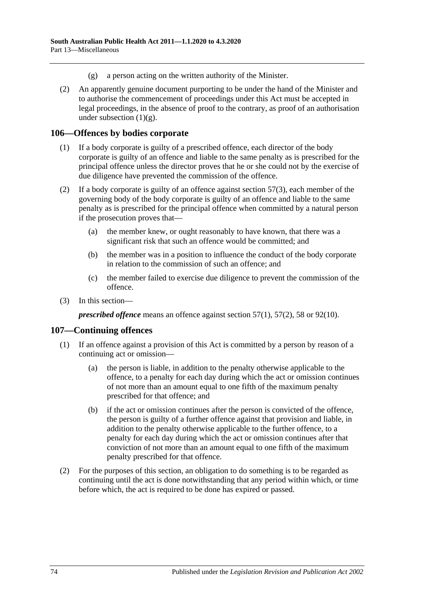- (g) a person acting on the written authority of the Minister.
- <span id="page-73-0"></span>(2) An apparently genuine document purporting to be under the hand of the Minister and to authorise the commencement of proceedings under this Act must be accepted in legal proceedings, in the absence of proof to the contrary, as proof of an authorisation under [subsection](#page-73-0)  $(1)(g)$ .

#### **106—Offences by bodies corporate**

- (1) If a body corporate is guilty of a prescribed offence, each director of the body corporate is guilty of an offence and liable to the same penalty as is prescribed for the principal offence unless the director proves that he or she could not by the exercise of due diligence have prevented the commission of the offence.
- (2) If a body corporate is guilty of an offence against [section](#page-33-0)  $57(3)$ , each member of the governing body of the body corporate is guilty of an offence and liable to the same penalty as is prescribed for the principal offence when committed by a natural person if the prosecution proves that—
	- (a) the member knew, or ought reasonably to have known, that there was a significant risk that such an offence would be committed; and
	- (b) the member was in a position to influence the conduct of the body corporate in relation to the commission of such an offence; and
	- (c) the member failed to exercise due diligence to prevent the commission of the offence.
- (3) In this section—

*prescribed offence* means an offence against [section](#page-33-1) 57(1), [57\(2\),](#page-33-2) [58](#page-33-3) or [92\(10\).](#page-60-0)

#### **107—Continuing offences**

- (1) If an offence against a provision of this Act is committed by a person by reason of a continuing act or omission—
	- (a) the person is liable, in addition to the penalty otherwise applicable to the offence, to a penalty for each day during which the act or omission continues of not more than an amount equal to one fifth of the maximum penalty prescribed for that offence; and
	- (b) if the act or omission continues after the person is convicted of the offence, the person is guilty of a further offence against that provision and liable, in addition to the penalty otherwise applicable to the further offence, to a penalty for each day during which the act or omission continues after that conviction of not more than an amount equal to one fifth of the maximum penalty prescribed for that offence.
- (2) For the purposes of this section, an obligation to do something is to be regarded as continuing until the act is done notwithstanding that any period within which, or time before which, the act is required to be done has expired or passed.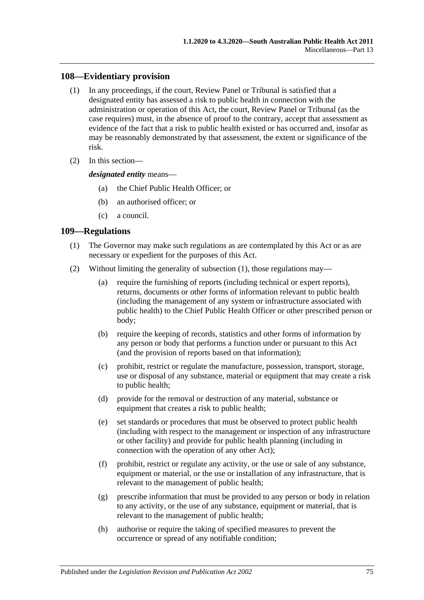#### **108—Evidentiary provision**

- (1) In any proceedings, if the court, Review Panel or Tribunal is satisfied that a designated entity has assessed a risk to public health in connection with the administration or operation of this Act, the court, Review Panel or Tribunal (as the case requires) must, in the absence of proof to the contrary, accept that assessment as evidence of the fact that a risk to public health existed or has occurred and, insofar as may be reasonably demonstrated by that assessment, the extent or significance of the risk.
- (2) In this section—

*designated entity* means—

- (a) the Chief Public Health Officer; or
- (b) an authorised officer; or
- (c) a council.

#### <span id="page-74-0"></span>**109—Regulations**

- (1) The Governor may make such regulations as are contemplated by this Act or as are necessary or expedient for the purposes of this Act.
- (2) Without limiting the generality of [subsection](#page-74-0) (1), those regulations may—
	- (a) require the furnishing of reports (including technical or expert reports), returns, documents or other forms of information relevant to public health (including the management of any system or infrastructure associated with public health) to the Chief Public Health Officer or other prescribed person or body;
	- (b) require the keeping of records, statistics and other forms of information by any person or body that performs a function under or pursuant to this Act (and the provision of reports based on that information);
	- (c) prohibit, restrict or regulate the manufacture, possession, transport, storage, use or disposal of any substance, material or equipment that may create a risk to public health;
	- (d) provide for the removal or destruction of any material, substance or equipment that creates a risk to public health;
	- (e) set standards or procedures that must be observed to protect public health (including with respect to the management or inspection of any infrastructure or other facility) and provide for public health planning (including in connection with the operation of any other Act);
	- (f) prohibit, restrict or regulate any activity, or the use or sale of any substance, equipment or material, or the use or installation of any infrastructure, that is relevant to the management of public health;
	- (g) prescribe information that must be provided to any person or body in relation to any activity, or the use of any substance, equipment or material, that is relevant to the management of public health;
	- (h) authorise or require the taking of specified measures to prevent the occurrence or spread of any notifiable condition;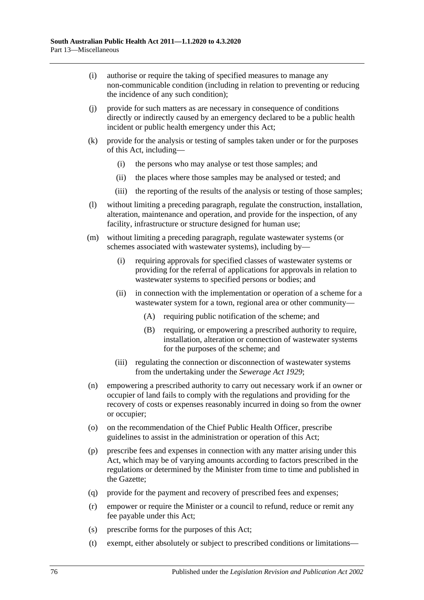- (i) authorise or require the taking of specified measures to manage any non-communicable condition (including in relation to preventing or reducing the incidence of any such condition);
- (j) provide for such matters as are necessary in consequence of conditions directly or indirectly caused by an emergency declared to be a public health incident or public health emergency under this Act;
- (k) provide for the analysis or testing of samples taken under or for the purposes of this Act, including—
	- (i) the persons who may analyse or test those samples; and
	- (ii) the places where those samples may be analysed or tested; and
	- (iii) the reporting of the results of the analysis or testing of those samples;
- (l) without limiting a preceding paragraph, regulate the construction, installation, alteration, maintenance and operation, and provide for the inspection, of any facility, infrastructure or structure designed for human use;
- (m) without limiting a preceding paragraph, regulate wastewater systems (or schemes associated with wastewater systems), including by—
	- (i) requiring approvals for specified classes of wastewater systems or providing for the referral of applications for approvals in relation to wastewater systems to specified persons or bodies; and
	- (ii) in connection with the implementation or operation of a scheme for a wastewater system for a town, regional area or other community—
		- (A) requiring public notification of the scheme; and
		- (B) requiring, or empowering a prescribed authority to require, installation, alteration or connection of wastewater systems for the purposes of the scheme; and
	- (iii) regulating the connection or disconnection of wastewater systems from the undertaking under the *[Sewerage Act](http://www.legislation.sa.gov.au/index.aspx?action=legref&type=act&legtitle=Sewerage%20Act%201929) 1929*;
- (n) empowering a prescribed authority to carry out necessary work if an owner or occupier of land fails to comply with the regulations and providing for the recovery of costs or expenses reasonably incurred in doing so from the owner or occupier;
- (o) on the recommendation of the Chief Public Health Officer, prescribe guidelines to assist in the administration or operation of this Act;
- (p) prescribe fees and expenses in connection with any matter arising under this Act, which may be of varying amounts according to factors prescribed in the regulations or determined by the Minister from time to time and published in the Gazette;
- (q) provide for the payment and recovery of prescribed fees and expenses;
- (r) empower or require the Minister or a council to refund, reduce or remit any fee payable under this Act;
- (s) prescribe forms for the purposes of this Act;
- (t) exempt, either absolutely or subject to prescribed conditions or limitations—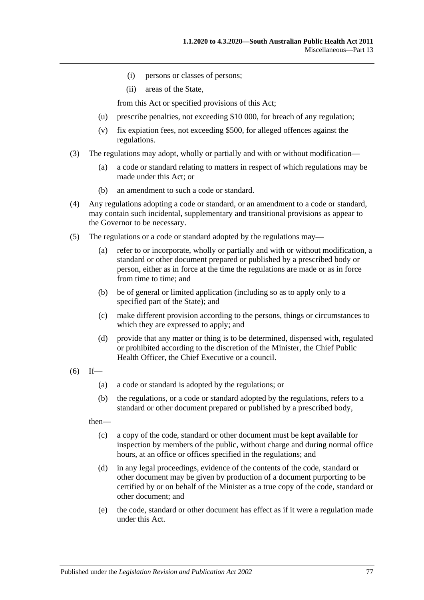- (i) persons or classes of persons;
- (ii) areas of the State,

from this Act or specified provisions of this Act;

- (u) prescribe penalties, not exceeding \$10 000, for breach of any regulation;
- (v) fix expiation fees, not exceeding \$500, for alleged offences against the regulations.
- (3) The regulations may adopt, wholly or partially and with or without modification—
	- (a) a code or standard relating to matters in respect of which regulations may be made under this Act; or
	- (b) an amendment to such a code or standard.
- (4) Any regulations adopting a code or standard, or an amendment to a code or standard, may contain such incidental, supplementary and transitional provisions as appear to the Governor to be necessary.
- (5) The regulations or a code or standard adopted by the regulations may—
	- (a) refer to or incorporate, wholly or partially and with or without modification, a standard or other document prepared or published by a prescribed body or person, either as in force at the time the regulations are made or as in force from time to time; and
	- (b) be of general or limited application (including so as to apply only to a specified part of the State); and
	- (c) make different provision according to the persons, things or circumstances to which they are expressed to apply; and
	- (d) provide that any matter or thing is to be determined, dispensed with, regulated or prohibited according to the discretion of the Minister, the Chief Public Health Officer, the Chief Executive or a council.
- $(6)$  If—
	- (a) a code or standard is adopted by the regulations; or
	- (b) the regulations, or a code or standard adopted by the regulations, refers to a standard or other document prepared or published by a prescribed body,

then—

- (c) a copy of the code, standard or other document must be kept available for inspection by members of the public, without charge and during normal office hours, at an office or offices specified in the regulations; and
- (d) in any legal proceedings, evidence of the contents of the code, standard or other document may be given by production of a document purporting to be certified by or on behalf of the Minister as a true copy of the code, standard or other document; and
- (e) the code, standard or other document has effect as if it were a regulation made under this Act.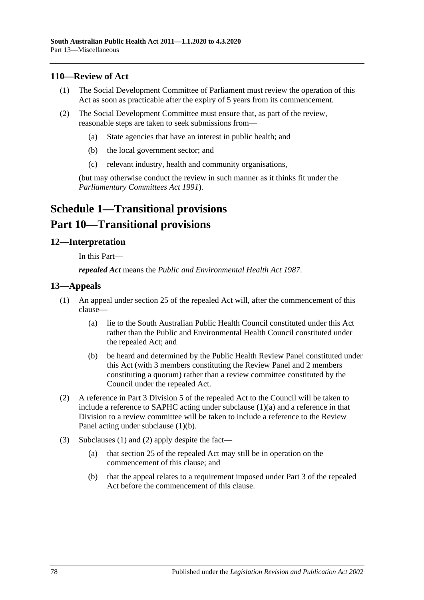#### **110—Review of Act**

- (1) The Social Development Committee of Parliament must review the operation of this Act as soon as practicable after the expiry of 5 years from its commencement.
- (2) The Social Development Committee must ensure that, as part of the review, reasonable steps are taken to seek submissions from—
	- (a) State agencies that have an interest in public health; and
	- (b) the local government sector; and
	- (c) relevant industry, health and community organisations,

(but may otherwise conduct the review in such manner as it thinks fit under the *[Parliamentary Committees Act](http://www.legislation.sa.gov.au/index.aspx?action=legref&type=act&legtitle=Parliamentary%20Committees%20Act%201991) 1991*).

## **Schedule 1—Transitional provisions Part 10—Transitional provisions**

#### **12—Interpretation**

In this Part—

*repealed Act* means the *[Public and Environmental Health Act](http://www.legislation.sa.gov.au/index.aspx?action=legref&type=act&legtitle=Public%20and%20Environmental%20Health%20Act%201987) 1987*.

#### <span id="page-77-2"></span>**13—Appeals**

- <span id="page-77-0"></span>(1) An appeal under section 25 of the repealed Act will, after the commencement of this clause—
	- (a) lie to the South Australian Public Health Council constituted under this Act rather than the Public and Environmental Health Council constituted under the repealed Act; and
	- (b) be heard and determined by the Public Health Review Panel constituted under this Act (with 3 members constituting the Review Panel and 2 members constituting a quorum) rather than a review committee constituted by the Council under the repealed Act.
- <span id="page-77-3"></span><span id="page-77-1"></span>(2) A reference in Part 3 Division 5 of the repealed Act to the Council will be taken to include a reference to SAPHC acting under [subclause](#page-77-0) (1)(a) and a reference in that Division to a review committee will be taken to include a reference to the Review Panel acting under [subclause](#page-77-1) (1)(b).
- (3) [Subclauses](#page-77-2) (1) and [\(2\)](#page-77-3) apply despite the fact—
	- (a) that section 25 of the repealed Act may still be in operation on the commencement of this clause; and
	- (b) that the appeal relates to a requirement imposed under Part 3 of the repealed Act before the commencement of this clause.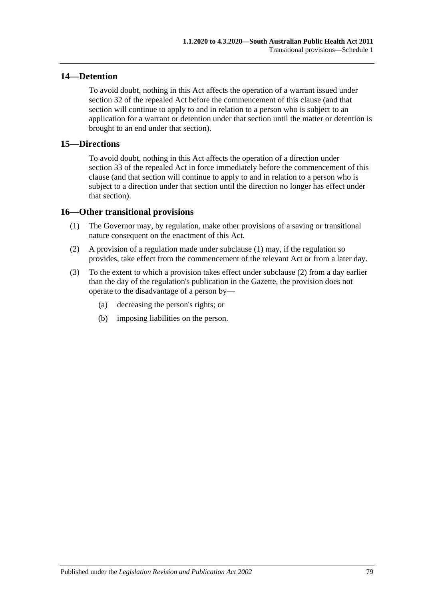#### **14—Detention**

To avoid doubt, nothing in this Act affects the operation of a warrant issued under section 32 of the repealed Act before the commencement of this clause (and that section will continue to apply to and in relation to a person who is subject to an application for a warrant or detention under that section until the matter or detention is brought to an end under that section).

#### **15—Directions**

To avoid doubt, nothing in this Act affects the operation of a direction under section 33 of the repealed Act in force immediately before the commencement of this clause (and that section will continue to apply to and in relation to a person who is subject to a direction under that section until the direction no longer has effect under that section).

#### <span id="page-78-0"></span>**16—Other transitional provisions**

- (1) The Governor may, by regulation, make other provisions of a saving or transitional nature consequent on the enactment of this Act.
- <span id="page-78-1"></span>(2) A provision of a regulation made under [subclause](#page-78-0) (1) may, if the regulation so provides, take effect from the commencement of the relevant Act or from a later day.
- (3) To the extent to which a provision takes effect under [subclause](#page-78-1) (2) from a day earlier than the day of the regulation's publication in the Gazette, the provision does not operate to the disadvantage of a person by—
	- (a) decreasing the person's rights; or
	- (b) imposing liabilities on the person.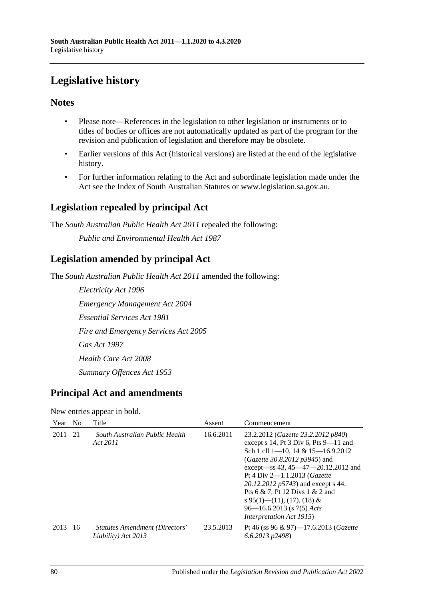# **Legislative history**

### **Notes**

- Please note—References in the legislation to other legislation or instruments or to titles of bodies or offices are not automatically updated as part of the program for the revision and publication of legislation and therefore may be obsolete.
- Earlier versions of this Act (historical versions) are listed at the end of the legislative history.
- For further information relating to the Act and subordinate legislation made under the Act see the Index of South Australian Statutes or www.legislation.sa.gov.au.

## **Legislation repealed by principal Act**

The *South Australian Public Health Act 2011* repealed the following: *Public and Environmental Health Act 1987*

## **Legislation amended by principal Act**

The *South Australian Public Health Act 2011* amended the following:

*Electricity Act 1996 Emergency Management Act 2004 Essential Services Act 1981 Fire and Emergency Services Act 2005 Gas Act 1997 Health Care Act 2008 Summary Offences Act 1953*

### **Principal Act and amendments**

New entries appear in bold.

| Year    | - No | Title                                                        | Assent    | Commencement                                                                                                                                                                                                                                                                                                                                                                                                                      |  |
|---------|------|--------------------------------------------------------------|-----------|-----------------------------------------------------------------------------------------------------------------------------------------------------------------------------------------------------------------------------------------------------------------------------------------------------------------------------------------------------------------------------------------------------------------------------------|--|
| 2011 21 |      | South Australian Public Health<br>Act 2011                   | 16.6.2011 | 23.2.2012 (Gazette 23.2.2012 p840)<br>except $s$ 14, Pt 3 Div 6, Pts 9-11 and<br>Sch 1 cll $1-10$ , $14 & 15-16.9.2012$<br>( <i>Gazette 30.8.2012 p3945</i> ) and<br>except—ss 43, 45—47—20.12.2012 and<br>Pt 4 Div $2 - 1.1.2013$ ( <i>Gazette</i><br>20.12.2012 p5743) and except s 44,<br>Pts 6 & 7, Pt 12 Divs 1 & 2 and<br>s 95(1)—(11), (17), (18) &<br>$96 - 16.6.2013$ (s $7(5)$ Acts<br><i>Interpretation Act 1915</i> ) |  |
| 2013    | -16  | <b>Statutes Amendment (Directors'</b><br>Liability) Act 2013 | 23.5.2013 | Pt 46 (ss 96 & 97)-17.6.2013 ( <i>Gazette</i><br>$6.6.2013$ $p2498$                                                                                                                                                                                                                                                                                                                                                               |  |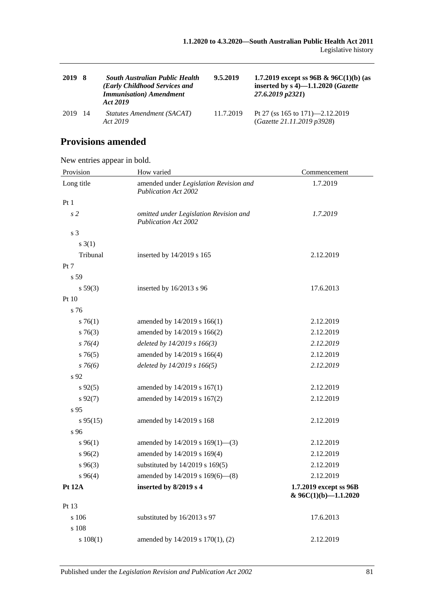| 2019 | - 8  | <b>South Australian Public Health</b><br>(Early Childhood Services and<br><b>Immunisation</b> ) Amendment<br>Act 2019 | 9.5.2019  | 1.7.2019 except ss 96B & 96C(1)(b) (as<br>inserted by $s$ 4)-1.1.2020 ( <i>Gazette</i><br>27.6.2019 p2321) |
|------|------|-----------------------------------------------------------------------------------------------------------------------|-----------|------------------------------------------------------------------------------------------------------------|
| 2019 | - 14 | Statutes Amendment (SACAT)<br>Act 2019                                                                                | 11.7.2019 | Pt 27 (ss 165 to 171)—2.12.2019<br>(Gazette 21.11.2019 p3928)                                              |

## **Provisions amended**

New entries appear in bold.

| Provision      | How varied                                                            | Commencement                                       |  |
|----------------|-----------------------------------------------------------------------|----------------------------------------------------|--|
| Long title     | amended under Legislation Revision and<br><b>Publication Act 2002</b> | 1.7.2019                                           |  |
| Pt 1           |                                                                       |                                                    |  |
| s <sub>2</sub> | omitted under Legislation Revision and<br><b>Publication Act 2002</b> | 1.7.2019                                           |  |
| s 3            |                                                                       |                                                    |  |
| $s \; 3(1)$    |                                                                       |                                                    |  |
| Tribunal       | inserted by 14/2019 s 165                                             | 2.12.2019                                          |  |
| Pt 7           |                                                                       |                                                    |  |
| s 59           |                                                                       |                                                    |  |
| s 59(3)        | inserted by 16/2013 s 96                                              | 17.6.2013                                          |  |
| Pt 10          |                                                                       |                                                    |  |
| s 76           |                                                                       |                                                    |  |
| $s \, 76(1)$   | amended by 14/2019 s 166(1)                                           | 2.12.2019                                          |  |
| $s \, 76(3)$   | amended by 14/2019 s 166(2)                                           | 2.12.2019                                          |  |
| $s \, 76(4)$   | deleted by 14/2019 s 166(3)                                           | 2.12.2019                                          |  |
| s76(5)         | amended by 14/2019 s 166(4)                                           | 2.12.2019                                          |  |
| $s \, 76(6)$   | deleted by 14/2019 s 166(5)                                           | 2.12.2019                                          |  |
| s 92           |                                                                       |                                                    |  |
| $s\,92(5)$     | amended by 14/2019 s 167(1)                                           | 2.12.2019                                          |  |
| $s\,92(7)$     | amended by 14/2019 s 167(2)                                           | 2.12.2019                                          |  |
| s 95           |                                                                       |                                                    |  |
| $s\,95(15)$    | amended by 14/2019 s 168                                              | 2.12.2019                                          |  |
| s 96           |                                                                       |                                                    |  |
| $s\,96(1)$     | amended by $14/2019$ s $169(1)$ —(3)                                  | 2.12.2019                                          |  |
| $s\,96(2)$     | amended by 14/2019 s 169(4)                                           | 2.12.2019                                          |  |
| $s\,96(3)$     | substituted by 14/2019 s 169(5)                                       | 2.12.2019                                          |  |
| $s\,96(4)$     | amended by 14/2019 s 169(6)-(8)                                       | 2.12.2019                                          |  |
| <b>Pt 12A</b>  | inserted by 8/2019 s 4                                                | 1.7.2019 except ss 96B<br>$& 96C(1)(b) - 1.1.2020$ |  |
| Pt 13          |                                                                       |                                                    |  |
| s 106          | substituted by 16/2013 s 97                                           | 17.6.2013                                          |  |
| s 108          |                                                                       |                                                    |  |
| s 108(1)       | amended by 14/2019 s 170(1), (2)                                      | 2.12.2019                                          |  |